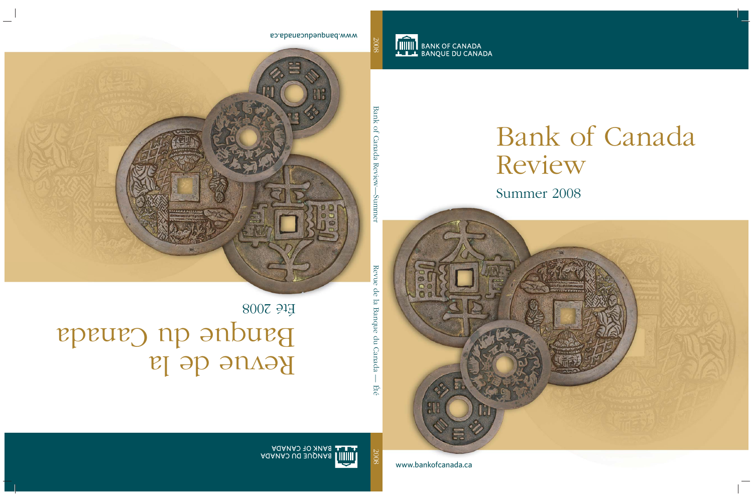

# Bank of Canada Review

Summer 2008



www.bankofcanada.ca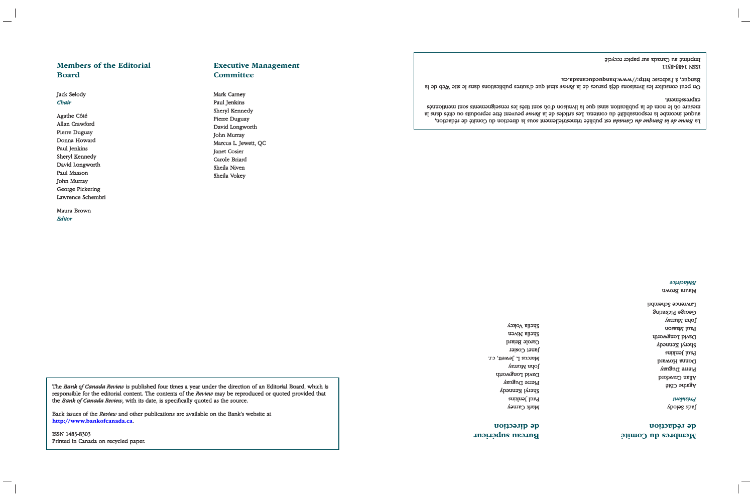## Members of the Editorial Board

Jack Selody *Chair*

Agathe Côté Allan Crawford Pierre Duguay Donna Howard Paul Jenkins Sheryl Kennedy David Longworth Paul Masson John Murray George Pickering Lawrence Schembri

Maura Brown *Editor*

## Executive Management **Committee**

Mark Carney Paul Jenkins Sheryl Kennedy Pierre Duguay David Longworth John Murray Marcus L. Jewett, QC Janet Cosier Carole Briard Sheila Niven Sheila Vokey

The *Bank of Canada Review* is published four times a year under the direction of an Editorial Board, which is responsible for the editorial content. The contents of the *Review* may be reproduced or quoted provided that the *Bank of Canada Review*, with its date, is specifically quoted as the source.

Back issues of the *Review* and other publications are available on the Bank's website at <http://www.bankofcanada.ca>.

ISSN 1483-8303 n 1983-8303<br>Printed in Canada on recycled paper.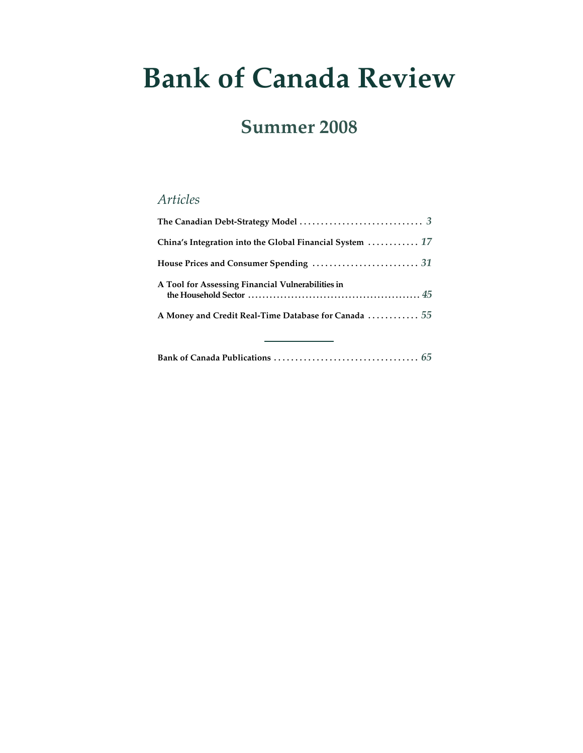## **Bank of Canada Review**

## **Summer 2008**

## *Articles*

| China's Integration into the Global Financial System  17 |
|----------------------------------------------------------|
|                                                          |
| A Tool for Assessing Financial Vulnerabilities in        |
| A Money and Credit Real-Time Database for Canada  55     |
|                                                          |
|                                                          |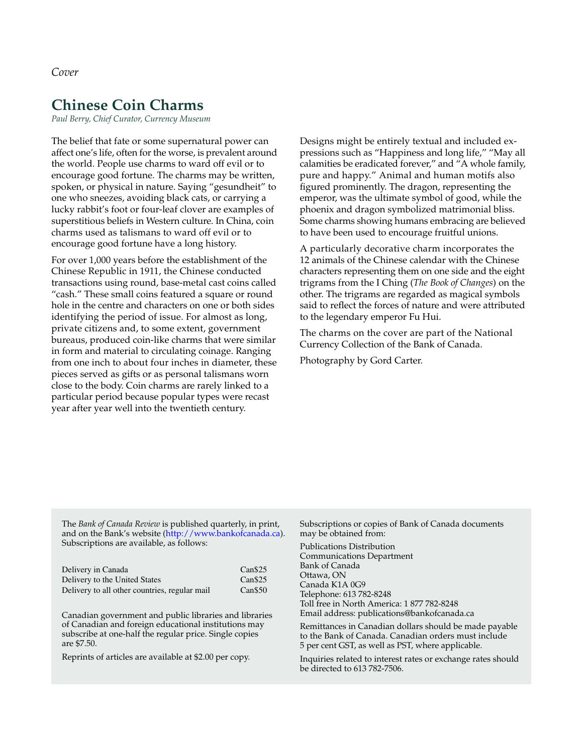*Cover*

## **Chinese Coin Charms**

*Paul Berry, Chief Curator, Currency Museum*

The belief that fate or some supernatural power can affect one's life, often for the worse, is prevalent around the world. People use charms to ward off evil or to encourage good fortune. The charms may be written, spoken, or physical in nature. Saying "gesundheit" to one who sneezes, avoiding black cats, or carrying a lucky rabbit's foot or four-leaf clover are examples of superstitious beliefs in Western culture. In China, coin charms used as talismans to ward off evil or to encourage good fortune have a long history.

For over 1,000 years before the establishment of the Chinese Republic in 1911, the Chinese conducted transactions using round, base-metal cast coins called "cash." These small coins featured a square or round hole in the centre and characters on one or both sides identifying the period of issue. For almost as long, private citizens and, to some extent, government bureaus, produced coin-like charms that were similar in form and material to circulating coinage. Ranging from one inch to about four inches in diameter, these pieces served as gifts or as personal talismans worn close to the body. Coin charms are rarely linked to a particular period because popular types were recast year after year well into the twentieth century.

Designs might be entirely textual and included expressions such as "Happiness and long life," "May all calamities be eradicated forever," and "A whole family, pure and happy." Animal and human motifs also figured prominently. The dragon, representing the emperor, was the ultimate symbol of good, while the phoenix and dragon symbolized matrimonial bliss. Some charms showing humans embracing are believed to have been used to encourage fruitful unions.

A particularly decorative charm incorporates the 12 animals of the Chinese calendar with the Chinese characters representing them on one side and the eight trigrams from the I Ching (*The Book of Changes*) on the other. The trigrams are regarded as magical symbols said to reflect the forces of nature and were attributed to the legendary emperor Fu Hui.

The charms on the cover are part of the National Currency Collection of the Bank of Canada.

Photography by Gord Carter.

The *Bank of Canada Review* is published quarterly, in print, and on the Bank's website [\(http://www.bankofcanada.ca\)](http://www.bankofcanada.ca). Subscriptions are available, as follows:

| Delivery in Canada                            | $Can$ \$25 |
|-----------------------------------------------|------------|
| Delivery to the United States                 | $Can$ \$25 |
| Delivery to all other countries, regular mail | Can\$50    |

Canadian government and public libraries and libraries of Canadian and foreign educational institutions may subscribe at one-half the regular price. Single copies are \$7.50.

Reprints of articles are available at \$2.00 per copy.

Subscriptions or copies of Bank of Canada documents may be obtained from:

Publications Distribution Communications Department Bank of Canada Ottawa, ON Canada K1A 0G9 Telephone: 613 782-8248 Toll free in North America: 1 877 782-8248 Email address: [publications@bankofcanada.ca](mailto:publications@bankofcanada.ca)

Remittances in Canadian dollars should be made payable to the Bank of Canada. Canadian orders must include 5 per cent GST, as well as PST, where applicable.

Inquiries related to interest rates or exchange rates should be directed to 613 782-7506.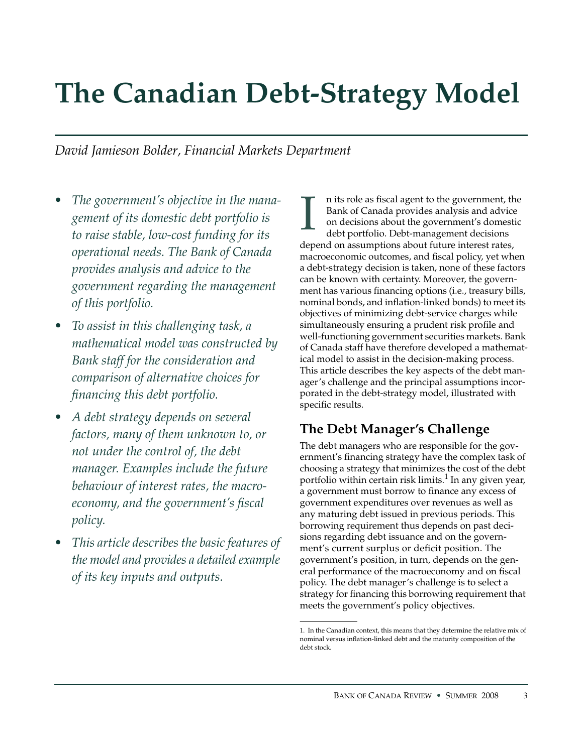## <span id="page-4-0"></span>**The Canadian Debt-Strategy Model**

*David Jamieson Bolder, Financial Markets Department*

- *The government's objective in the management of its domestic debt portfolio is to raise stable, low-cost funding for its operational needs. The Bank of Canada provides analysis and advice to the government regarding the management of this portfolio.*
- *To assist in this challenging task, a mathematical model was constructed by Bank staff for the consideration and comparison of alternative choices for financing this debt portfolio.*
- *A debt strategy depends on several factors, many of them unknown to, or not under the control of, the debt manager. Examples include the future behaviour of interest rates, the macroeconomy, and the government's fiscal policy.*
- *This article describes the basic features of the model and provides a detailed example of its key inputs and outputs.*

n its role as fiscal agent to the government, the Bank of Canada provides analysis and advice on decisions about the government's domestic debt portfolio. Debt-management decisions depend on assumptions about future interest rates, macroeconomic outcomes, and fiscal policy, yet when a debt-strategy decision is taken, none of these factors can be known with certainty. Moreover, the government has various financing options (i.e., treasury bills, nominal bonds, and inflation-linked bonds) to meet its objectives of minimizing debt-service charges while simultaneously ensuring a prudent risk profile and well-functioning government securities markets. Bank of Canada staff have therefore developed a mathematical model to assist in the decision-making process. This article describes the key aspects of the debt manager's challenge and the principal assumptions incorporated in the debt-strategy model, illustrated with specific results. I

## **The Debt Manager's Challenge**

The debt managers who are responsible for the government's financing strategy have the complex task of choosing a strategy that minimizes the cost of the debt portfolio within certain risk limits.<sup>1</sup> In any given year, a government must borrow to finance any excess of government expenditures over revenues as well as any maturing debt issued in previous periods. This borrowing requirement thus depends on past decisions regarding debt issuance and on the government's current surplus or deficit position. The government's position, in turn, depends on the general performance of the macroeconomy and on fiscal policy. The debt manager's challenge is to select a strategy for financing this borrowing requirement that meets the government's policy objectives.

<sup>1.</sup> In the Canadian context, this means that they determine the relative mix of nominal versus inflation-linked debt and the maturity composition of the debt stock.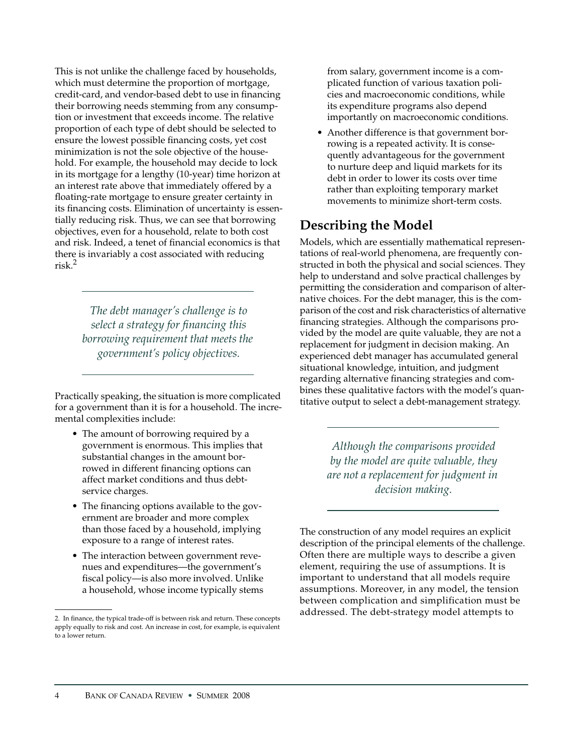This is not unlike the challenge faced by households, which must determine the proportion of mortgage, credit-card, and vendor-based debt to use in financing their borrowing needs stemming from any consumption or investment that exceeds income. The relative proportion of each type of debt should be selected to ensure the lowest possible financing costs, yet cost minimization is not the sole objective of the household. For example, the household may decide to lock in its mortgage for a lengthy (10-year) time horizon at an interest rate above that immediately offered by a floating-rate mortgage to ensure greater certainty in its financing costs. Elimination of uncertainty is essentially reducing risk. Thus, we can see that borrowing objectives, even for a household, relate to both cost and risk. Indeed, a tenet of financial economics is that there is invariably a cost associated with reducing risk.2

> *The debt manager's challenge is to select a strategy for financing this borrowing requirement that meets the government's policy objectives.*

Practically speaking, the situation is more complicated for a government than it is for a household. The incremental complexities include:

- The amount of borrowing required by a government is enormous. This implies that substantial changes in the amount borrowed in different financing options can affect market conditions and thus debtservice charges.
- The financing options available to the government are broader and more complex than those faced by a household, implying exposure to a range of interest rates.
- The interaction between government revenues and expenditures—the government's fiscal policy—is also more involved. Unlike a household, whose income typically stems

from salary, government income is a complicated function of various taxation policies and macroeconomic conditions, while its expenditure programs also depend importantly on macroeconomic conditions.

• Another difference is that government borrowing is a repeated activity. It is consequently advantageous for the government to nurture deep and liquid markets for its debt in order to lower its costs over time rather than exploiting temporary market movements to minimize short-term costs.

## **Describing the Model**

Models, which are essentially mathematical representations of real-world phenomena, are frequently constructed in both the physical and social sciences. They help to understand and solve practical challenges by permitting the consideration and comparison of alternative choices. For the debt manager, this is the comparison of the cost and risk characteristics of alternative financing strategies. Although the comparisons provided by the model are quite valuable, they are not a replacement for judgment in decision making. An experienced debt manager has accumulated general situational knowledge, intuition, and judgment regarding alternative financing strategies and combines these qualitative factors with the model's quantitative output to select a debt-management strategy.

> *Although the comparisons provided by the model are quite valuable, they are not a replacement for judgment in decision making.*

The construction of any model requires an explicit description of the principal elements of the challenge. Often there are multiple ways to describe a given element, requiring the use of assumptions. It is important to understand that all models require assumptions. Moreover, in any model, the tension between complication and simplification must be addressed. The debt-strategy model attempts to

<sup>2.</sup> In finance, the typical trade-off is between risk and return. These concepts apply equally to risk and cost. An increase in cost, for example, is equivalent to a lower return.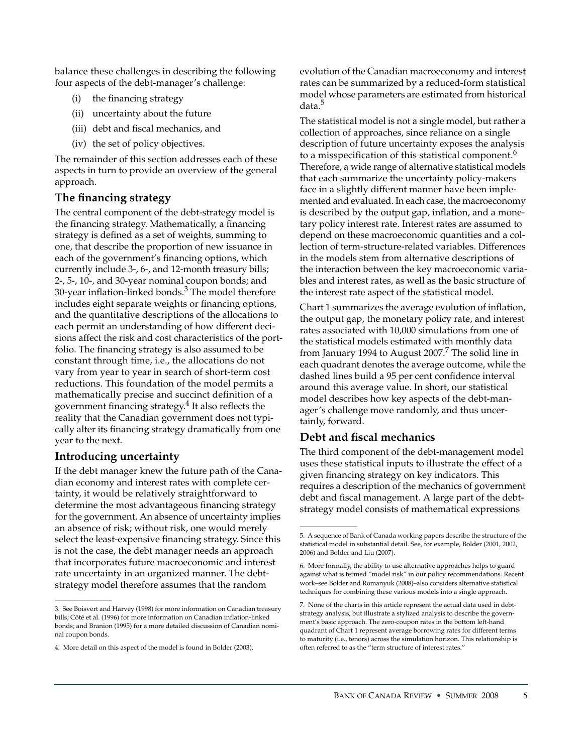balance these challenges in describing the following four aspects of the debt-manager's challenge:

- (i) the financing strategy
- (ii) uncertainty about the future
- (iii) debt and fiscal mechanics, and
- (iv) the set of policy objectives.

The remainder of this section addresses each of these aspects in turn to provide an overview of the general approach.

## **The financing strategy**

The central component of the debt-strategy model is the financing strategy. Mathematically, a financing strategy is defined as a set of weights, summing to one, that describe the proportion of new issuance in each of the government's financing options, which currently include 3-, 6-, and 12-month treasury bills; 2-, 5-, 10-, and 30-year nominal coupon bonds; and 30-year inflation-linked bonds.<sup>3</sup> The model therefore includes eight separate weights or financing options, and the quantitative descriptions of the allocations to each permit an understanding of how different decisions affect the risk and cost characteristics of the portfolio. The financing strategy is also assumed to be constant through time, i.e., the allocations do not vary from year to year in search of short-term cost reductions. This foundation of the model permits a mathematically precise and succinct definition of a government financing strategy. $4$  It also reflects the reality that the Canadian government does not typically alter its financing strategy dramatically from one year to the next.

## **Introducing uncertainty**

If the debt manager knew the future path of the Canadian economy and interest rates with complete certainty, it would be relatively straightforward to determine the most advantageous financing strategy for the government. An absence of uncertainty implies an absence of risk; without risk, one would merely select the least-expensive financing strategy. Since this is not the case, the debt manager needs an approach that incorporates future macroeconomic and interest rate uncertainty in an organized manner. The debtstrategy model therefore assumes that the random

evolution of the Canadian macroeconomy and interest rates can be summarized by a reduced-form statistical model whose parameters are estimated from historical data.<sup>5</sup>

The statistical model is not a single model, but rather a collection of approaches, since reliance on a single description of future uncertainty exposes the analysis to a misspecification of this statistical component.<sup>6</sup> Therefore, a wide range of alternative statistical models that each summarize the uncertainty policy-makers face in a slightly different manner have been implemented and evaluated. In each case, the macroeconomy is described by the output gap, inflation, and a monetary policy interest rate. Interest rates are assumed to depend on these macroeconomic quantities and a collection of term-structure-related variables. Differences in the models stem from alternative descriptions of the interaction between the key macroeconomic variables and interest rates, as well as the basic structure of the interest rate aspect of the statistical model.

Chart 1 summarizes the average evolution of inflation, the output gap, the monetary policy rate, and interest rates associated with 10,000 simulations from one of the statistical models estimated with monthly data from January 1994 to August 2007. The solid line in each quadrant denotes the average outcome, while the dashed lines build a 95 per cent confidence interval around this average value. In short, our statistical model describes how key aspects of the debt-manager's challenge move randomly, and thus uncertainly, forward.

## **Debt and fiscal mechanics**

The third component of the debt-management model uses these statistical inputs to illustrate the effect of a given financing strategy on key indicators. This requires a description of the mechanics of government debt and fiscal management. A large part of the debtstrategy model consists of mathematical expressions

<sup>3.</sup> See Boisvert and Harvey (1998) for more information on Canadian treasury bills; Côté et al. (1996) for more information on Canadian inflation-linked bonds; and Branion (1995) for a more detailed discussion of Canadian nominal coupon bonds.

<sup>4.</sup> More detail on this aspect of the model is found in Bolder (2003).

<sup>5.</sup> A sequence of Bank of Canada working papers describe the structure of the statistical model in substantial detail. See, for example, Bolder (2001, 2002, 2006) and Bolder and Liu (2007).

<sup>6.</sup> More formally, the ability to use alternative approaches helps to guard against what is termed "model risk" in our policy recommendations. Recent work–see Bolder and Romanyuk (2008)–also considers alternative statistical techniques for combining these various models into a single approach.

<sup>7.</sup> None of the charts in this article represent the actual data used in debtstrategy analysis, but illustrate a stylized analysis to describe the government's basic approach. The zero-coupon rates in the bottom left-hand quadrant of Chart 1 represent average borrowing rates for different terms to maturity (i.e., tenors) across the simulation horizon. This relationship is often referred to as the "term structure of interest rates."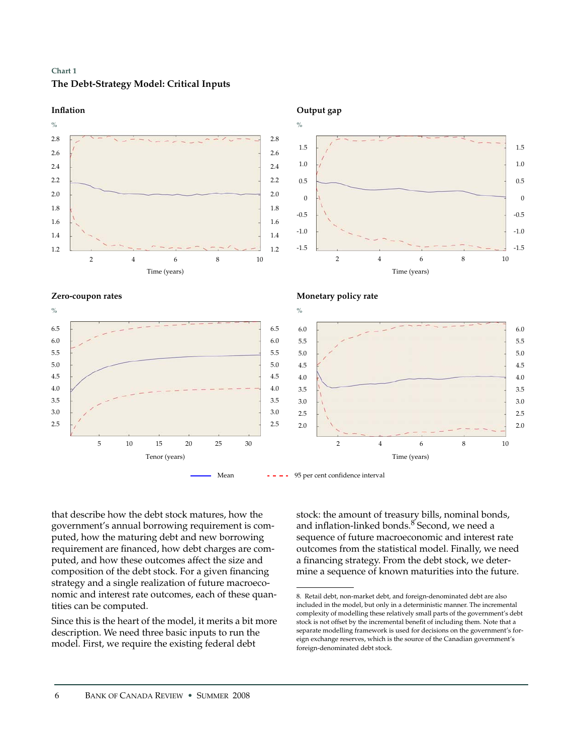## **Chart 1 The Debt-Strategy Model: Critical Inputs**



Mean  $--- 95$  per cent confidence interval

that describe how the debt stock matures, how the government's annual borrowing requirement is computed, how the maturing debt and new borrowing requirement are financed, how debt charges are computed, and how these outcomes affect the size and composition of the debt stock. For a given financing strategy and a single realization of future macroeconomic and interest rate outcomes, each of these quantities can be computed.

Since this is the heart of the model, it merits a bit more description. We need three basic inputs to run the model. First, we require the existing federal debt

stock: the amount of treasury bills, nominal bonds, and inflation-linked bonds. $8$  Second, we need a sequence of future macroeconomic and interest rate outcomes from the statistical model. Finally, we need a financing strategy. From the debt stock, we determine a sequence of known maturities into the future.

<sup>8.</sup> Retail debt, non-market debt, and foreign-denominated debt are also included in the model, but only in a deterministic manner. The incremental complexity of modelling these relatively small parts of the government's debt stock is not offset by the incremental benefit of including them. Note that a separate modelling framework is used for decisions on the government's foreign exchange reserves, which is the source of the Canadian government's foreign-denominated debt stock.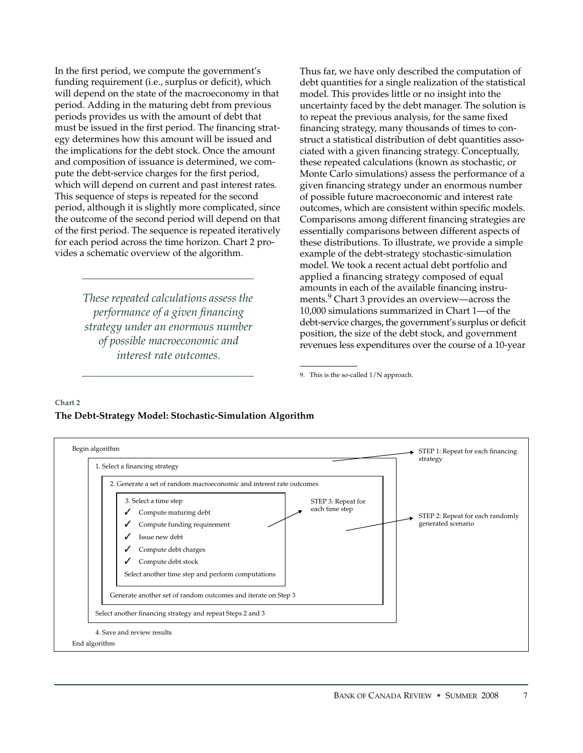In the first period, we compute the government's funding requirement (i.e., surplus or deficit), which will depend on the state of the macroeconomy in that period. Adding in the maturing debt from previous periods provides us with the amount of debt that must be issued in the first period. The financing strategy determines how this amount will be issued and the implications for the debt stock. Once the amount and composition of issuance is determined, we compute the debt-service charges for the first period, which will depend on current and past interest rates. This sequence of steps is repeated for the second period, although it is slightly more complicated, since the outcome of the second period will depend on that of the first period. The sequence is repeated iteratively for each period across the time horizon. Chart 2 provides a schematic overview of the algorithm.

> *These repeated calculations assess the performance of a given financing strategy under an enormous number of possible macroeconomic and interest rate outcomes.*

Thus far, we have only described the computation of debt quantities for a single realization of the statistical model. This provides little or no insight into the uncertainty faced by the debt manager. The solution is to repeat the previous analysis, for the same fixed financing strategy, many thousands of times to construct a statistical distribution of debt quantities associated with a given financing strategy. Conceptually, these repeated calculations (known as stochastic, or Monte Carlo simulations) assess the performance of a given financing strategy under an enormous number of possible future macroeconomic and interest rate outcomes, which are consistent within specific models. Comparisons among different financing strategies are essentially comparisons between different aspects of these distributions. To illustrate, we provide a simple example of the debt-strategy stochastic-simulation model. We took a recent actual debt portfolio and applied a financing strategy composed of equal amounts in each of the available financing instruments.<sup>9</sup> Chart 3 provides an overview—across the 10,000 simulations summarized in Chart 1—of the debt-service charges, the government's surplus or deficit position, the size of the debt stock, and government revenues less expenditures over the course of a 10-year

9. This is the so-called 1/N approach.

#### **Chart 2**

### **The Debt-Strategy Model: Stochastic-Simulation Algorithm**

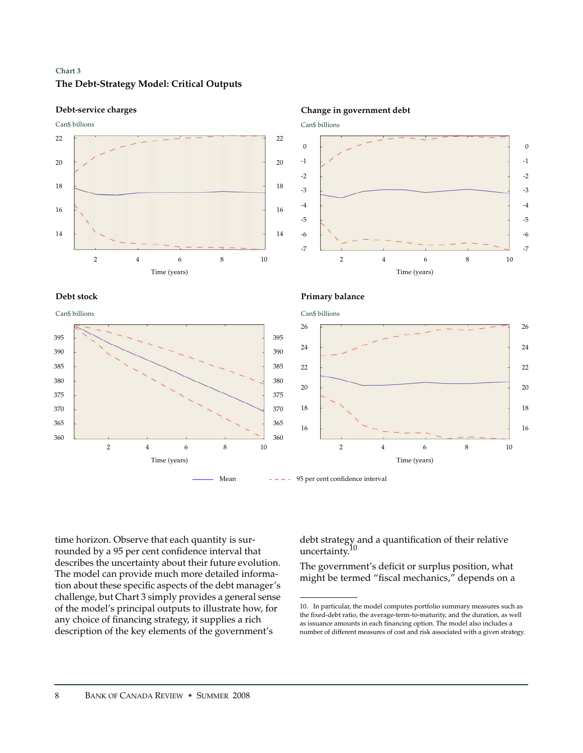## **Chart 3 The Debt-Strategy Model: Critical Outputs**

#### **Debt-service charges**



#### **Change in government debt**





Can\$ billions



**Primary balance**



Mean  $- - -$  95 per cent confidence interval

time horizon. Observe that each quantity is surrounded by a 95 per cent confidence interval that describes the uncertainty about their future evolution. The model can provide much more detailed information about these specific aspects of the debt manager's challenge, but Chart 3 simply provides a general sense of the model's principal outputs to illustrate how, for any choice of financing strategy, it supplies a rich description of the key elements of the government's

debt strategy and a quantification of their relative uncertainty.<sup>10</sup>

The government's deficit or surplus position, what might be termed "fiscal mechanics," depends on a

<sup>10.</sup> In particular, the model computes portfolio summary measures such as the fixed-debt ratio, the average-term-to-maturity, and the duration, as well as issuance amounts in each financing option. The model also includes a number of different measures of cost and risk associated with a given strategy.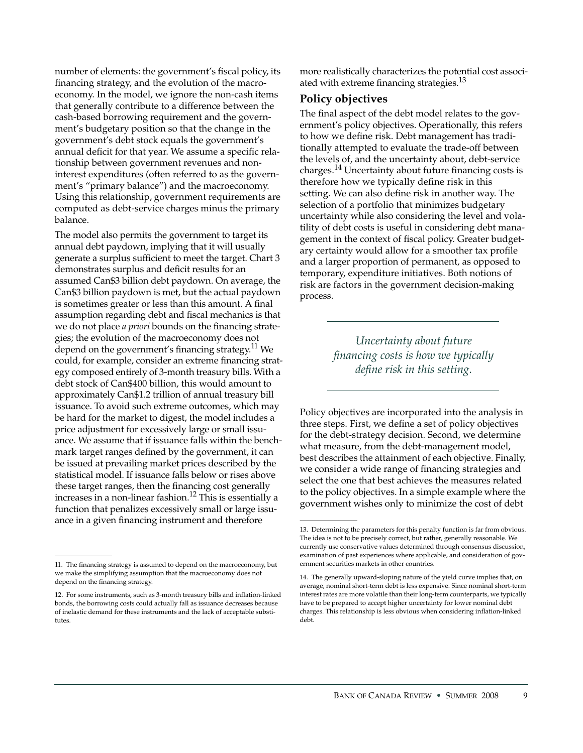number of elements: the government's fiscal policy, its financing strategy, and the evolution of the macroeconomy. In the model, we ignore the non-cash items that generally contribute to a difference between the cash-based borrowing requirement and the government's budgetary position so that the change in the government's debt stock equals the government's annual deficit for that year. We assume a specific relationship between government revenues and noninterest expenditures (often referred to as the government's "primary balance") and the macroeconomy. Using this relationship, government requirements are computed as debt-service charges minus the primary balance.

The model also permits the government to target its annual debt paydown, implying that it will usually generate a surplus sufficient to meet the target. Chart 3 demonstrates surplus and deficit results for an assumed Can\$3 billion debt paydown. On average, the Can\$3 billion paydown is met, but the actual paydown is sometimes greater or less than this amount. A final assumption regarding debt and fiscal mechanics is that we do not place *a priori* bounds on the financing strategies; the evolution of the macroeconomy does not depend on the government's financing strategy.<sup>11</sup> We could, for example, consider an extreme financing strategy composed entirely of 3-month treasury bills. With a debt stock of Can\$400 billion, this would amount to approximately Can\$1.2 trillion of annual treasury bill issuance. To avoid such extreme outcomes, which may be hard for the market to digest, the model includes a price adjustment for excessively large or small issuance. We assume that if issuance falls within the benchmark target ranges defined by the government, it can be issued at prevailing market prices described by the statistical model. If issuance falls below or rises above these target ranges, then the financing cost generally increases in a non-linear fashion.12 This is essentially a function that penalizes excessively small or large issuance in a given financing instrument and therefore

more realistically characterizes the potential cost associated with extreme financing strategies. $^{13}$ 

## **Policy objectives**

The final aspect of the debt model relates to the government's policy objectives. Operationally, this refers to how we define risk. Debt management has traditionally attempted to evaluate the trade-off between the levels of, and the uncertainty about, debt-service charges.14 Uncertainty about future financing costs is therefore how we typically define risk in this setting. We can also define risk in another way. The selection of a portfolio that minimizes budgetary uncertainty while also considering the level and volatility of debt costs is useful in considering debt management in the context of fiscal policy. Greater budgetary certainty would allow for a smoother tax profile and a larger proportion of permanent, as opposed to temporary, expenditure initiatives. Both notions of risk are factors in the government decision-making process.

> *Uncertainty about future financing costs is how we typically define risk in this setting.*

Policy objectives are incorporated into the analysis in three steps. First, we define a set of policy objectives for the debt-strategy decision. Second, we determine what measure, from the debt-management model, best describes the attainment of each objective. Finally, we consider a wide range of financing strategies and select the one that best achieves the measures related to the policy objectives. In a simple example where the government wishes only to minimize the cost of debt

<sup>11.</sup> The financing strategy is assumed to depend on the macroeconomy, but we make the simplifying assumption that the macroeconomy does not depend on the financing strategy.

<sup>12.</sup> For some instruments, such as 3-month treasury bills and inflation-linked bonds, the borrowing costs could actually fall as issuance decreases because of inelastic demand for these instruments and the lack of acceptable substitutes.

<sup>13.</sup> Determining the parameters for this penalty function is far from obvious. The idea is not to be precisely correct, but rather, generally reasonable. We currently use conservative values determined through consensus discussion, examination of past experiences where applicable, and consideration of government securities markets in other countries.

<sup>14.</sup> The generally upward-sloping nature of the yield curve implies that, on average, nominal short-term debt is less expensive. Since nominal short-term interest rates are more volatile than their long-term counterparts, we typically have to be prepared to accept higher uncertainty for lower nominal debt charges. This relationship is less obvious when considering inflation-linked debt.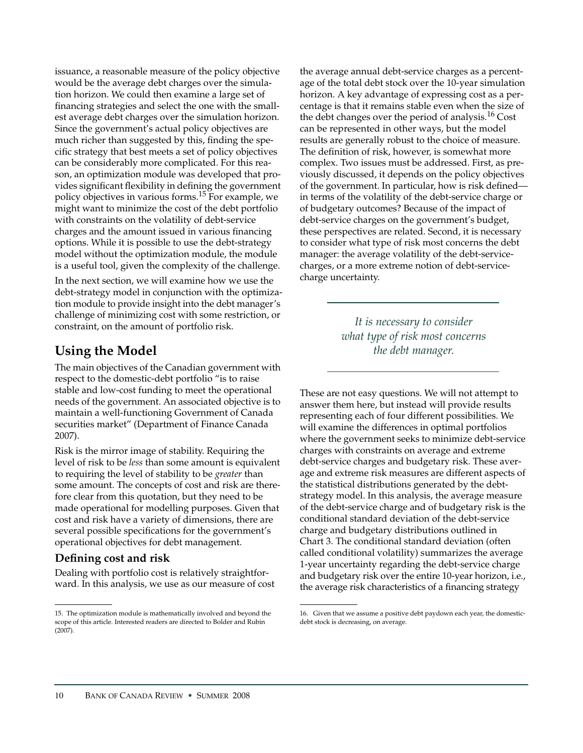issuance, a reasonable measure of the policy objective would be the average debt charges over the simulation horizon. We could then examine a large set of financing strategies and select the one with the smallest average debt charges over the simulation horizon. Since the government's actual policy objectives are much richer than suggested by this, finding the specific strategy that best meets a set of policy objectives can be considerably more complicated. For this reason, an optimization module was developed that provides significant flexibility in defining the government policy objectives in various forms.<sup>15</sup> For example, we might want to minimize the cost of the debt portfolio with constraints on the volatility of debt-service charges and the amount issued in various financing options. While it is possible to use the debt-strategy model without the optimization module, the module is a useful tool, given the complexity of the challenge.

In the next section, we will examine how we use the debt-strategy model in conjunction with the optimization module to provide insight into the debt manager's challenge of minimizing cost with some restriction, or constraint, on the amount of portfolio risk.

## **Using the Model**

The main objectives of the Canadian government with respect to the domestic-debt portfolio "is to raise stable and low-cost funding to meet the operational needs of the government. An associated objective is to maintain a well-functioning Government of Canada securities market" (Department of Finance Canada 2007).

Risk is the mirror image of stability. Requiring the level of risk to be *less* than some amount is equivalent to requiring the level of stability to be *greater* than some amount. The concepts of cost and risk are therefore clear from this quotation, but they need to be made operational for modelling purposes. Given that cost and risk have a variety of dimensions, there are several possible specifications for the government's operational objectives for debt management.

## **Defining cost and risk**

Dealing with portfolio cost is relatively straightforward. In this analysis, we use as our measure of cost the average annual debt-service charges as a percentage of the total debt stock over the 10-year simulation horizon. A key advantage of expressing cost as a percentage is that it remains stable even when the size of the debt changes over the period of analysis.<sup>16</sup> Cost can be represented in other ways, but the model results are generally robust to the choice of measure. The definition of risk, however, is somewhat more complex. Two issues must be addressed. First, as previously discussed, it depends on the policy objectives of the government. In particular, how is risk defined in terms of the volatility of the debt-service charge or of budgetary outcomes? Because of the impact of debt-service charges on the government's budget, these perspectives are related. Second, it is necessary to consider what type of risk most concerns the debt manager: the average volatility of the debt-servicecharges, or a more extreme notion of debt-servicecharge uncertainty.

> *It is necessary to consider what type of risk most concerns the debt manager.*

These are not easy questions. We will not attempt to answer them here, but instead will provide results representing each of four different possibilities. We will examine the differences in optimal portfolios where the government seeks to minimize debt-service charges with constraints on average and extreme debt-service charges and budgetary risk. These average and extreme risk measures are different aspects of the statistical distributions generated by the debtstrategy model. In this analysis, the average measure of the debt-service charge and of budgetary risk is the conditional standard deviation of the debt-service charge and budgetary distributions outlined in Chart 3. The conditional standard deviation (often called conditional volatility) summarizes the average 1-year uncertainty regarding the debt-service charge and budgetary risk over the entire 10-year horizon, i.e., the average risk characteristics of a financing strategy

<sup>15.</sup> The optimization module is mathematically involved and beyond the scope of this article. Interested readers are directed to Bolder and Rubin (2007).

<sup>16.</sup> Given that we assume a positive debt paydown each year, the domesticdebt stock is decreasing, on average.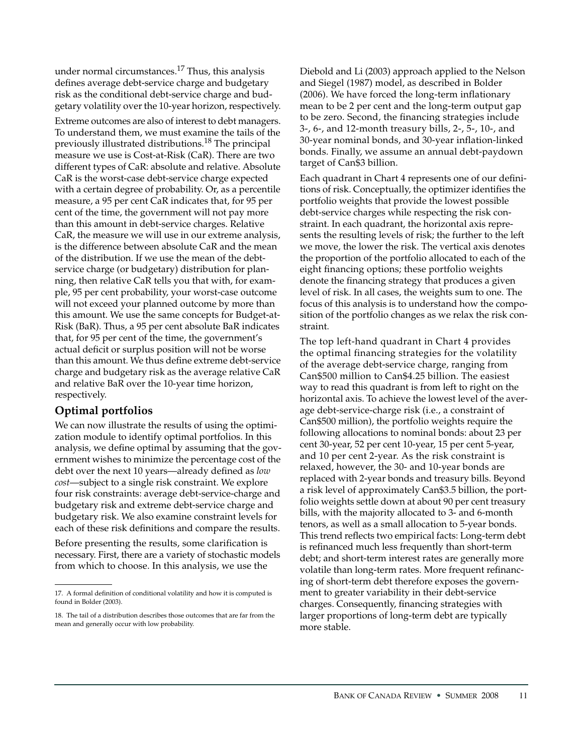under normal circumstances.<sup>17</sup> Thus, this analysis defines average debt-service charge and budgetary risk as the conditional debt-service charge and budgetary volatility over the 10-year horizon, respectively.

Extreme outcomes are also of interest to debt managers. To understand them, we must examine the tails of the previously illustrated distributions.<sup>18</sup> The principal measure we use is Cost-at-Risk (CaR). There are two different types of CaR: absolute and relative. Absolute CaR is the worst-case debt-service charge expected with a certain degree of probability. Or, as a percentile measure, a 95 per cent CaR indicates that, for 95 per cent of the time, the government will not pay more than this amount in debt-service charges. Relative CaR, the measure we will use in our extreme analysis, is the difference between absolute CaR and the mean of the distribution. If we use the mean of the debtservice charge (or budgetary) distribution for planning, then relative CaR tells you that with, for example, 95 per cent probability, your worst-case outcome will not exceed your planned outcome by more than this amount. We use the same concepts for Budget-at-Risk (BaR). Thus, a 95 per cent absolute BaR indicates that, for 95 per cent of the time, the government's actual deficit or surplus position will not be worse than this amount. We thus define extreme debt-service charge and budgetary risk as the average relative CaR and relative BaR over the 10-year time horizon, respectively.

## **Optimal portfolios**

We can now illustrate the results of using the optimization module to identify optimal portfolios. In this analysis, we define optimal by assuming that the government wishes to minimize the percentage cost of the debt over the next 10 years—already defined as *low cost*—subject to a single risk constraint. We explore four risk constraints: average debt-service-charge and budgetary risk and extreme debt-service charge and budgetary risk. We also examine constraint levels for each of these risk definitions and compare the results.

Before presenting the results, some clarification is necessary. First, there are a variety of stochastic models from which to choose. In this analysis, we use the

Diebold and Li (2003) approach applied to the Nelson and Siegel (1987) model, as described in Bolder (2006). We have forced the long-term inflationary mean to be 2 per cent and the long-term output gap to be zero. Second, the financing strategies include 3-, 6-, and 12-month treasury bills, 2-, 5-, 10-, and 30-year nominal bonds, and 30-year inflation-linked bonds. Finally, we assume an annual debt-paydown target of Can\$3 billion.

Each quadrant in Chart 4 represents one of our definitions of risk. Conceptually, the optimizer identifies the portfolio weights that provide the lowest possible debt-service charges while respecting the risk constraint. In each quadrant, the horizontal axis represents the resulting levels of risk; the further to the left we move, the lower the risk. The vertical axis denotes the proportion of the portfolio allocated to each of the eight financing options; these portfolio weights denote the financing strategy that produces a given level of risk. In all cases, the weights sum to one. The focus of this analysis is to understand how the composition of the portfolio changes as we relax the risk constraint.

The top left-hand quadrant in Chart 4 provides the optimal financing strategies for the volatility of the average debt-service charge, ranging from Can\$500 million to Can\$4.25 billion. The easiest way to read this quadrant is from left to right on the horizontal axis. To achieve the lowest level of the average debt-service-charge risk (i.e., a constraint of Can\$500 million), the portfolio weights require the following allocations to nominal bonds: about 23 per cent 30-year, 52 per cent 10-year, 15 per cent 5-year, and 10 per cent 2-year. As the risk constraint is relaxed, however, the 30- and 10-year bonds are replaced with 2-year bonds and treasury bills. Beyond a risk level of approximately Can\$3.5 billion, the portfolio weights settle down at about 90 per cent treasury bills, with the majority allocated to 3- and 6-month tenors, as well as a small allocation to 5-year bonds. This trend reflects two empirical facts: Long-term debt is refinanced much less frequently than short-term debt; and short-term interest rates are generally more volatile than long-term rates. More frequent refinancing of short-term debt therefore exposes the government to greater variability in their debt-service charges. Consequently, financing strategies with larger proportions of long-term debt are typically more stable.

<sup>17.</sup> A formal definition of conditional volatility and how it is computed is found in Bolder (2003).

<sup>18.</sup> The tail of a distribution describes those outcomes that are far from the mean and generally occur with low probability.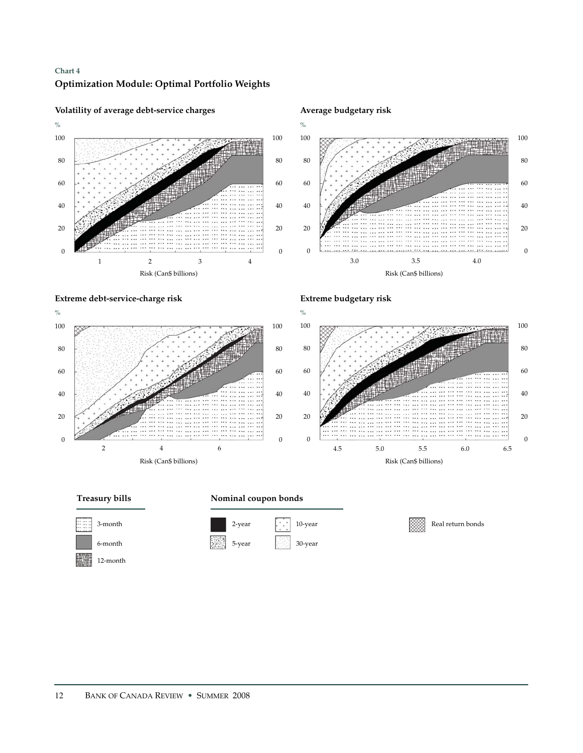## **Chart 4 Optimization Module: Optimal Portfolio Weights**



**Volatility of average debt-service charges**

#### **Average budgetary risk**



**Extreme debt-service-charge risk**



**Extreme budgetary risk**





3-month 6-month 12-month

#### Treasury bills **Nominal coupon bonds**



10-year Real return bonds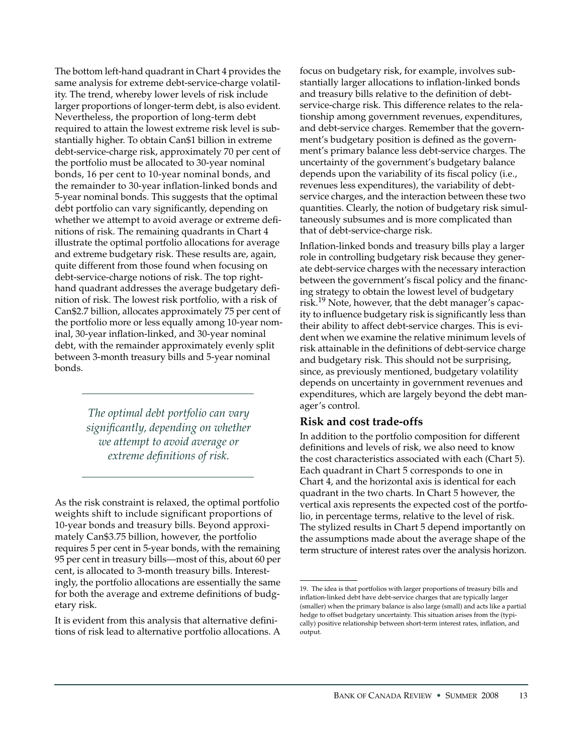The bottom left-hand quadrant in Chart 4 provides the same analysis for extreme debt-service-charge volatility. The trend, whereby lower levels of risk include larger proportions of longer-term debt, is also evident. Nevertheless, the proportion of long-term debt required to attain the lowest extreme risk level is substantially higher. To obtain Can\$1 billion in extreme debt-service-charge risk, approximately 70 per cent of the portfolio must be allocated to 30-year nominal bonds, 16 per cent to 10-year nominal bonds, and the remainder to 30-year inflation-linked bonds and 5-year nominal bonds. This suggests that the optimal debt portfolio can vary significantly, depending on whether we attempt to avoid average or extreme definitions of risk. The remaining quadrants in Chart 4 illustrate the optimal portfolio allocations for average and extreme budgetary risk. These results are, again, quite different from those found when focusing on debt-service-charge notions of risk. The top righthand quadrant addresses the average budgetary definition of risk. The lowest risk portfolio, with a risk of Can\$2.7 billion, allocates approximately 75 per cent of the portfolio more or less equally among 10-year nominal, 30-year inflation-linked, and 30-year nominal debt, with the remainder approximately evenly split between 3-month treasury bills and 5-year nominal bonds.

> *The optimal debt portfolio can vary significantly, depending on whether we attempt to avoid average or extreme definitions of risk.*

As the risk constraint is relaxed, the optimal portfolio weights shift to include significant proportions of 10-year bonds and treasury bills. Beyond approximately Can\$3.75 billion, however, the portfolio requires 5 per cent in 5-year bonds, with the remaining 95 per cent in treasury bills—most of this, about 60 per cent, is allocated to 3-month treasury bills. Interestingly, the portfolio allocations are essentially the same for both the average and extreme definitions of budgetary risk.

It is evident from this analysis that alternative definitions of risk lead to alternative portfolio allocations. A focus on budgetary risk, for example, involves substantially larger allocations to inflation-linked bonds and treasury bills relative to the definition of debtservice-charge risk. This difference relates to the relationship among government revenues, expenditures, and debt-service charges. Remember that the government's budgetary position is defined as the government's primary balance less debt-service charges. The uncertainty of the government's budgetary balance depends upon the variability of its fiscal policy (i.e., revenues less expenditures), the variability of debtservice charges, and the interaction between these two quantities. Clearly, the notion of budgetary risk simultaneously subsumes and is more complicated than that of debt-service-charge risk.

Inflation-linked bonds and treasury bills play a larger role in controlling budgetary risk because they generate debt-service charges with the necessary interaction between the government's fiscal policy and the financing strategy to obtain the lowest level of budgetary risk.19 Note, however, that the debt manager's capacity to influence budgetary risk is significantly less than their ability to affect debt-service charges. This is evident when we examine the relative minimum levels of risk attainable in the definitions of debt-service charge and budgetary risk. This should not be surprising, since, as previously mentioned, budgetary volatility depends on uncertainty in government revenues and expenditures, which are largely beyond the debt manager's control.

## **Risk and cost trade-offs**

In addition to the portfolio composition for different definitions and levels of risk, we also need to know the cost characteristics associated with each (Chart 5). Each quadrant in Chart 5 corresponds to one in Chart 4, and the horizontal axis is identical for each quadrant in the two charts. In Chart 5 however, the vertical axis represents the expected cost of the portfolio, in percentage terms, relative to the level of risk. The stylized results in Chart 5 depend importantly on the assumptions made about the average shape of the term structure of interest rates over the analysis horizon.

<sup>19.</sup> The idea is that portfolios with larger proportions of treasury bills and inflation-linked debt have debt-service charges that are typically larger (smaller) when the primary balance is also large (small) and acts like a partial hedge to offset budgetary uncertainty. This situation arises from the (typically) positive relationship between short-term interest rates, inflation, and output.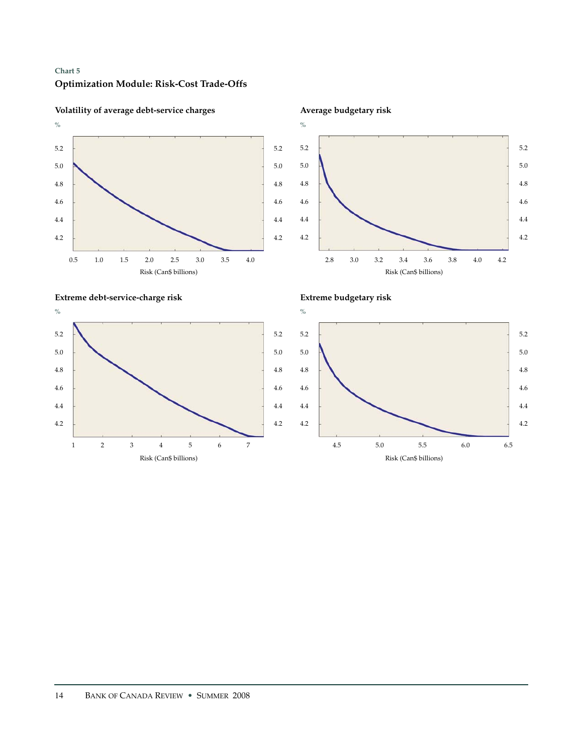## **Chart 5 Optimization Module: Risk-Cost Trade-Offs**



**Volatility of average debt-service charges**

#### **Average budgetary risk**









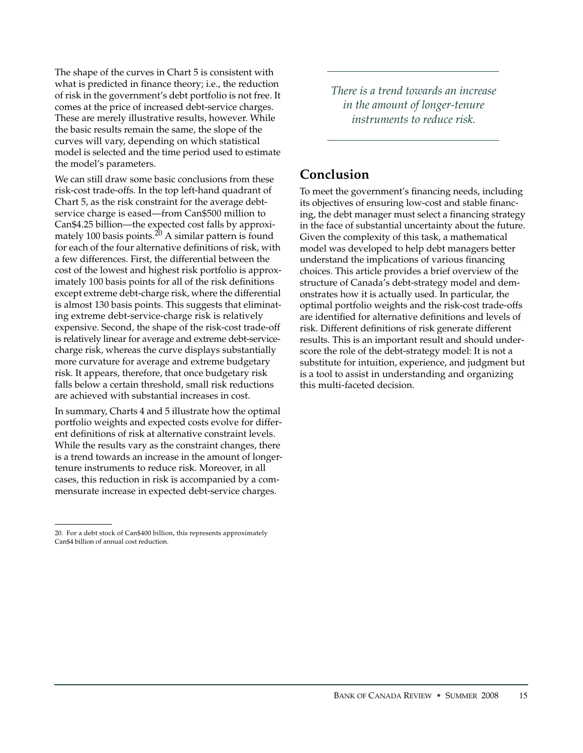The shape of the curves in Chart 5 is consistent with what is predicted in finance theory; i.e., the reduction of risk in the government's debt portfolio is not free. It comes at the price of increased debt-service charges. These are merely illustrative results, however. While the basic results remain the same, the slope of the curves will vary, depending on which statistical model is selected and the time period used to estimate the model's parameters.

We can still draw some basic conclusions from these risk-cost trade-offs. In the top left-hand quadrant of Chart 5, as the risk constraint for the average debtservice charge is eased—from Can\$500 million to Can\$4.25 billion—the expected cost falls by approximately 100 basis points. $^{20}$  A similar pattern is found for each of the four alternative definitions of risk, with a few differences. First, the differential between the cost of the lowest and highest risk portfolio is approximately 100 basis points for all of the risk definitions except extreme debt-charge risk, where the differential is almost 130 basis points. This suggests that eliminating extreme debt-service-charge risk is relatively expensive. Second, the shape of the risk-cost trade-off is relatively linear for average and extreme debt-servicecharge risk, whereas the curve displays substantially more curvature for average and extreme budgetary risk. It appears, therefore, that once budgetary risk falls below a certain threshold, small risk reductions are achieved with substantial increases in cost.

In summary, Charts 4 and 5 illustrate how the optimal portfolio weights and expected costs evolve for different definitions of risk at alternative constraint levels. While the results vary as the constraint changes, there is a trend towards an increase in the amount of longertenure instruments to reduce risk. Moreover, in all cases, this reduction in risk is accompanied by a commensurate increase in expected debt-service charges.

20. For a debt stock of Can\$400 billion, this represents approximately Can\$4 billion of annual cost reduction.

*There is a trend towards an increase in the amount of longer-tenure instruments to reduce risk.*

## **Conclusion**

To meet the government's financing needs, including its objectives of ensuring low-cost and stable financing, the debt manager must select a financing strategy in the face of substantial uncertainty about the future. Given the complexity of this task, a mathematical model was developed to help debt managers better understand the implications of various financing choices. This article provides a brief overview of the structure of Canada's debt-strategy model and demonstrates how it is actually used. In particular, the optimal portfolio weights and the risk-cost trade-offs are identified for alternative definitions and levels of risk. Different definitions of risk generate different results. This is an important result and should underscore the role of the debt-strategy model: It is not a substitute for intuition, experience, and judgment but is a tool to assist in understanding and organizing this multi-faceted decision.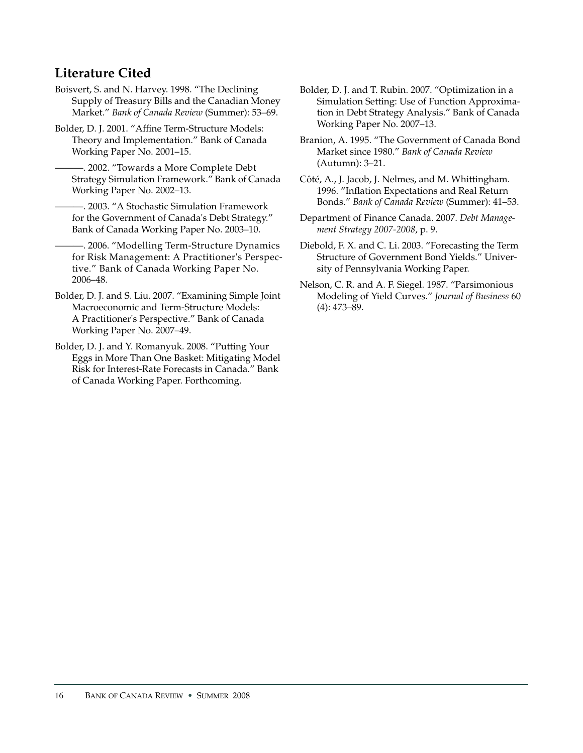## **Literature Cited**

- Boisvert, S. and N. Harvey. 1998. "The Declining Supply of Treasury Bills and the Canadian Money Market." *Bank of Canada Review* (Summer): 53–69.
- Bolder, D. J. 2001. "Affine Term-Structure Models: Theory and Implementation." Bank of Canada Working Paper No. 2001–15.
	- ———. 2002. "Towards a More Complete Debt Strategy Simulation Framework." Bank of Canada Working Paper No. 2002–13.
	- -. 2003. "A Stochastic Simulation Framework for the Government of Canada's Debt Strategy." Bank of Canada Working Paper No. 2003–10.

-. 2006. "Modelling Term-Structure Dynamics for Risk Management: A Practitioner's Perspective." Bank of Canada Working Paper No. 2006–48.

- Bolder, D. J. and S. Liu. 2007. "Examining Simple Joint Macroeconomic and Term-Structure Models: A Practitioner's Perspective." Bank of Canada Working Paper No. 2007–49.
- Bolder, D. J. and Y. Romanyuk. 2008. "Putting Your Eggs in More Than One Basket: Mitigating Model Risk for Interest-Rate Forecasts in Canada." Bank of Canada Working Paper. Forthcoming.
- Bolder, D. J. and T. Rubin. 2007. "Optimization in a Simulation Setting: Use of Function Approximation in Debt Strategy Analysis." Bank of Canada Working Paper No. 2007–13.
- Branion, A. 1995. "The Government of Canada Bond Market since 1980." *Bank of Canada Review* (Autumn): 3–21.
- Côté, A., J. Jacob, J. Nelmes, and M. Whittingham. 1996. "Inflation Expectations and Real Return Bonds." *Bank of Canada Review* (Summer): 41–53.
- Department of Finance Canada. 2007. *Debt Management Strategy 2007-2008*, p. 9.
- Diebold, F. X. and C. Li. 2003. "Forecasting the Term Structure of Government Bond Yields." University of Pennsylvania Working Paper.
- Nelson, C. R. and A. F. Siegel. 1987. "Parsimonious Modeling of Yield Curves." *Journal of Business* 60 (4): 473–89.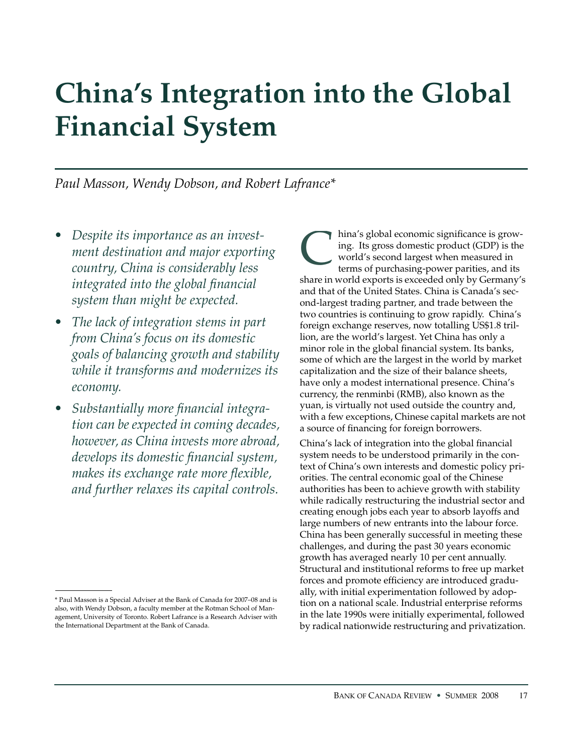## <span id="page-18-0"></span>**China's Integration into the Global Financial System**

*Paul Masson, Wendy Dobson, and Robert Lafrance\**

- *Despite its importance as an investment destination and major exporting country, China is considerably less integrated into the global financial system than might be expected.*
- *The lack of integration stems in part from China's focus on its domestic goals of balancing growth and stability while it transforms and modernizes its economy.*
- *Substantially more financial integration can be expected in coming decades, however, as China invests more abroad, develops its domestic financial system, makes its exchange rate more flexible, and further relaxes its capital controls.*

hina's global economic significance is growing. Its gross domestic product (GDP) is the world's second largest when measured in terms of purchasing-power parities, and its share in world exports is exceeded only by Germany's and that of the United States. China is Canada's second-largest trading partner, and trade between the two countries is continuing to grow rapidly. China's foreign exchange reserves, now totalling US\$1.8 trillion, are the world's largest. Yet China has only a minor role in the global financial system. Its banks, some of which are the largest in the world by market capitalization and the size of their balance sheets, have only a modest international presence. China's currency, the renminbi (RMB), also known as the yuan, is virtually not used outside the country and, with a few exceptions, Chinese capital markets are not a source of financing for foreign borrowers. C

China's lack of integration into the global financial system needs to be understood primarily in the context of China's own interests and domestic policy priorities. The central economic goal of the Chinese authorities has been to achieve growth with stability while radically restructuring the industrial sector and creating enough jobs each year to absorb layoffs and large numbers of new entrants into the labour force. China has been generally successful in meeting these challenges, and during the past 30 years economic growth has averaged nearly 10 per cent annually. Structural and institutional reforms to free up market forces and promote efficiency are introduced gradually, with initial experimentation followed by adoption on a national scale. Industrial enterprise reforms in the late 1990s were initially experimental, followed by radical nationwide restructuring and privatization.

<sup>\*</sup> Paul Masson is a Special Adviser at the Bank of Canada for 2007–08 and is also, with Wendy Dobson, a faculty member at the Rotman School of Management, University of Toronto. Robert Lafrance is a Research Adviser with the International Department at the Bank of Canada.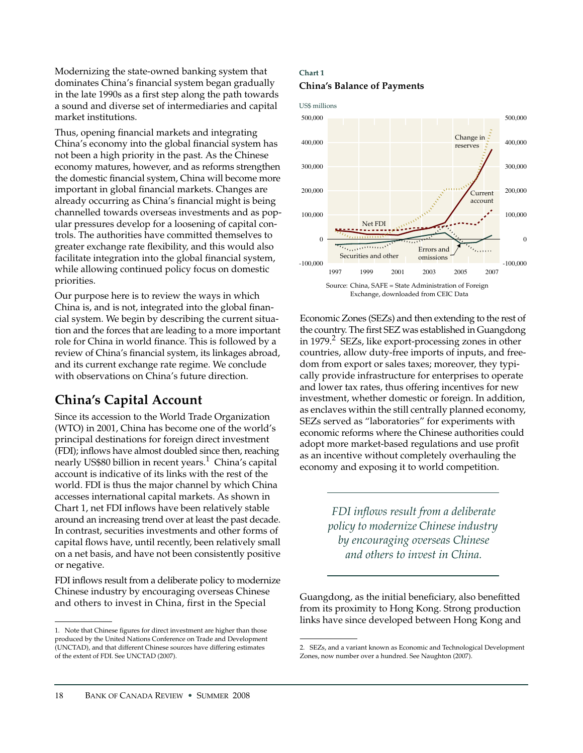Modernizing the state-owned banking system that dominates China's financial system began gradually in the late 1990s as a first step along the path towards a sound and diverse set of intermediaries and capital market institutions.

Thus, opening financial markets and integrating China's economy into the global financial system has not been a high priority in the past. As the Chinese economy matures, however, and as reforms strengthen the domestic financial system, China will become more important in global financial markets. Changes are already occurring as China's financial might is being channelled towards overseas investments and as popular pressures develop for a loosening of capital controls. The authorities have committed themselves to greater exchange rate flexibility, and this would also facilitate integration into the global financial system, while allowing continued policy focus on domestic priorities.

Our purpose here is to review the ways in which China is, and is not, integrated into the global financial system. We begin by describing the current situation and the forces that are leading to a more important role for China in world finance. This is followed by a review of China's financial system, its linkages abroad, and its current exchange rate regime. We conclude with observations on China's future direction.

## **China's Capital Account**

Since its accession to the World Trade Organization (WTO) in 2001, China has become one of the world's principal destinations for foreign direct investment (FDI); inflows have almost doubled since then, reaching nearly US\$80 billion in recent years. $<sup>1</sup>$  China's capital</sup> account is indicative of its links with the rest of the world. FDI is thus the major channel by which China accesses international capital markets. As shown in Chart 1, net FDI inflows have been relatively stable around an increasing trend over at least the past decade. In contrast, securities investments and other forms of capital flows have, until recently, been relatively small on a net basis, and have not been consistently positive or negative.

FDI inflows result from a deliberate policy to modernize Chinese industry by encouraging overseas Chinese and others to invest in China, first in the Special

## **Chart 1 China's Balance of Payments**



Exchange, downloaded from CEIC Data

Economic Zones (SEZs) and then extending to the rest of the country. The first SEZ was established in Guangdong in  $1979<sup>2</sup>$  SEZs, like export-processing zones in other countries, allow duty-free imports of inputs, and freedom from export or sales taxes; moreover, they typically provide infrastructure for enterprises to operate and lower tax rates, thus offering incentives for new investment, whether domestic or foreign. In addition, as enclaves within the still centrally planned economy, SEZs served as "laboratories" for experiments with economic reforms where the Chinese authorities could adopt more market-based regulations and use profit as an incentive without completely overhauling the economy and exposing it to world competition.

> *FDI inflows result from a deliberate policy to modernize Chinese industry by encouraging overseas Chinese and others to invest in China.*

Guangdong, as the initial beneficiary, also benefitted from its proximity to Hong Kong. Strong production links have since developed between Hong Kong and

<sup>1.</sup> Note that Chinese figures for direct investment are higher than those produced by the United Nations Conference on Trade and Development (UNCTAD), and that different Chinese sources have differing estimates of the extent of FDI. See UNCTAD (2007).

<sup>2.</sup> SEZs, and a variant known as Economic and Technological Development Zones, now number over a hundred. See Naughton (2007).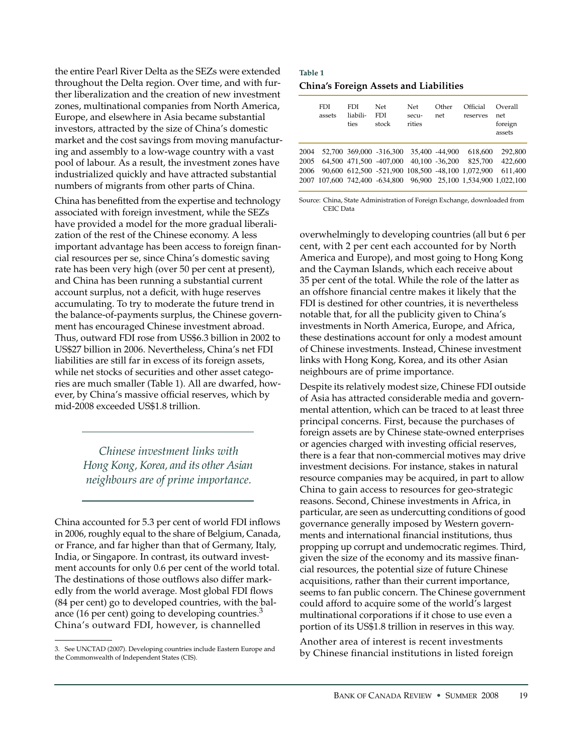the entire Pearl River Delta as the SEZs were extended throughout the Delta region. Over time, and with further liberalization and the creation of new investment zones, multinational companies from North America, Europe, and elsewhere in Asia became substantial investors, attracted by the size of China's domestic market and the cost savings from moving manufacturing and assembly to a low-wage country with a vast pool of labour. As a result, the investment zones have industrialized quickly and have attracted substantial numbers of migrants from other parts of China.

China has benefitted from the expertise and technology associated with foreign investment, while the SEZs have provided a model for the more gradual liberalization of the rest of the Chinese economy. A less important advantage has been access to foreign financial resources per se, since China's domestic saving rate has been very high (over 50 per cent at present), and China has been running a substantial current account surplus, not a deficit, with huge reserves accumulating. To try to moderate the future trend in the balance-of-payments surplus, the Chinese government has encouraged Chinese investment abroad. Thus, outward FDI rose from US\$6.3 billion in 2002 to US\$27 billion in 2006. Nevertheless, China's net FDI liabilities are still far in excess of its foreign assets, while net stocks of securities and other asset categories are much smaller (Table 1). All are dwarfed, however, by China's massive official reserves, which by mid-2008 exceeded US\$1.8 trillion.

> *Chinese investment links with Hong Kong, Korea, and its other Asian neighbours are of prime importance.*

China accounted for 5.3 per cent of world FDI inflows in 2006, roughly equal to the share of Belgium, Canada, or France, and far higher than that of Germany, Italy, India, or Singapore. In contrast, its outward investment accounts for only 0.6 per cent of the world total. The destinations of those outflows also differ markedly from the world average. Most global FDI flows (84 per cent) go to developed countries, with the balance (16 per cent) going to developing countries. $3$ China's outward FDI, however, is channelled

## **Table 1 China's Foreign Assets and Liabilities**

|      | <b>FDI</b><br>assets | FDI<br>liabili-<br>ties | Net<br><b>FDI</b><br>stock             | Net<br>secu-<br>rities | Other<br>net     | Official<br>reserves                                            | Overall<br>net<br>foreign<br>assets |
|------|----------------------|-------------------------|----------------------------------------|------------------------|------------------|-----------------------------------------------------------------|-------------------------------------|
| 2004 |                      |                         | 52,700 369,000 -316,300 35,400 -44,900 |                        |                  | 618,600                                                         | 292,800                             |
| 2005 |                      |                         | 64,500 471,500 -407,000                |                        | $40,100 -36,200$ | 825,700                                                         | 422,600                             |
| 2006 |                      |                         |                                        |                        |                  | 90,600 612,500 -521,900 108,500 -48,100 1,072,900               | 611.400                             |
|      |                      |                         |                                        |                        |                  | 2007 107,600 742,400 -634,800 96,900 25,100 1,534,900 1,022,100 |                                     |

Source: China, State Administration of Foreign Exchange, downloaded from CEIC Data

overwhelmingly to developing countries (all but 6 per cent, with 2 per cent each accounted for by North America and Europe), and most going to Hong Kong and the Cayman Islands, which each receive about 35 per cent of the total. While the role of the latter as an offshore financial centre makes it likely that the FDI is destined for other countries, it is nevertheless notable that, for all the publicity given to China's investments in North America, Europe, and Africa, these destinations account for only a modest amount of Chinese investments. Instead, Chinese investment links with Hong Kong, Korea, and its other Asian neighbours are of prime importance.

Despite its relatively modest size, Chinese FDI outside of Asia has attracted considerable media and governmental attention, which can be traced to at least three principal concerns. First, because the purchases of foreign assets are by Chinese state-owned enterprises or agencies charged with investing official reserves, there is a fear that non-commercial motives may drive investment decisions. For instance, stakes in natural resource companies may be acquired, in part to allow China to gain access to resources for geo-strategic reasons. Second, Chinese investments in Africa, in particular, are seen as undercutting conditions of good governance generally imposed by Western governments and international financial institutions, thus propping up corrupt and undemocratic regimes. Third, given the size of the economy and its massive financial resources, the potential size of future Chinese acquisitions, rather than their current importance, seems to fan public concern. The Chinese government could afford to acquire some of the world's largest multinational corporations if it chose to use even a portion of its US\$1.8 trillion in reserves in this way.

Another area of interest is recent investments by Chinese financial institutions in listed foreign

<sup>3.</sup> See UNCTAD (2007). Developing countries include Eastern Europe and the Commonwealth of Independent States (CIS).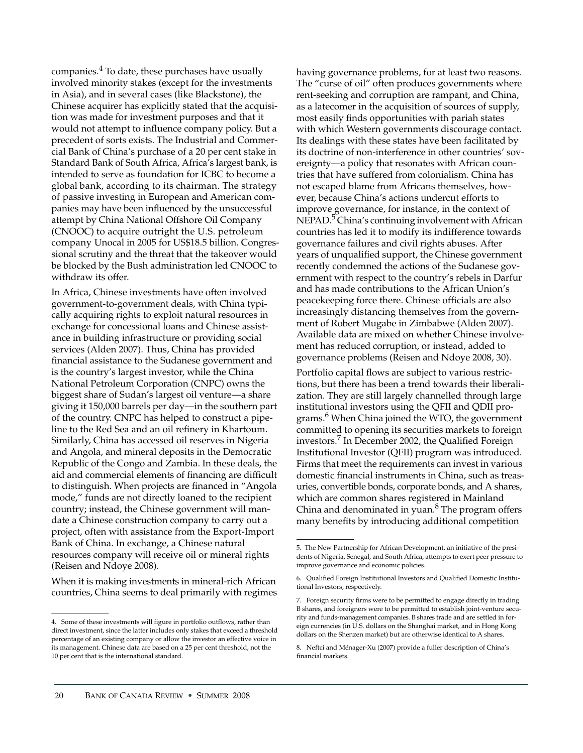companies. $^4$  To date, these purchases have usually involved minority stakes (except for the investments in Asia), and in several cases (like Blackstone), the Chinese acquirer has explicitly stated that the acquisition was made for investment purposes and that it would not attempt to influence company policy. But a precedent of sorts exists. The Industrial and Commercial Bank of China's purchase of a 20 per cent stake in Standard Bank of South Africa, Africa's largest bank, is intended to serve as foundation for ICBC to become a global bank, according to its chairman. The strategy of passive investing in European and American companies may have been influenced by the unsuccessful attempt by China National Offshore Oil Company (CNOOC) to acquire outright the U.S. petroleum company Unocal in 2005 for US\$18.5 billion. Congressional scrutiny and the threat that the takeover would be blocked by the Bush administration led CNOOC to withdraw its offer.

In Africa, Chinese investments have often involved government-to-government deals, with China typically acquiring rights to exploit natural resources in exchange for concessional loans and Chinese assistance in building infrastructure or providing social services (Alden 2007). Thus, China has provided financial assistance to the Sudanese government and is the country's largest investor, while the China National Petroleum Corporation (CNPC) owns the biggest share of Sudan's largest oil venture—a share giving it 150,000 barrels per day—in the southern part of the country. CNPC has helped to construct a pipeline to the Red Sea and an oil refinery in Khartoum. Similarly, China has accessed oil reserves in Nigeria and Angola, and mineral deposits in the Democratic Republic of the Congo and Zambia. In these deals, the aid and commercial elements of financing are difficult to distinguish. When projects are financed in "Angola mode," funds are not directly loaned to the recipient country; instead, the Chinese government will mandate a Chinese construction company to carry out a project, often with assistance from the Export-Import Bank of China. In exchange, a Chinese natural resources company will receive oil or mineral rights (Reisen and Ndoye 2008).

When it is making investments in mineral-rich African countries, China seems to deal primarily with regimes having governance problems, for at least two reasons. The "curse of oil" often produces governments where rent-seeking and corruption are rampant, and China, as a latecomer in the acquisition of sources of supply, most easily finds opportunities with pariah states with which Western governments discourage contact. Its dealings with these states have been facilitated by its doctrine of non-interference in other countries' sovereignty—a policy that resonates with African countries that have suffered from colonialism. China has not escaped blame from Africans themselves, however, because China's actions undercut efforts to improve governance, for instance, in the context of NEPAD.<sup>5</sup> China's continuing involvement with African countries has led it to modify its indifference towards governance failures and civil rights abuses. After years of unqualified support, the Chinese government recently condemned the actions of the Sudanese government with respect to the country's rebels in Darfur and has made contributions to the African Union's peacekeeping force there. Chinese officials are also increasingly distancing themselves from the government of Robert Mugabe in Zimbabwe (Alden 2007). Available data are mixed on whether Chinese involvement has reduced corruption, or instead, added to governance problems (Reisen and Ndoye 2008, 30).

Portfolio capital flows are subject to various restrictions, but there has been a trend towards their liberalization. They are still largely channelled through large institutional investors using the QFII and QDII programs.<sup>6</sup> When China joined the WTO, the government committed to opening its securities markets to foreign investors.7 In December 2002, the Qualified Foreign Institutional Investor (QFII) program was introduced. Firms that meet the requirements can invest in various domestic financial instruments in China, such as treasuries, convertible bonds, corporate bonds, and A shares, which are common shares registered in Mainland China and denominated in yuan.<sup>8</sup> The program offers many benefits by introducing additional competition

<sup>4.</sup> Some of these investments will figure in portfolio outflows, rather than direct investment, since the latter includes only stakes that exceed a threshold percentage of an existing company or allow the investor an effective voice in its management. Chinese data are based on a 25 per cent threshold, not the 10 per cent that is the international standard.

<sup>5.</sup> The New Partnership for African Development, an initiative of the presidents of Nigeria, Senegal, and South Africa, attempts to exert peer pressure to improve governance and economic policies.

<sup>6.</sup> Qualified Foreign Institutional Investors and Qualified Domestic Institutional Investors, respectively.

<sup>7.</sup> Foreign security firms were to be permitted to engage directly in trading B shares, and foreigners were to be permitted to establish joint-venture security and funds-management companies. B shares trade and are settled in foreign currencies (in U.S. dollars on the Shanghai market, and in Hong Kong dollars on the Shenzen market) but are otherwise identical to A shares.

<sup>8.</sup> Neftci and Ménager-Xu (2007) provide a fuller description of China's financial markets.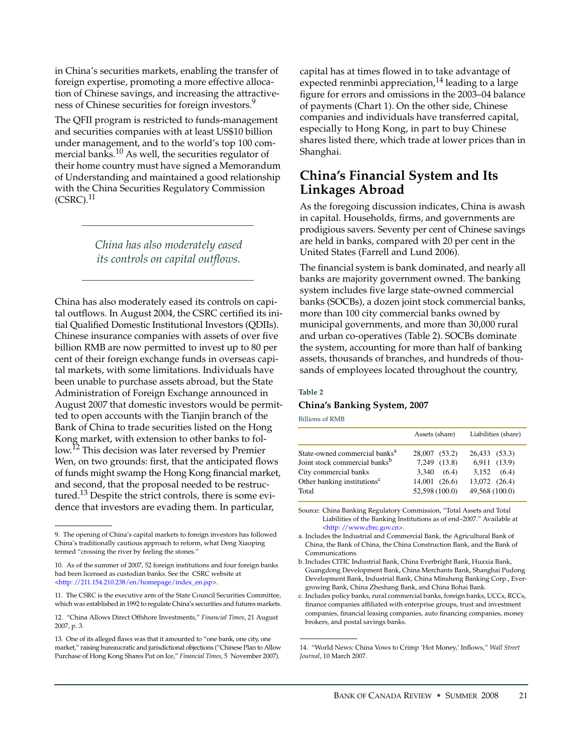in China's securities markets, enabling the transfer of foreign expertise, promoting a more effective allocation of Chinese savings, and increasing the attractiveness of Chinese securities for foreign investors.<sup>9</sup>

The QFII program is restricted to funds-management and securities companies with at least US\$10 billion under management, and to the world's top 100 commercial banks.<sup>10</sup> As well, the securities regulator of their home country must have signed a Memorandum of Understanding and maintained a good relationship with the China Securities Regulatory Commission  $(CSRC).$ <sup>11</sup>

> *China has also moderately eased its controls on capital outflows.*

China has also moderately eased its controls on capital outflows. In August 2004, the CSRC certified its initial Qualified Domestic Institutional Investors (QDIIs). Chinese insurance companies with assets of over five billion RMB are now permitted to invest up to 80 per cent of their foreign exchange funds in overseas capital markets, with some limitations. Individuals have been unable to purchase assets abroad, but the State Administration of Foreign Exchange announced in August 2007 that domestic investors would be permitted to open accounts with the Tianjin branch of the Bank of China to trade securities listed on the Hong Kong market, with extension to other banks to follow.<sup>12</sup> This decision was later reversed by Premier Wen, on two grounds: first, that the anticipated flows of funds might swamp the Hong Kong financial market, and second, that the proposal needed to be restructured.<sup>13</sup> Despite the strict controls, there is some evidence that investors are evading them. In particular,

capital has at times flowed in to take advantage of expected renminbi appreciation, $14$  leading to a large figure for errors and omissions in the 2003–04 balance of payments (Chart 1). On the other side, Chinese companies and individuals have transferred capital, especially to Hong Kong, in part to buy Chinese shares listed there, which trade at lower prices than in Shanghai.

## **China's Financial System and Its Linkages Abroad**

As the foregoing discussion indicates, China is awash in capital. Households, firms, and governments are prodigious savers. Seventy per cent of Chinese savings are held in banks, compared with 20 per cent in the United States (Farrell and Lund 2006).

The financial system is bank dominated, and nearly all banks are majority government owned. The banking system includes five large state-owned commercial banks (SOCBs), a dozen joint stock commercial banks, more than 100 city commercial banks owned by municipal governments, and more than 30,000 rural and urban co-operatives (Table 2). SOCBs dominate the system, accounting for more than half of banking assets, thousands of branches, and hundreds of thousands of employees located throughout the country,

#### **Table 2**

#### **China's Banking System, 2007**

Billions of RMB

|                                           | Assets (share) | Liabilities (share) |  |
|-------------------------------------------|----------------|---------------------|--|
| State-owned commercial banks <sup>a</sup> | 28,007 (53.2)  | 26,433 (53.3)       |  |
| Joint stock commercial banks <sup>b</sup> | 7,249 (13.8)   | 6,911 (13.9)        |  |
| City commercial banks                     | 3.340(6.4)     | 3.152(6.4)          |  |
| Other banking institutions <sup>c</sup>   | 14.001 (26.6)  | 13,072 (26.4)       |  |
| Total                                     | 52,598 (100.0) | 49,568 (100.0)      |  |

Source: China Banking Regulatory Commission, "Total Assets and Total Liabilities of the Banking Institutions as of end–2007." Available at <http: [//www.cbrc.gov.cn>](http://www.cbrc.gov.cn).

a. Includes the Industrial and Commercial Bank, the Agricultural Bank of China, the Bank of China, the China Construction Bank, and the Bank of Communications.

<sup>9.</sup> The opening of China's capital markets to foreign investors has followed China's traditionally cautious approach to reform, what Deng Xiaoping termed "crossing the river by feeling the stones."

<sup>10.</sup> As of the summer of 2007, 52 foreign institutions and four foreign banks had been licensed as custodian banks. See the CSRC website at <http: [//211.154.210.238/en/homepage/index\\_en.jsp>](http://211.154.210.238/en/homepage/index_en.jsp).

<sup>11.</sup> The CSRC is the executive arm of the State Council Securities Committee, which was established in 1992 to regulate China's securities and futures markets.

<sup>12. &</sup>quot;China Allows Direct Offshore Investments," *Financial Times*, 21 August 2007, p. 3.

<sup>13.</sup> One of its alleged flaws was that it amounted to "one bank, one city, one market," raising bureaucratic and jurisdictional objections ("Chinese Plan to Allow Purchase of Hong Kong Shares Put on Ice," *Financial Times*, 5 November 2007).

b. Includes CITIC Industrial Bank, China Everbright Bank, Huaxia Bank, Guangdong Development Bank, China Merchants Bank, Shanghai Pudong Development Bank, Industrial Bank, China Minsheng Banking Corp., Evergrowing Bank, China Zheshang Bank, and China Bohai Bank.

c. Includes policy banks, rural commercial banks, foreign banks, UCCs, RCCs, finance companies affiliated with enterprise groups, trust and investment companies, financial leasing companies, auto financing companies, money brokers, and postal savings banks.

<sup>14. &</sup>quot;World News: China Vows to Crimp 'Hot Money,' Inflows," *Wall Street Journal*, 10 March 2007.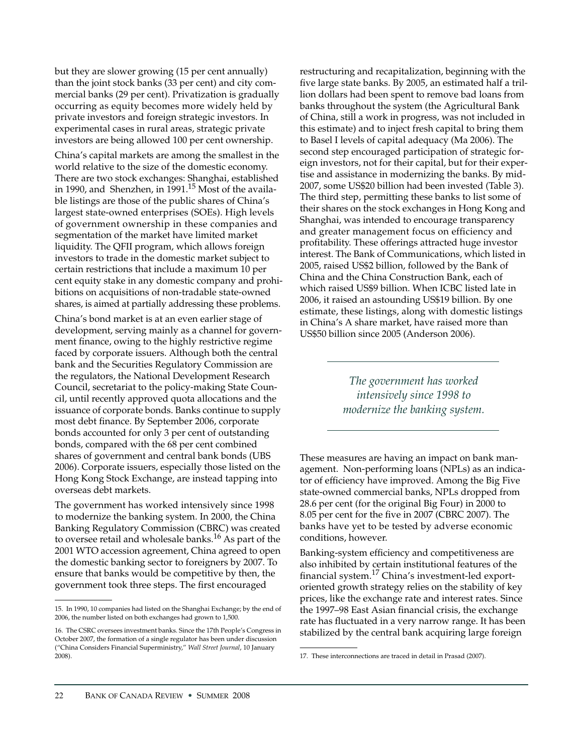but they are slower growing (15 per cent annually) than the joint stock banks (33 per cent) and city commercial banks (29 per cent). Privatization is gradually occurring as equity becomes more widely held by private investors and foreign strategic investors. In experimental cases in rural areas, strategic private investors are being allowed 100 per cent ownership.

China's capital markets are among the smallest in the world relative to the size of the domestic economy. There are two stock exchanges: Shanghai, established in 1990, and Shenzhen, in 1991.<sup>15</sup> Most of the available listings are those of the public shares of China's largest state-owned enterprises (SOEs). High levels of government ownership in these companies and segmentation of the market have limited market liquidity. The QFII program, which allows foreign investors to trade in the domestic market subject to certain restrictions that include a maximum 10 per cent equity stake in any domestic company and prohibitions on acquisitions of non-tradable state-owned shares, is aimed at partially addressing these problems.

China's bond market is at an even earlier stage of development, serving mainly as a channel for government finance, owing to the highly restrictive regime faced by corporate issuers. Although both the central bank and the Securities Regulatory Commission are the regulators, the National Development Research Council, secretariat to the policy-making State Council, until recently approved quota allocations and the issuance of corporate bonds. Banks continue to supply most debt finance. By September 2006, corporate bonds accounted for only 3 per cent of outstanding bonds, compared with the 68 per cent combined shares of government and central bank bonds (UBS 2006). Corporate issuers, especially those listed on the Hong Kong Stock Exchange, are instead tapping into overseas debt markets.

The government has worked intensively since 1998 to modernize the banking system. In 2000, the China Banking Regulatory Commission (CBRC) was created to oversee retail and wholesale banks.<sup>16</sup> As part of the 2001 WTO accession agreement, China agreed to open the domestic banking sector to foreigners by 2007. To ensure that banks would be competitive by then, the government took three steps. The first encouraged

restructuring and recapitalization, beginning with the five large state banks. By 2005, an estimated half a trillion dollars had been spent to remove bad loans from banks throughout the system (the Agricultural Bank of China, still a work in progress, was not included in this estimate) and to inject fresh capital to bring them to Basel I levels of capital adequacy (Ma 2006). The second step encouraged participation of strategic foreign investors, not for their capital, but for their expertise and assistance in modernizing the banks. By mid-2007, some US\$20 billion had been invested (Table 3). The third step, permitting these banks to list some of their shares on the stock exchanges in Hong Kong and Shanghai, was intended to encourage transparency and greater management focus on efficiency and profitability. These offerings attracted huge investor interest. The Bank of Communications, which listed in 2005, raised US\$2 billion, followed by the Bank of China and the China Construction Bank, each of which raised US\$9 billion. When ICBC listed late in 2006, it raised an astounding US\$19 billion. By one estimate, these listings, along with domestic listings in China's A share market, have raised more than US\$50 billion since 2005 (Anderson 2006).

> *The government has worked intensively since 1998 to modernize the banking system.*

These measures are having an impact on bank management. Non-performing loans (NPLs) as an indicator of efficiency have improved. Among the Big Five state-owned commercial banks, NPLs dropped from 28.6 per cent (for the original Big Four) in 2000 to 8.05 per cent for the five in 2007 (CBRC 2007). The banks have yet to be tested by adverse economic conditions, however.

Banking-system efficiency and competitiveness are also inhibited by certain institutional features of the financial system.17 China's investment-led exportoriented growth strategy relies on the stability of key prices, like the exchange rate and interest rates. Since the 1997–98 East Asian financial crisis, the exchange rate has fluctuated in a very narrow range. It has been stabilized by the central bank acquiring large foreign

<sup>15.</sup> In 1990, 10 companies had listed on the Shanghai Exchange; by the end of 2006, the number listed on both exchanges had grown to 1,500.

<sup>16.</sup> The CSRC oversees investment banks. Since the 17th People's Congress in October 2007, the formation of a single regulator has been under discussion ("China Considers Financial Superministry," *Wall Street Journal*, 10 January 2008).

<sup>17.</sup> These interconnections are traced in detail in Prasad (2007).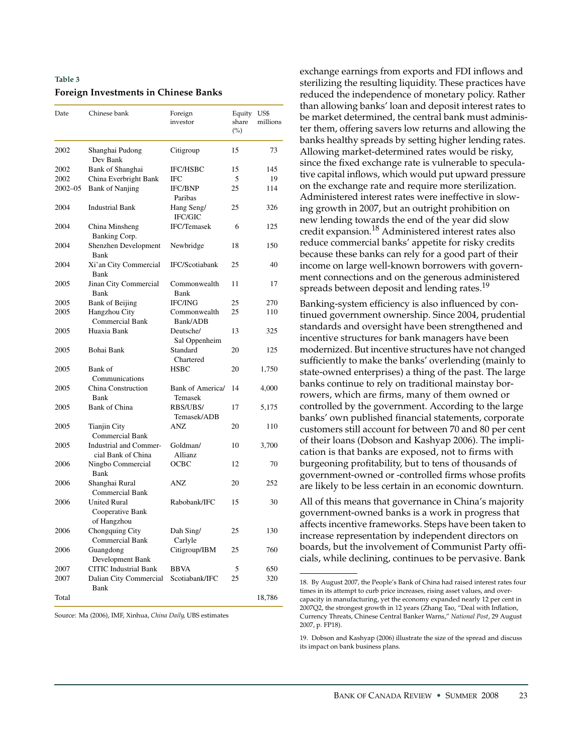## **Table 3 Foreign Investments in Chinese Banks**

| Date        | Chinese bank                                           | Foreign<br>investor          | Equity<br>share<br>(%) | US\$<br>millions |
|-------------|--------------------------------------------------------|------------------------------|------------------------|------------------|
| 2002        | Shanghai Pudong<br>Dev Bank                            | Citigroup                    | 15                     | 73               |
| 2002        | Bank of Shanghai                                       | <b>IFC/HSBC</b>              | 15                     | 145              |
| 2002        | China Everbright Bank                                  | IFC                          | 5                      | 19               |
| $2002 - 05$ | <b>Bank of Nanjing</b>                                 | <b>IFC/BNP</b><br>Paribas    | 25                     | 114              |
| 2004        | <b>Industrial Bank</b>                                 | Hang Seng/<br><b>IFC/GIC</b> | 25                     | 326              |
| 2004        | China Minsheng<br>Banking Corp.                        | <b>IFC/Temasek</b>           | 6                      | 125              |
| 2004        | Shenzhen Development<br>Bank                           | Newbridge                    | 18                     | 150              |
| 2004        | Xi'an City Commercial<br>Bank                          | IFC/Scotiabank               | 25                     | 40               |
| 2005        | Jinan City Commercial<br>Bank                          | Commonwealth<br>Bank         | 11                     | 17               |
| 2005        | Bank of Beijing                                        | <b>IFC/ING</b>               | 25                     | 270              |
| 2005        | Hangzhou City<br>Commercial Bank                       | Commonwealth<br>Bank/ADB     | 25                     | 110              |
| 2005        | Huaxia Bank                                            | Deutsche/<br>Sal Oppenheim   | 13                     | 325              |
| 2005        | Bohai Bank                                             | Standard<br>Chartered        | 20                     | 125              |
| 2005        | Bank of<br>Communications                              | HSBC                         | 20                     | 1,750            |
| 2005        | China Construction<br>Bank                             | Bank of America/<br>Temasek  | 14                     | 4,000            |
| 2005        | Bank of China                                          | RBS/UBS/<br>Temasek/ADB      | 17                     | 5,175            |
| 2005        | <b>Tianjin City</b><br>Commercial Bank                 | ANZ                          | 20                     | 110              |
| 2005        | <b>Industrial and Commer-</b><br>cial Bank of China    | Goldman/<br>Allianz          | 10                     | 3,700            |
| 2006        | Ningbo Commercial<br>Bank                              | OCBC                         | 12                     | 70               |
| 2006        | Shanghai Rural<br>Commercial Bank                      | ANZ                          | 20                     | 252              |
| 2006        | <b>United Rural</b><br>Cooperative Bank<br>of Hangzhou | Rabobank/IFC                 | 15                     | 30               |
| 2006        | Chongquing City<br>Commercial Bank                     | Dah Sing/<br>Carlyle         | 25                     | 130              |
| 2006        | Guangdong<br>Development Bank                          | Citigroup/IBM                | 25                     | 760              |
| 2007        | <b>CITIC</b> Industrial Bank                           | <b>BBVA</b>                  | 5                      | 650              |
| 2007        | Dalian City Commercial<br>Bank                         | Scotiabank/IFC               | 25                     | 320              |
| Total       |                                                        |                              |                        | 18,786           |

Source: Ma (2006), IMF, Xinhua, *China Daily*, UBS estimates

exchange earnings from exports and FDI inflows and sterilizing the resulting liquidity. These practices have reduced the independence of monetary policy. Rather than allowing banks' loan and deposit interest rates to be market determined, the central bank must administer them, offering savers low returns and allowing the banks healthy spreads by setting higher lending rates. Allowing market-determined rates would be risky, since the fixed exchange rate is vulnerable to speculative capital inflows, which would put upward pressure on the exchange rate and require more sterilization. Administered interest rates were ineffective in slowing growth in 2007, but an outright prohibition on new lending towards the end of the year did slow credit expansion.18 Administered interest rates also reduce commercial banks' appetite for risky credits because these banks can rely for a good part of their income on large well-known borrowers with government connections and on the generous administered spreads between deposit and lending rates.<sup>19</sup>

Banking-system efficiency is also influenced by continued government ownership. Since 2004, prudential standards and oversight have been strengthened and incentive structures for bank managers have been modernized. But incentive structures have not changed sufficiently to make the banks' overlending (mainly to state-owned enterprises) a thing of the past. The large banks continue to rely on traditional mainstay borrowers, which are firms, many of them owned or controlled by the government. According to the large banks' own published financial statements, corporate customers still account for between 70 and 80 per cent of their loans (Dobson and Kashyap 2006). The implication is that banks are exposed, not to firms with burgeoning profitability, but to tens of thousands of government-owned or -controlled firms whose profits are likely to be less certain in an economic downturn.

All of this means that governance in China's majority government-owned banks is a work in progress that affects incentive frameworks. Steps have been taken to increase representation by independent directors on boards, but the involvement of Communist Party officials, while declining, continues to be pervasive. Bank

<sup>18.</sup> By August 2007, the People's Bank of China had raised interest rates four times in its attempt to curb price increases, rising asset values, and overcapacity in manufacturing, yet the economy expanded nearly 12 per cent in 2007Q2, the strongest growth in 12 years (Zhang Tao, "Deal with Inflation, Currency Threats, Chinese Central Banker Warns," *National Post*, 29 August 2007, p. FP18).

<sup>19.</sup> Dobson and Kashyap (2006) illustrate the size of the spread and discuss its impact on bank business plans.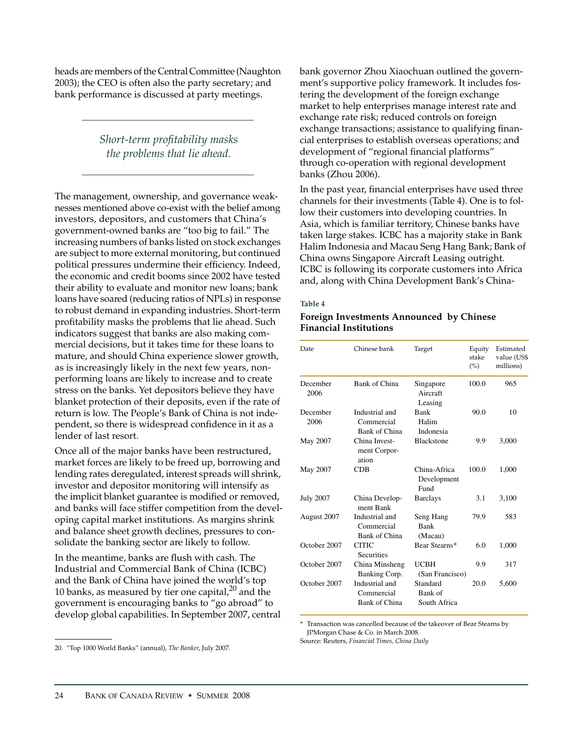heads are members of the Central Committee (Naughton 2003); the CEO is often also the party secretary; and bank performance is discussed at party meetings.

> *Short-term profitability masks the problems that lie ahead.*

The management, ownership, and governance weaknesses mentioned above co-exist with the belief among investors, depositors, and customers that China's government-owned banks are "too big to fail." The increasing numbers of banks listed on stock exchanges are subject to more external monitoring, but continued political pressures undermine their efficiency. Indeed, the economic and credit booms since 2002 have tested their ability to evaluate and monitor new loans; bank loans have soared (reducing ratios of NPLs) in response to robust demand in expanding industries. Short-term profitability masks the problems that lie ahead. Such indicators suggest that banks are also making commercial decisions, but it takes time for these loans to mature, and should China experience slower growth, as is increasingly likely in the next few years, nonperforming loans are likely to increase and to create stress on the banks. Yet depositors believe they have blanket protection of their deposits, even if the rate of return is low. The People's Bank of China is not independent, so there is widespread confidence in it as a lender of last resort.

Once all of the major banks have been restructured, market forces are likely to be freed up, borrowing and lending rates deregulated, interest spreads will shrink, investor and depositor monitoring will intensify as the implicit blanket guarantee is modified or removed, and banks will face stiffer competition from the developing capital market institutions. As margins shrink and balance sheet growth declines, pressures to consolidate the banking sector are likely to follow.

In the meantime, banks are flush with cash. The Industrial and Commercial Bank of China (ICBC) and the Bank of China have joined the world's top 10 banks, as measured by tier one capital, $^{20}$  and the government is encouraging banks to "go abroad" to develop global capabilities. In September 2007, central bank governor Zhou Xiaochuan outlined the government's supportive policy framework. It includes fostering the development of the foreign exchange market to help enterprises manage interest rate and exchange rate risk; reduced controls on foreign exchange transactions; assistance to qualifying financial enterprises to establish overseas operations; and development of "regional financial platforms" through co-operation with regional development banks (Zhou 2006).

In the past year, financial enterprises have used three channels for their investments (Table 4). One is to follow their customers into developing countries. In Asia, which is familiar territory, Chinese banks have taken large stakes. ICBC has a majority stake in Bank Halim Indonesia and Macau Seng Hang Bank; Bank of China owns Singapore Aircraft Leasing outright. ICBC is following its corporate customers into Africa and, along with China Development Bank's China-

#### **Table 4**

#### **Foreign Investments Announced by Chinese Financial Institutions**

| Date             | Chinese bank                                  | Target                              | Equity<br>stake<br>(%) | Estimated<br>value (US\$<br>millions) |
|------------------|-----------------------------------------------|-------------------------------------|------------------------|---------------------------------------|
| December<br>2006 | <b>Bank of China</b>                          | Singapore<br>Aircraft<br>Leasing    | 100.0                  | 965                                   |
| December<br>2006 | Industrial and<br>Commercial<br>Bank of China | Bank<br>Halim<br>Indonesia          | 90.0                   | 10                                    |
| May 2007         | China Invest-<br>ment Corpor-<br>ation        | <b>Blackstone</b>                   | 9.9                    | 3,000                                 |
| May 2007         | <b>CDB</b>                                    | China-Africa<br>Development<br>Fund | 100.0                  | 1,000                                 |
| <b>July 2007</b> | China Develop-<br>ment Bank                   | <b>Barclays</b>                     | 3.1                    | 3,100                                 |
| August 2007      | Industrial and<br>Commercial<br>Bank of China | Seng Hang<br><b>Bank</b><br>(Macau) | 79.9                   | 583                                   |
| October 2007     | <b>CITIC</b><br><b>Securities</b>             | Bear Stearns*                       | 6.0                    | 1,000                                 |
| October 2007     | China Minsheng<br>Banking Corp.               | UCBH<br>(San Francisco)             | 9.9                    | 317                                   |
| October 2007     | Industrial and<br>Commercial<br>Bank of China | Standard<br>Bank of<br>South Africa | 20.0                   | 5,600                                 |

\* Transaction was cancelled because of the takeover of Bear Stearns by JPMorgan Chase & Co. in March 2008.

Source: Reuters, *Financial Times, China Daily*

<sup>20. &</sup>quot;Top 1000 World Banks" (annual), *The Banker*, July 2007.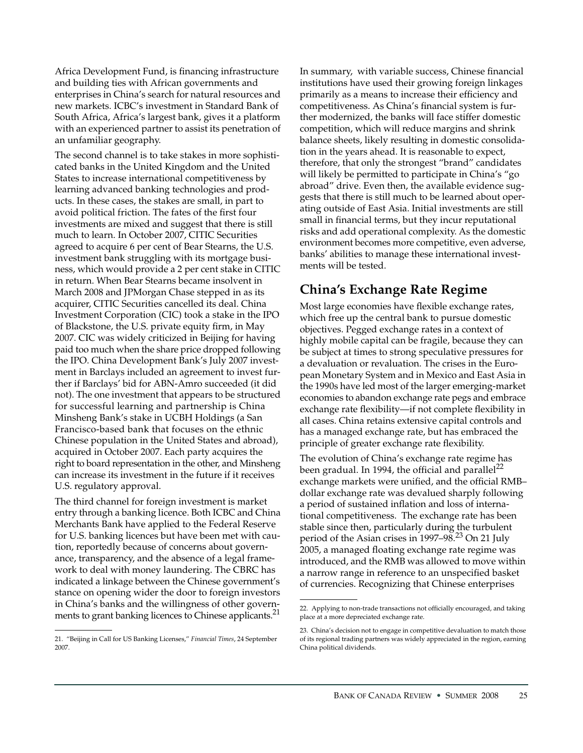Africa Development Fund, is financing infrastructure and building ties with African governments and enterprises in China's search for natural resources and new markets. ICBC's investment in Standard Bank of South Africa, Africa's largest bank, gives it a platform with an experienced partner to assist its penetration of an unfamiliar geography.

The second channel is to take stakes in more sophisticated banks in the United Kingdom and the United States to increase international competitiveness by learning advanced banking technologies and products. In these cases, the stakes are small, in part to avoid political friction. The fates of the first four investments are mixed and suggest that there is still much to learn. In October 2007, CITIC Securities agreed to acquire 6 per cent of Bear Stearns, the U.S. investment bank struggling with its mortgage business, which would provide a 2 per cent stake in CITIC in return. When Bear Stearns became insolvent in March 2008 and JPMorgan Chase stepped in as its acquirer, CITIC Securities cancelled its deal. China Investment Corporation (CIC) took a stake in the IPO of Blackstone, the U.S. private equity firm, in May 2007. CIC was widely criticized in Beijing for having paid too much when the share price dropped following the IPO. China Development Bank's July 2007 investment in Barclays included an agreement to invest further if Barclays' bid for ABN-Amro succeeded (it did not). The one investment that appears to be structured for successful learning and partnership is China Minsheng Bank's stake in UCBH Holdings (a San Francisco-based bank that focuses on the ethnic Chinese population in the United States and abroad), acquired in October 2007. Each party acquires the right to board representation in the other, and Minsheng can increase its investment in the future if it receives U.S. regulatory approval.

The third channel for foreign investment is market entry through a banking licence. Both ICBC and China Merchants Bank have applied to the Federal Reserve for U.S. banking licences but have been met with caution, reportedly because of concerns about governance, transparency, and the absence of a legal framework to deal with money laundering. The CBRC has indicated a linkage between the Chinese government's stance on opening wider the door to foreign investors in China's banks and the willingness of other governments to grant banking licences to Chinese applicants.<sup>21</sup>

In summary, with variable success, Chinese financial institutions have used their growing foreign linkages primarily as a means to increase their efficiency and competitiveness. As China's financial system is further modernized, the banks will face stiffer domestic competition, which will reduce margins and shrink balance sheets, likely resulting in domestic consolidation in the years ahead. It is reasonable to expect, therefore, that only the strongest "brand" candidates will likely be permitted to participate in China's "go abroad" drive. Even then, the available evidence suggests that there is still much to be learned about operating outside of East Asia. Initial investments are still small in financial terms, but they incur reputational risks and add operational complexity. As the domestic environment becomes more competitive, even adverse, banks' abilities to manage these international investments will be tested.

## **China's Exchange Rate Regime**

Most large economies have flexible exchange rates, which free up the central bank to pursue domestic objectives. Pegged exchange rates in a context of highly mobile capital can be fragile, because they can be subject at times to strong speculative pressures for a devaluation or revaluation. The crises in the European Monetary System and in Mexico and East Asia in the 1990s have led most of the larger emerging-market economies to abandon exchange rate pegs and embrace exchange rate flexibility—if not complete flexibility in all cases. China retains extensive capital controls and has a managed exchange rate, but has embraced the principle of greater exchange rate flexibility.

The evolution of China's exchange rate regime has been gradual. In 1994, the official and parallel<sup>22</sup> exchange markets were unified, and the official RMB– dollar exchange rate was devalued sharply following a period of sustained inflation and loss of international competitiveness. The exchange rate has been stable since then, particularly during the turbulent period of the Asian crises in 1997–98.<sup>23</sup> On 21 July 2005, a managed floating exchange rate regime was introduced, and the RMB was allowed to move within a narrow range in reference to an unspecified basket of currencies. Recognizing that Chinese enterprises

<sup>21. &</sup>quot;Beijing in Call for US Banking Licenses," *Financial Times*, 24 September 2007.

<sup>22.</sup> Applying to non-trade transactions not officially encouraged, and taking place at a more depreciated exchange rate.

<sup>23.</sup> China's decision not to engage in competitive devaluation to match those of its regional trading partners was widely appreciated in the region, earning China political dividends.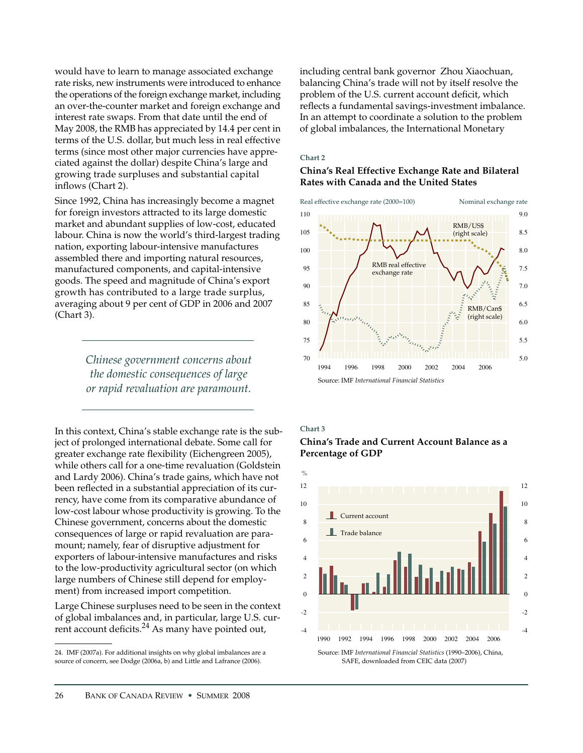would have to learn to manage associated exchange rate risks, new instruments were introduced to enhance the operations of the foreign exchange market, including an over-the-counter market and foreign exchange and interest rate swaps. From that date until the end of May 2008, the RMB has appreciated by 14.4 per cent in terms of the U.S. dollar, but much less in real effective terms (since most other major currencies have appreciated against the dollar) despite China's large and growing trade surpluses and substantial capital inflows (Chart 2).

Since 1992, China has increasingly become a magnet for foreign investors attracted to its large domestic market and abundant supplies of low-cost, educated labour. China is now the world's third-largest trading nation, exporting labour-intensive manufactures assembled there and importing natural resources, manufactured components, and capital-intensive goods. The speed and magnitude of China's export growth has contributed to a large trade surplus, averaging about 9 per cent of GDP in 2006 and 2007 (Chart 3).

> *Chinese government concerns about the domestic consequences of large or rapid revaluation are paramount.*

In this context, China's stable exchange rate is the subject of prolonged international debate. Some call for greater exchange rate flexibility (Eichengreen 2005), while others call for a one-time revaluation (Goldstein and Lardy 2006). China's trade gains, which have not been reflected in a substantial appreciation of its currency, have come from its comparative abundance of low-cost labour whose productivity is growing. To the Chinese government, concerns about the domestic consequences of large or rapid revaluation are paramount; namely, fear of disruptive adjustment for exporters of labour-intensive manufactures and risks to the low-productivity agricultural sector (on which large numbers of Chinese still depend for employment) from increased import competition.

Large Chinese surpluses need to be seen in the context of global imbalances and, in particular, large U.S. current account deficits.<sup>24</sup> As many have pointed out,

including central bank governor Zhou Xiaochuan, balancing China's trade will not by itself resolve the problem of the U.S. current account deficit, which reflects a fundamental savings-investment imbalance. In an attempt to coordinate a solution to the problem of global imbalances, the International Monetary

#### **Chart 2**

#### **China's Real Effective Exchange Rate and Bilateral Rates with Canada and the United States**



#### **Chart 3**





<sup>24.</sup> IMF (2007a). For additional insights on why global imbalances are a source of concern, see Dodge (2006a, b) and Little and Lafrance (2006).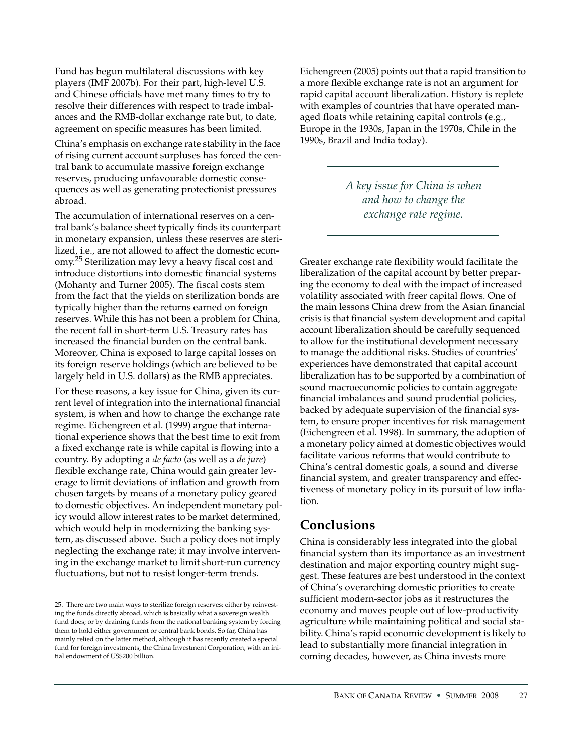Fund has begun multilateral discussions with key players (IMF 2007b). For their part, high-level U.S. and Chinese officials have met many times to try to resolve their differences with respect to trade imbalances and the RMB-dollar exchange rate but, to date, agreement on specific measures has been limited.

China's emphasis on exchange rate stability in the face of rising current account surpluses has forced the central bank to accumulate massive foreign exchange reserves, producing unfavourable domestic consequences as well as generating protectionist pressures abroad.

The accumulation of international reserves on a central bank's balance sheet typically finds its counterpart in monetary expansion, unless these reserves are sterilized, i.e., are not allowed to affect the domestic economy.<sup>25</sup> Sterilization may levy a heavy fiscal cost and introduce distortions into domestic financial systems (Mohanty and Turner 2005). The fiscal costs stem from the fact that the yields on sterilization bonds are typically higher than the returns earned on foreign reserves. While this has not been a problem for China, the recent fall in short-term U.S. Treasury rates has increased the financial burden on the central bank. Moreover, China is exposed to large capital losses on its foreign reserve holdings (which are believed to be largely held in U.S. dollars) as the RMB appreciates.

For these reasons, a key issue for China, given its current level of integration into the international financial system, is when and how to change the exchange rate regime. Eichengreen et al. (1999) argue that international experience shows that the best time to exit from a fixed exchange rate is while capital is flowing into a country. By adopting a *de facto* (as well as a *de jure*) flexible exchange rate, China would gain greater leverage to limit deviations of inflation and growth from chosen targets by means of a monetary policy geared to domestic objectives. An independent monetary policy would allow interest rates to be market determined, which would help in modernizing the banking system, as discussed above. Such a policy does not imply neglecting the exchange rate; it may involve intervening in the exchange market to limit short-run currency fluctuations, but not to resist longer-term trends.

Eichengreen (2005) points out that a rapid transition to a more flexible exchange rate is not an argument for rapid capital account liberalization. History is replete with examples of countries that have operated managed floats while retaining capital controls (e.g., Europe in the 1930s, Japan in the 1970s, Chile in the 1990s, Brazil and India today).

> *A key issue for China is when and how to change the exchange rate regime.*

Greater exchange rate flexibility would facilitate the liberalization of the capital account by better preparing the economy to deal with the impact of increased volatility associated with freer capital flows. One of the main lessons China drew from the Asian financial crisis is that financial system development and capital account liberalization should be carefully sequenced to allow for the institutional development necessary to manage the additional risks. Studies of countries' experiences have demonstrated that capital account liberalization has to be supported by a combination of sound macroeconomic policies to contain aggregate financial imbalances and sound prudential policies, backed by adequate supervision of the financial system, to ensure proper incentives for risk management (Eichengreen et al. 1998). In summary, the adoption of a monetary policy aimed at domestic objectives would facilitate various reforms that would contribute to China's central domestic goals, a sound and diverse financial system, and greater transparency and effectiveness of monetary policy in its pursuit of low inflation.

## **Conclusions**

China is considerably less integrated into the global financial system than its importance as an investment destination and major exporting country might suggest. These features are best understood in the context of China's overarching domestic priorities to create sufficient modern-sector jobs as it restructures the economy and moves people out of low-productivity agriculture while maintaining political and social stability. China's rapid economic development is likely to lead to substantially more financial integration in coming decades, however, as China invests more

<sup>25.</sup> There are two main ways to sterilize foreign reserves: either by reinvesting the funds directly abroad, which is basically what a sovereign wealth fund does; or by draining funds from the national banking system by forcing them to hold either government or central bank bonds. So far, China has mainly relied on the latter method, although it has recently created a special fund for foreign investments, the China Investment Corporation, with an initial endowment of US\$200 billion.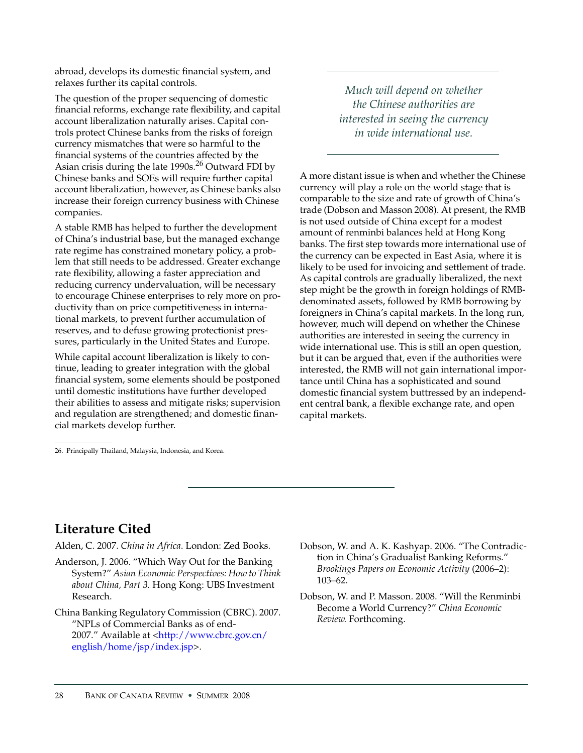abroad, develops its domestic financial system, and relaxes further its capital controls.

The question of the proper sequencing of domestic financial reforms, exchange rate flexibility, and capital account liberalization naturally arises. Capital controls protect Chinese banks from the risks of foreign currency mismatches that were so harmful to the financial systems of the countries affected by the Asian crisis during the late 1990s.<sup>26</sup> Outward FDI by Chinese banks and SOEs will require further capital account liberalization, however, as Chinese banks also increase their foreign currency business with Chinese companies.

A stable RMB has helped to further the development of China's industrial base, but the managed exchange rate regime has constrained monetary policy, a problem that still needs to be addressed. Greater exchange rate flexibility, allowing a faster appreciation and reducing currency undervaluation, will be necessary to encourage Chinese enterprises to rely more on productivity than on price competitiveness in international markets, to prevent further accumulation of reserves, and to defuse growing protectionist pressures, particularly in the United States and Europe.

While capital account liberalization is likely to continue, leading to greater integration with the global financial system, some elements should be postponed until domestic institutions have further developed their abilities to assess and mitigate risks; supervision and regulation are strengthened; and domestic financial markets develop further.

26. Principally Thailand, Malaysia, Indonesia, and Korea.

*Much will depend on whether the Chinese authorities are interested in seeing the currency in wide international use.*

A more distant issue is when and whether the Chinese currency will play a role on the world stage that is comparable to the size and rate of growth of China's trade (Dobson and Masson 2008). At present, the RMB is not used outside of China except for a modest amount of renminbi balances held at Hong Kong banks. The first step towards more international use of the currency can be expected in East Asia, where it is likely to be used for invoicing and settlement of trade. As capital controls are gradually liberalized, the next step might be the growth in foreign holdings of RMBdenominated assets, followed by RMB borrowing by foreigners in China's capital markets. In the long run, however, much will depend on whether the Chinese authorities are interested in seeing the currency in wide international use. This is still an open question, but it can be argued that, even if the authorities were interested, the RMB will not gain international importance until China has a sophisticated and sound domestic financial system buttressed by an independent central bank, a flexible exchange rate, and open capital markets.

## **Literature Cited**

Alden, C. 2007. *China in Africa*. London: Zed Books.

- Anderson, J. 2006. "Which Way Out for the Banking System?" *Asian Economic Perspectives: How to Think about China, Part 3.* Hong Kong: UBS Investment Research.
- China Banking Regulatory Commission (CBRC). 2007. "NPLs of Commercial Banks as of end-2007." Available at [<http://www.cbrc.gov.cn/](http://www.cbrc.gov.cn/english/home/jsp/index.jsp) [english/home/jsp/index.jsp](http://www.cbrc.gov.cn/english/home/jsp/index.jsp)>.
- Dobson, W. and A. K. Kashyap. 2006. "The Contradiction in China's Gradualist Banking Reforms." *Brookings Papers on Economic Activity* (2006–2): 103–62.
- Dobson, W. and P. Masson. 2008. "Will the Renminbi Become a World Currency?" *China Economic Review*. Forthcoming.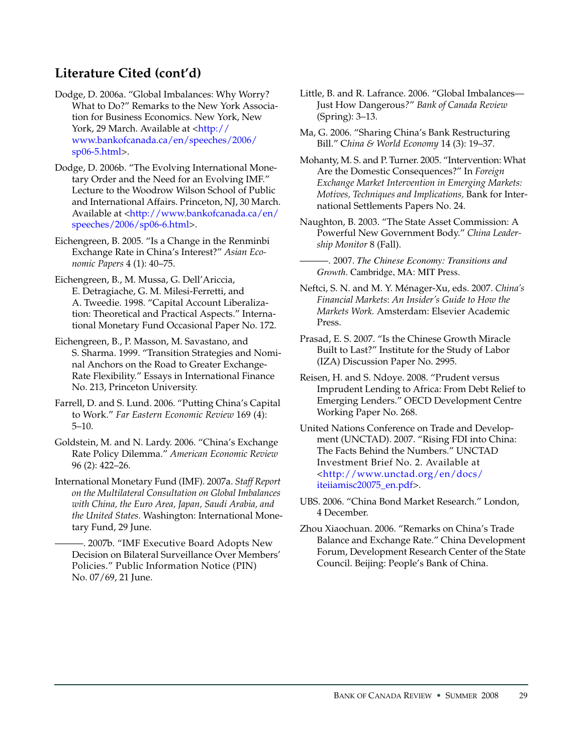## **Literature Cited (cont'd)**

- Dodge, D. 2006a. "Global Imbalances: Why Worry? What to Do?" Remarks to the New York Association for Business Economics. New York, New York, 29 March. Available at [<http://](http://www.bankofcanada.ca/en/speeches/2006/sp06-5.html) [www.bankofcanada.ca/en/speeches/2006/](http://www.bankofcanada.ca/en/speeches/2006/sp06-5.html) [sp06-5.html>](http://www.bankofcanada.ca/en/speeches/2006/sp06-5.html).
- Dodge, D. 2006b. "The Evolving International Monetary Order and the Need for an Evolving IMF." Lecture to the Woodrow Wilson School of Public and International Affairs. Princeton, NJ, 30 March. Available at [<http://www.bankofcanada.ca/en/](http://www.bankofcanada.ca/en/speeches/2006/sp06-6.html) [speeches/2006/sp06-6.html>](http://www.bankofcanada.ca/en/speeches/2006/sp06-6.html).

Eichengreen, B. 2005. "Is a Change in the Renminbi Exchange Rate in China's Interest?" *Asian Economic Papers* 4 (1): 40–75.

- Eichengreen, B., M. Mussa, G. Dell'Ariccia, E. Detragiache, G. M. Milesi-Ferretti, and A. Tweedie. 1998. "Capital Account Liberalization: Theoretical and Practical Aspects." International Monetary Fund Occasional Paper No. 172.
- Eichengreen, B., P. Masson, M. Savastano, and S. Sharma. 1999. "Transition Strategies and Nominal Anchors on the Road to Greater Exchange-Rate Flexibility." Essays in International Finance No. 213, Princeton University.
- Farrell, D. and S. Lund. 2006. "Putting China's Capital to Work." *Far Eastern Economic Review* 169 (4): 5–10.
- Goldstein, M. and N. Lardy. 2006. "China's Exchange Rate Policy Dilemma." *American Economic Review* 96 (2): 422–26.
- International Monetary Fund (IMF). 2007a. *Staff Report on the Multilateral Consultation on Global Imbalances with China, the Euro Area, Japan, Saudi Arabia, and the United States.* Washington: International Monetary Fund, 29 June.

-. 2007b. "IMF Executive Board Adopts New Decision on Bilateral Surveillance Over Members' Policies." Public Information Notice (PIN) No. 07/69, 21 June.

- Little, B. and R. Lafrance. 2006. "Global Imbalances— Just How Dangerous*?*" *Bank of Canada Review* (Spring): 3–13.
- Ma, G. 2006. "Sharing China's Bank Restructuring Bill." C*hina & World Economy* 14 (3): 19–37.
- Mohanty, M. S. and P. Turner. 2005. "Intervention: What Are the Domestic Consequences?" In *Foreign Exchange Market Intervention in Emerging Markets: Motives, Techniques and Implications,* Bank for International Settlements Papers No. 24.
- Naughton, B. 2003. "The State Asset Commission: A Powerful New Government Body." *China Leadership Monitor* 8 (Fall).
	- ———. 2007. *The Chinese Economy: Transitions and Growth*. Cambridge, MA: MIT Press.
- Neftci, S. N. and M. Y. Ménager-Xu, eds. 2007. *China's Financial Markets*: *An Insider's Guide to How the Markets Work.* Amsterdam: Elsevier Academic Press.
- Prasad, E. S. 2007. "Is the Chinese Growth Miracle Built to Last?" Institute for the Study of Labor (IZA) Discussion Paper No. 2995.
- Reisen, H. and S. Ndoye. 2008. "Prudent versus Imprudent Lending to Africa: From Debt Relief to Emerging Lenders." OECD Development Centre Working Paper No. 268.
- United Nations Conference on Trade and Development (UNCTAD). 2007. "Rising FDI into China: The Facts Behind the Numbers." UNCTAD Investment Brief No. 2. Available at [<http://www.unctad.org/en/docs/](http://www.unctad.org/en/docs/iteiiamisc20075_en.pdf) [iteiiamisc20075\\_en.pdf>](http://www.unctad.org/en/docs/iteiiamisc20075_en.pdf).
- UBS. 2006. "China Bond Market Research." London, 4 December.
- Zhou Xiaochuan. 2006. "Remarks on China's Trade Balance and Exchange Rate." China Development Forum, Development Research Center of the State Council. Beijing: People's Bank of China.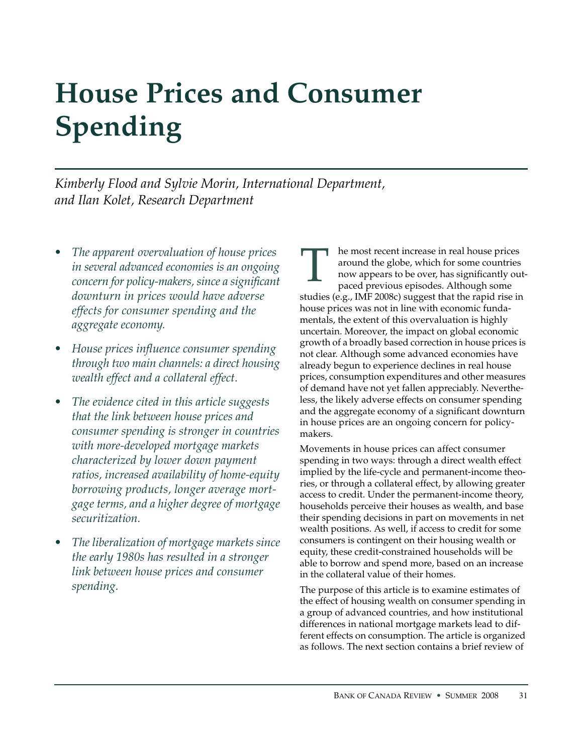## <span id="page-32-0"></span>**House Prices and Consumer Spending**

*Kimberly Flood and Sylvie Morin, International Department, and Ilan Kolet, Research Department*

- *The apparent overvaluation of house prices in several advanced economies is an ongoing concern for policy-makers, since a significant downturn in prices would have adverse effects for consumer spending and the aggregate economy.*
- *House prices influence consumer spending through two main channels: a direct housing wealth effect and a collateral effect.*
- *The evidence cited in this article suggests that the link between house prices and consumer spending is stronger in countries with more-developed mortgage markets characterized by lower down payment ratios, increased availability of home-equity borrowing products, longer average mortgage terms, and a higher degree of mortgage securitization.*
- *The liberalization of mortgage markets since the early 1980s has resulted in a stronger link between house prices and consumer spending.*

he most recent increase in real house prices around the globe, which for some countries now appears to be over, has significantly outpaced previous episodes. Although some studies (e.g., IMF 2008c) suggest that the rapid rise in house prices was not in line with economic fundamentals, the extent of this overvaluation is highly uncertain. Moreover, the impact on global economic growth of a broadly based correction in house prices is not clear. Although some advanced economies have already begun to experience declines in real house prices, consumption expenditures and other measures of demand have not yet fallen appreciably. Nevertheless, the likely adverse effects on consumer spending and the aggregate economy of a significant downturn in house prices are an ongoing concern for policymakers. T

Movements in house prices can affect consumer spending in two ways: through a direct wealth effect implied by the life-cycle and permanent-income theories, or through a collateral effect, by allowing greater access to credit. Under the permanent-income theory, households perceive their houses as wealth, and base their spending decisions in part on movements in net wealth positions. As well, if access to credit for some consumers is contingent on their housing wealth or equity, these credit-constrained households will be able to borrow and spend more, based on an increase in the collateral value of their homes.

The purpose of this article is to examine estimates of the effect of housing wealth on consumer spending in a group of advanced countries, and how institutional differences in national mortgage markets lead to different effects on consumption. The article is organized as follows. The next section contains a brief review of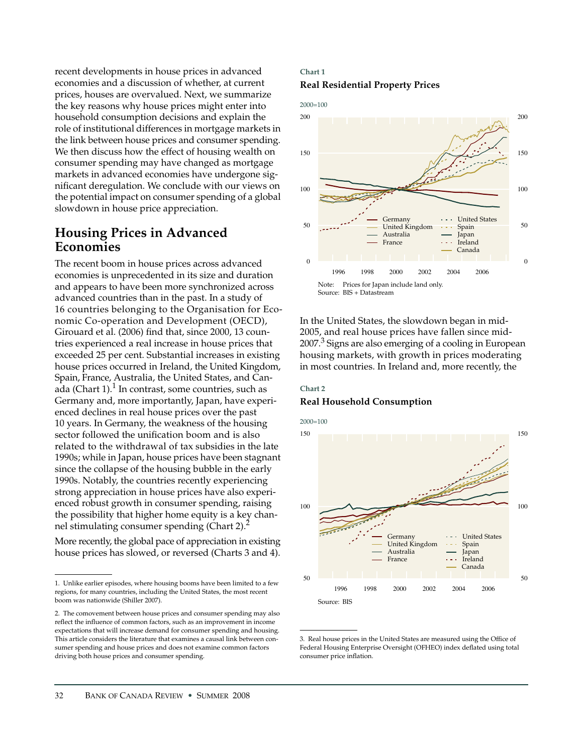recent developments in house prices in advanced economies and a discussion of whether, at current prices, houses are overvalued. Next, we summarize the key reasons why house prices might enter into household consumption decisions and explain the role of institutional differences in mortgage markets in the link between house prices and consumer spending. We then discuss how the effect of housing wealth on consumer spending may have changed as mortgage markets in advanced economies have undergone significant deregulation. We conclude with our views on the potential impact on consumer spending of a global slowdown in house price appreciation.

## **Housing Prices in Advanced Economies**

The recent boom in house prices across advanced economies is unprecedented in its size and duration and appears to have been more synchronized across advanced countries than in the past. In a study of 16 countries belonging to the Organisation for Economic Co-operation and Development (OECD), Girouard et al. (2006) find that, since 2000, 13 countries experienced a real increase in house prices that exceeded 25 per cent. Substantial increases in existing house prices occurred in Ireland, the United Kingdom, Spain, France, Australia, the United States, and Canada (Chart  $1$ ).<sup>1</sup> In contrast, some countries, such as Germany and, more importantly, Japan, have experienced declines in real house prices over the past 10 years. In Germany, the weakness of the housing sector followed the unification boom and is also related to the withdrawal of tax subsidies in the late 1990s; while in Japan, house prices have been stagnant since the collapse of the housing bubble in the early 1990s. Notably, the countries recently experiencing strong appreciation in house prices have also experienced robust growth in consumer spending, raising the possibility that higher home equity is a key channel stimulating consumer spending (Chart 2).<sup>2</sup>

More recently, the global pace of appreciation in existing house prices has slowed, or reversed (Charts 3 and 4).

## **Chart 1 Real Residential Property Prices**

2000=100 200 200 150 150 100 100 Germany United States 50 50 United Kingdom Spain Australia Japan France . . . Ireland Canada  $\theta$  $\overline{0}$ 1996 1998 2000 2002 2004 2006 Note: Prices for Japan include land only. Source: BIS + Datastream

In the United States, the slowdown began in mid-2005, and real house prices have fallen since mid-2007.3 Signs are also emerging of a cooling in European housing markets, with growth in prices moderating in most countries. In Ireland and, more recently, the

#### **Chart 2**

#### **Real Household Consumption**



<sup>3.</sup> Real house prices in the United States are measured using the Office of Federal Housing Enterprise Oversight (OFHEO) index deflated using total consumer price inflation.

<sup>1.</sup> Unlike earlier episodes, where housing booms have been limited to a few regions, for many countries, including the United States, the most recent boom was nationwide (Shiller 2007).

<sup>2.</sup> The comovement between house prices and consumer spending may also reflect the influence of common factors, such as an improvement in income expectations that will increase demand for consumer spending and housing. This article considers the literature that examines a causal link between consumer spending and house prices and does not examine common factors driving both house prices and consumer spending.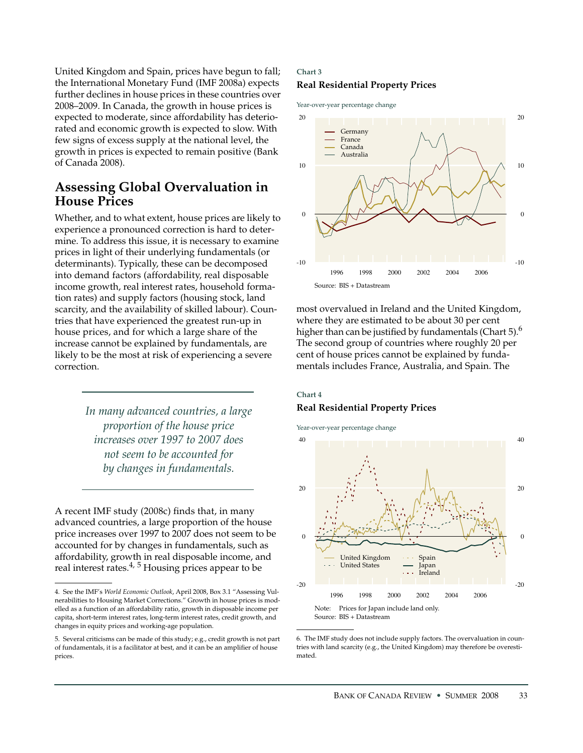United Kingdom and Spain, prices have begun to fall; the International Monetary Fund (IMF 2008a) expects further declines in house prices in these countries over 2008–2009. In Canada, the growth in house prices is expected to moderate, since affordability has deteriorated and economic growth is expected to slow. With few signs of excess supply at the national level, the growth in prices is expected to remain positive (Bank of Canada 2008).

## **Assessing Global Overvaluation in House Prices**

Whether, and to what extent, house prices are likely to experience a pronounced correction is hard to determine. To address this issue, it is necessary to examine prices in light of their underlying fundamentals (or determinants). Typically, these can be decomposed into demand factors (affordability, real disposable income growth, real interest rates, household formation rates) and supply factors (housing stock, land scarcity, and the availability of skilled labour). Countries that have experienced the greatest run-up in house prices, and for which a large share of the increase cannot be explained by fundamentals, are likely to be the most at risk of experiencing a severe correction.

> *In many advanced countries, a large proportion of the house price increases over 1997 to 2007 does not seem to be accounted for by changes in fundamentals.*

A recent IMF study (2008c) finds that, in many advanced countries, a large proportion of the house price increases over 1997 to 2007 does not seem to be accounted for by changes in fundamentals, such as affordability, growth in real disposable income, and real interest rates. $4, 5$  Housing prices appear to be

### **Chart 3 Real Residential Property Prices**

Year-over-year percentage change



most overvalued in Ireland and the United Kingdom, where they are estimated to be about 30 per cent higher than can be justified by fundamentals (Chart 5).<sup>6</sup> The second group of countries where roughly 20 per cent of house prices cannot be explained by fundamentals includes France, Australia, and Spain. The

#### **Chart 4**

#### **Real Residential Property Prices**



6. The IMF study does not include supply factors. The overvaluation in countries with land scarcity (e.g., the United Kingdom) may therefore be overestimated.

<sup>4.</sup> See the IMF's *World Economic Outlook*, April 2008, Box 3.1 "Assessing Vulnerabilities to Housing Market Corrections." Growth in house prices is modelled as a function of an affordability ratio, growth in disposable income per capita, short-term interest rates, long-term interest rates, credit growth, and changes in equity prices and working-age population.

<sup>5.</sup> Several criticisms can be made of this study; e.g., credit growth is not part of fundamentals, it is a facilitator at best, and it can be an amplifier of house prices.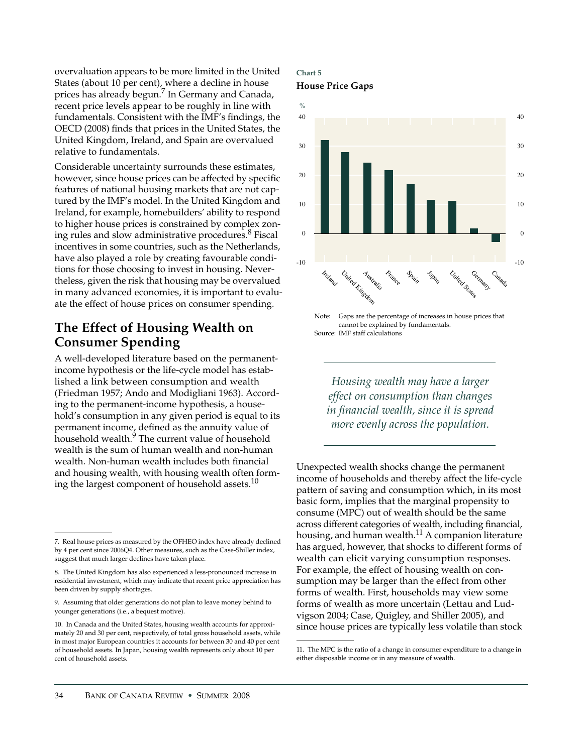overvaluation appears to be more limited in the United States (about 10 per cent), where a decline in house prices has already begun.<sup>7</sup> In Germany and Canada, recent price levels appear to be roughly in line with fundamentals. Consistent with the IMF's findings, the OECD (2008) finds that prices in the United States, the United Kingdom, Ireland, and Spain are overvalued relative to fundamentals.

Considerable uncertainty surrounds these estimates, however, since house prices can be affected by specific features of national housing markets that are not captured by the IMF's model. In the United Kingdom and Ireland, for example, homebuilders' ability to respond to higher house prices is constrained by complex zoning rules and slow administrative procedures.<sup>8</sup> Fiscal incentives in some countries, such as the Netherlands, have also played a role by creating favourable conditions for those choosing to invest in housing. Nevertheless, given the risk that housing may be overvalued in many advanced economies, it is important to evaluate the effect of house prices on consumer spending.

## **The Effect of Housing Wealth on Consumer Spending**

A well-developed literature based on the permanentincome hypothesis or the life-cycle model has established a link between consumption and wealth (Friedman 1957; Ando and Modigliani 1963). According to the permanent-income hypothesis, a household's consumption in any given period is equal to its permanent income, defined as the annuity value of household wealth.<sup>9</sup> The current value of household wealth is the sum of human wealth and non-human wealth. Non-human wealth includes both financial and housing wealth, with housing wealth often forming the largest component of household assets.<sup>10</sup>

### **Chart 5 House Price Gaps**



#### Note: Gaps are the percentage of increases in house prices that cannot be explained by fundamentals. Source: IMF staff calculations

*Housing wealth may have a larger effect on consumption than changes in financial wealth, since it is spread more evenly across the population.*

Unexpected wealth shocks change the permanent income of households and thereby affect the life-cycle pattern of saving and consumption which, in its most basic form, implies that the marginal propensity to consume (MPC) out of wealth should be the same across different categories of wealth, including financial, housing, and human wealth.<sup>11</sup> A companion literature has argued, however, that shocks to different forms of wealth can elicit varying consumption responses. For example, the effect of housing wealth on consumption may be larger than the effect from other forms of wealth. First, households may view some forms of wealth as more uncertain (Lettau and Ludvigson 2004; Case, Quigley, and Shiller 2005), and since house prices are typically less volatile than stock

<sup>7.</sup> Real house prices as measured by the OFHEO index have already declined by 4 per cent since 2006Q4. Other measures, such as the Case-Shiller index, suggest that much larger declines have taken place.

<sup>8.</sup> The United Kingdom has also experienced a less-pronounced increase in residential investment, which may indicate that recent price appreciation has been driven by supply shortages.

<sup>9.</sup> Assuming that older generations do not plan to leave money behind to younger generations (i.e., a bequest motive).

<sup>10.</sup> In Canada and the United States, housing wealth accounts for approximately 20 and 30 per cent, respectively, of total gross household assets, while in most major European countries it accounts for between 30 and 40 per cent of household assets. In Japan, housing wealth represents only about 10 per cent of household assets.

<sup>11.</sup> The MPC is the ratio of a change in consumer expenditure to a change in either disposable income or in any measure of wealth.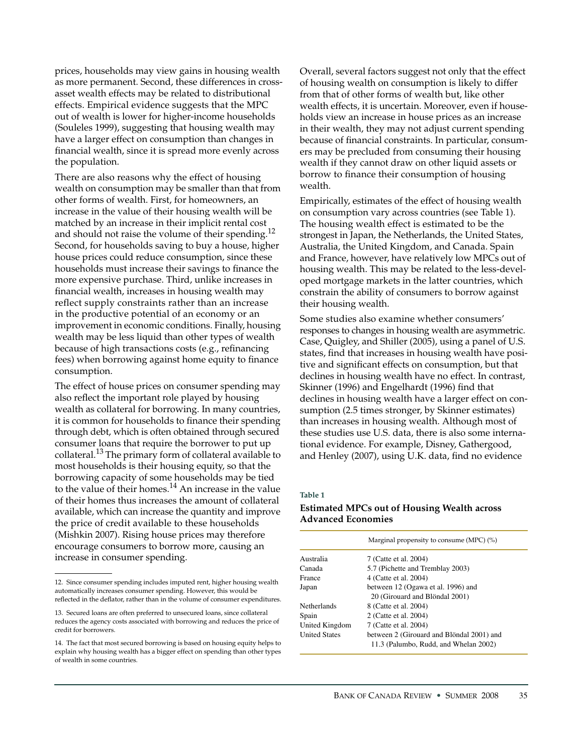prices, households may view gains in housing wealth as more permanent. Second, these differences in crossasset wealth effects may be related to distributional effects. Empirical evidence suggests that the MPC out of wealth is lower for higher-income households (Souleles 1999), suggesting that housing wealth may have a larger effect on consumption than changes in financial wealth, since it is spread more evenly across the population.

There are also reasons why the effect of housing wealth on consumption may be smaller than that from other forms of wealth. First, for homeowners, an increase in the value of their housing wealth will be matched by an increase in their implicit rental cost and should not raise the volume of their spending.<sup>12</sup> Second, for households saving to buy a house, higher house prices could reduce consumption, since these households must increase their savings to finance the more expensive purchase. Third, unlike increases in financial wealth, increases in housing wealth may reflect supply constraints rather than an increase in the productive potential of an economy or an improvement in economic conditions. Finally, housing wealth may be less liquid than other types of wealth because of high transactions costs (e.g., refinancing fees) when borrowing against home equity to finance consumption.

The effect of house prices on consumer spending may also reflect the important role played by housing wealth as collateral for borrowing. In many countries, it is common for households to finance their spending through debt, which is often obtained through secured consumer loans that require the borrower to put up collateral.<sup>13</sup> The primary form of collateral available to most households is their housing equity, so that the borrowing capacity of some households may be tied to the value of their homes.<sup>14</sup> An increase in the value of their homes thus increases the amount of collateral available, which can increase the quantity and improve the price of credit available to these households (Mishkin 2007). Rising house prices may therefore encourage consumers to borrow more, causing an increase in consumer spending.

Overall, several factors suggest not only that the effect of housing wealth on consumption is likely to differ from that of other forms of wealth but, like other wealth effects, it is uncertain. Moreover, even if households view an increase in house prices as an increase in their wealth, they may not adjust current spending because of financial constraints. In particular, consumers may be precluded from consuming their housing wealth if they cannot draw on other liquid assets or borrow to finance their consumption of housing wealth.

Empirically, estimates of the effect of housing wealth on consumption vary across countries (see Table 1). The housing wealth effect is estimated to be the strongest in Japan, the Netherlands, the United States, Australia, the United Kingdom, and Canada. Spain and France, however, have relatively low MPCs out of housing wealth. This may be related to the less-developed mortgage markets in the latter countries, which constrain the ability of consumers to borrow against their housing wealth.

Some studies also examine whether consumers' responses to changes in housing wealth are asymmetric. Case, Quigley, and Shiller (2005), using a panel of U.S. states, find that increases in housing wealth have positive and significant effects on consumption, but that declines in housing wealth have no effect. In contrast, Skinner (1996) and Engelhardt (1996) find that declines in housing wealth have a larger effect on consumption (2.5 times stronger, by Skinner estimates) than increases in housing wealth. Although most of these studies use U.S. data, there is also some international evidence. For example, Disney, Gathergood, and Henley (2007), using U.K. data, find no evidence

#### **Table 1**

### **Estimated MPCs out of Housing Wealth across Advanced Economies**

|                      | Marginal propensity to consume (MPC) (%)  |
|----------------------|-------------------------------------------|
| Australia            | 7 (Catte et al. 2004)                     |
| Canada               | 5.7 (Pichette and Tremblay 2003)          |
| France               | 4 (Catte et al. 2004)                     |
| Japan                | between 12 (Ogawa et al. 1996) and        |
|                      | 20 (Girouard and Blöndal 2001)            |
| <b>Netherlands</b>   | 8 (Catte et al. 2004)                     |
| Spain                | 2 (Catte et al. 2004)                     |
| United Kingdom       | 7 (Catte et al. 2004)                     |
| <b>United States</b> | between 2 (Girouard and Blöndal 2001) and |
|                      | 11.3 (Palumbo, Rudd, and Whelan 2002)     |

<sup>12.</sup> Since consumer spending includes imputed rent, higher housing wealth automatically increases consumer spending. However, this would be reflected in the deflator, rather than in the volume of consumer expenditures.

<sup>13.</sup> Secured loans are often preferred to unsecured loans, since collateral reduces the agency costs associated with borrowing and reduces the price of credit for borrowers.

<sup>14.</sup> The fact that most secured borrowing is based on housing equity helps to explain why housing wealth has a bigger effect on spending than other types of wealth in some countries.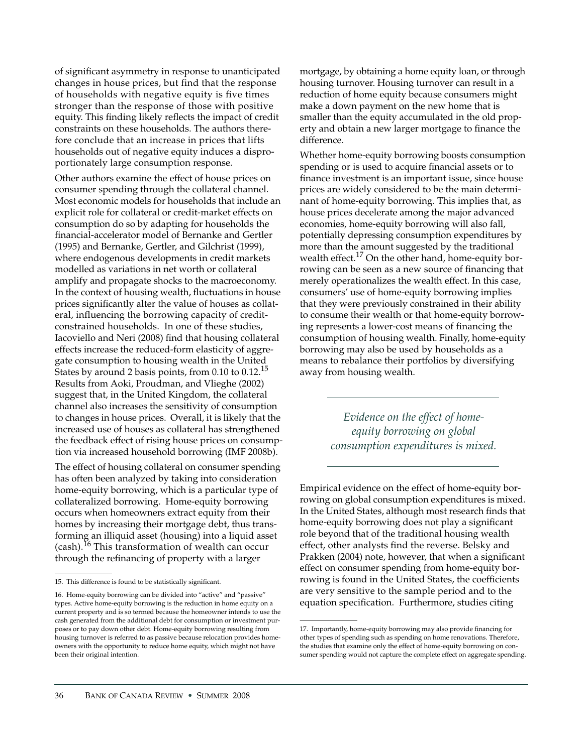of significant asymmetry in response to unanticipated changes in house prices, but find that the response of households with negative equity is five times stronger than the response of those with positive equity. This finding likely reflects the impact of credit constraints on these households. The authors therefore conclude that an increase in prices that lifts households out of negative equity induces a disproportionately large consumption response.

Other authors examine the effect of house prices on consumer spending through the collateral channel. Most economic models for households that include an explicit role for collateral or credit-market effects on consumption do so by adapting for households the financial-accelerator model of Bernanke and Gertler (1995) and Bernanke, Gertler, and Gilchrist (1999), where endogenous developments in credit markets modelled as variations in net worth or collateral amplify and propagate shocks to the macroeconomy. In the context of housing wealth, fluctuations in house prices significantly alter the value of houses as collateral, influencing the borrowing capacity of creditconstrained households. In one of these studies, Iacoviello and Neri (2008) find that housing collateral effects increase the reduced-form elasticity of aggregate consumption to housing wealth in the United States by around 2 basis points, from 0.10 to 0.12.<sup>15</sup> Results from Aoki, Proudman, and Vlieghe (2002) suggest that, in the United Kingdom, the collateral channel also increases the sensitivity of consumption to changes in house prices. Overall, it is likely that the increased use of houses as collateral has strengthened the feedback effect of rising house prices on consumption via increased household borrowing (IMF 2008b).

The effect of housing collateral on consumer spending has often been analyzed by taking into consideration home-equity borrowing, which is a particular type of collateralized borrowing. Home-equity borrowing occurs when homeowners extract equity from their homes by increasing their mortgage debt, thus transforming an illiquid asset (housing) into a liquid asset (cash).<sup>16</sup> This transformation of wealth can occur through the refinancing of property with a larger

mortgage, by obtaining a home equity loan, or through housing turnover. Housing turnover can result in a reduction of home equity because consumers might make a down payment on the new home that is smaller than the equity accumulated in the old property and obtain a new larger mortgage to finance the difference.

Whether home-equity borrowing boosts consumption spending or is used to acquire financial assets or to finance investment is an important issue, since house prices are widely considered to be the main determinant of home-equity borrowing. This implies that, as house prices decelerate among the major advanced economies, home-equity borrowing will also fall, potentially depressing consumption expenditures by more than the amount suggested by the traditional wealth effect.<sup>17</sup> On the other hand, home-equity borrowing can be seen as a new source of financing that merely operationalizes the wealth effect. In this case, consumers' use of home-equity borrowing implies that they were previously constrained in their ability to consume their wealth or that home-equity borrowing represents a lower-cost means of financing the consumption of housing wealth. Finally, home-equity borrowing may also be used by households as a means to rebalance their portfolios by diversifying away from housing wealth.

> *Evidence on the effect of homeequity borrowing on global consumption expenditures is mixed.*

Empirical evidence on the effect of home-equity borrowing on global consumption expenditures is mixed. In the United States, although most research finds that home-equity borrowing does not play a significant role beyond that of the traditional housing wealth effect, other analysts find the reverse. Belsky and Prakken (2004) note, however, that when a significant effect on consumer spending from home-equity borrowing is found in the United States, the coefficients are very sensitive to the sample period and to the equation specification. Furthermore, studies citing

<sup>15.</sup> This difference is found to be statistically significant.

<sup>16.</sup> Home-equity borrowing can be divided into "active" and "passive" types. Active home-equity borrowing is the reduction in home equity on a current property and is so termed because the homeowner intends to use the cash generated from the additional debt for consumption or investment purposes or to pay down other debt. Home-equity borrowing resulting from housing turnover is referred to as passive because relocation provides homeowners with the opportunity to reduce home equity, which might not have been their original intention.

<sup>17.</sup> Importantly, home-equity borrowing may also provide financing for other types of spending such as spending on home renovations. Therefore, the studies that examine only the effect of home-equity borrowing on consumer spending would not capture the complete effect on aggregate spending.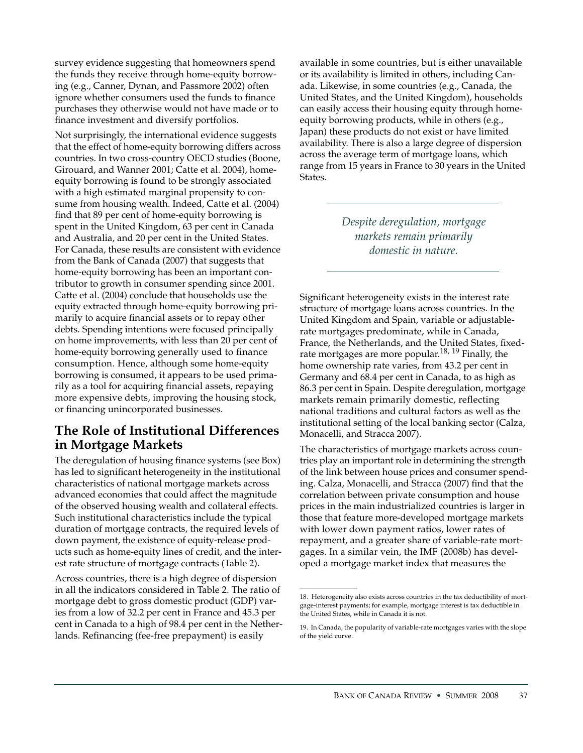survey evidence suggesting that homeowners spend the funds they receive through home-equity borrowing (e.g., Canner, Dynan, and Passmore 2002) often ignore whether consumers used the funds to finance purchases they otherwise would not have made or to finance investment and diversify portfolios.

Not surprisingly, the international evidence suggests that the effect of home-equity borrowing differs across countries. In two cross-country OECD studies (Boone, Girouard, and Wanner 2001; Catte et al. 2004), homeequity borrowing is found to be strongly associated with a high estimated marginal propensity to consume from housing wealth. Indeed, Catte et al. (2004) find that 89 per cent of home-equity borrowing is spent in the United Kingdom, 63 per cent in Canada and Australia, and 20 per cent in the United States. For Canada, these results are consistent with evidence from the Bank of Canada (2007) that suggests that home-equity borrowing has been an important contributor to growth in consumer spending since 2001. Catte et al. (2004) conclude that households use the equity extracted through home-equity borrowing primarily to acquire financial assets or to repay other debts. Spending intentions were focused principally on home improvements, with less than 20 per cent of home-equity borrowing generally used to finance consumption. Hence, although some home-equity borrowing is consumed, it appears to be used primarily as a tool for acquiring financial assets, repaying more expensive debts, improving the housing stock, or financing unincorporated businesses.

## **The Role of Institutional Differences in Mortgage Markets**

The deregulation of housing finance systems (see Box) has led to significant heterogeneity in the institutional characteristics of national mortgage markets across advanced economies that could affect the magnitude of the observed housing wealth and collateral effects. Such institutional characteristics include the typical duration of mortgage contracts, the required levels of down payment, the existence of equity-release products such as home-equity lines of credit, and the interest rate structure of mortgage contracts (Table 2).

Across countries, there is a high degree of dispersion in all the indicators considered in Table 2. The ratio of mortgage debt to gross domestic product (GDP) varies from a low of 32.2 per cent in France and 45.3 per cent in Canada to a high of 98.4 per cent in the Netherlands. Refinancing (fee-free prepayment) is easily

available in some countries, but is either unavailable or its availability is limited in others, including Canada. Likewise, in some countries (e.g., Canada, the United States, and the United Kingdom), households can easily access their housing equity through homeequity borrowing products, while in others (e.g., Japan) these products do not exist or have limited availability. There is also a large degree of dispersion across the average term of mortgage loans, which range from 15 years in France to 30 years in the United States.

> *Despite deregulation, mortgage markets remain primarily domestic in nature.*

Significant heterogeneity exists in the interest rate structure of mortgage loans across countries. In the United Kingdom and Spain, variable or adjustablerate mortgages predominate, while in Canada, France, the Netherlands, and the United States, fixedrate mortgages are more popular.<sup>18, 19</sup> Finally, the home ownership rate varies, from 43.2 per cent in Germany and 68.4 per cent in Canada, to as high as 86.3 per cent in Spain. Despite deregulation, mortgage markets remain primarily domestic, reflecting national traditions and cultural factors as well as the institutional setting of the local banking sector (Calza, Monacelli, and Stracca 2007).

The characteristics of mortgage markets across countries play an important role in determining the strength of the link between house prices and consumer spending. Calza, Monacelli, and Stracca (2007) find that the correlation between private consumption and house prices in the main industrialized countries is larger in those that feature more-developed mortgage markets with lower down payment ratios, lower rates of repayment, and a greater share of variable-rate mortgages. In a similar vein, the IMF (2008b) has developed a mortgage market index that measures the

<sup>18.</sup> Heterogeneity also exists across countries in the tax deductibility of mortgage-interest payments; for example, mortgage interest is tax deductible in the United States, while in Canada it is not.

<sup>19.</sup> In Canada, the popularity of variable-rate mortgages varies with the slope of the yield curve.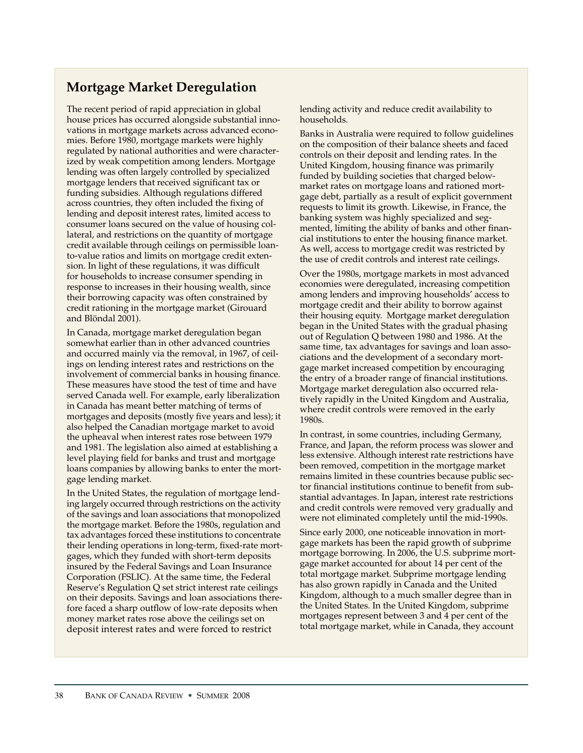## **Mortgage Market Deregulation**

The recent period of rapid appreciation in global house prices has occurred alongside substantial innovations in mortgage markets across advanced economies. Before 1980, mortgage markets were highly regulated by national authorities and were characterized by weak competition among lenders. Mortgage lending was often largely controlled by specialized mortgage lenders that received significant tax or funding subsidies. Although regulations differed across countries, they often included the fixing of lending and deposit interest rates, limited access to consumer loans secured on the value of housing collateral, and restrictions on the quantity of mortgage credit available through ceilings on permissible loanto-value ratios and limits on mortgage credit extension. In light of these regulations, it was difficult for households to increase consumer spending in response to increases in their housing wealth, since their borrowing capacity was often constrained by credit rationing in the mortgage market (Girouard and Blöndal 2001).

In Canada, mortgage market deregulation began somewhat earlier than in other advanced countries and occurred mainly via the removal, in 1967, of ceilings on lending interest rates and restrictions on the involvement of commercial banks in housing finance. These measures have stood the test of time and have served Canada well. For example, early liberalization in Canada has meant better matching of terms of mortgages and deposits (mostly five years and less); it also helped the Canadian mortgage market to avoid the upheaval when interest rates rose between 1979 and 1981. The legislation also aimed at establishing a level playing field for banks and trust and mortgage loans companies by allowing banks to enter the mortgage lending market.

In the United States, the regulation of mortgage lending largely occurred through restrictions on the activity of the savings and loan associations that monopolized the mortgage market. Before the 1980s, regulation and tax advantages forced these institutions to concentrate their lending operations in long-term, fixed-rate mortgages, which they funded with short-term deposits insured by the Federal Savings and Loan Insurance Corporation (FSLIC). At the same time, the Federal Reserve's Regulation Q set strict interest rate ceilings on their deposits. Savings and loan associations therefore faced a sharp outflow of low-rate deposits when money market rates rose above the ceilings set on deposit interest rates and were forced to restrict

lending activity and reduce credit availability to households.

Banks in Australia were required to follow guidelines on the composition of their balance sheets and faced controls on their deposit and lending rates. In the United Kingdom, housing finance was primarily funded by building societies that charged belowmarket rates on mortgage loans and rationed mortgage debt, partially as a result of explicit government requests to limit its growth. Likewise, in France, the banking system was highly specialized and segmented, limiting the ability of banks and other financial institutions to enter the housing finance market. As well, access to mortgage credit was restricted by the use of credit controls and interest rate ceilings.

Over the 1980s, mortgage markets in most advanced economies were deregulated, increasing competition among lenders and improving households' access to mortgage credit and their ability to borrow against their housing equity. Mortgage market deregulation began in the United States with the gradual phasing out of Regulation Q between 1980 and 1986. At the same time, tax advantages for savings and loan associations and the development of a secondary mortgage market increased competition by encouraging the entry of a broader range of financial institutions. Mortgage market deregulation also occurred relatively rapidly in the United Kingdom and Australia, where credit controls were removed in the early 1980s.

In contrast, in some countries, including Germany, France, and Japan, the reform process was slower and less extensive. Although interest rate restrictions have been removed, competition in the mortgage market remains limited in these countries because public sector financial institutions continue to benefit from substantial advantages. In Japan, interest rate restrictions and credit controls were removed very gradually and were not eliminated completely until the mid-1990s.

Since early 2000, one noticeable innovation in mortgage markets has been the rapid growth of subprime mortgage borrowing. In 2006, the U.S. subprime mortgage market accounted for about 14 per cent of the total mortgage market. Subprime mortgage lending has also grown rapidly in Canada and the United Kingdom, although to a much smaller degree than in the United States. In the United Kingdom, subprime mortgages represent between 3 and 4 per cent of the total mortgage market, while in Canada, they account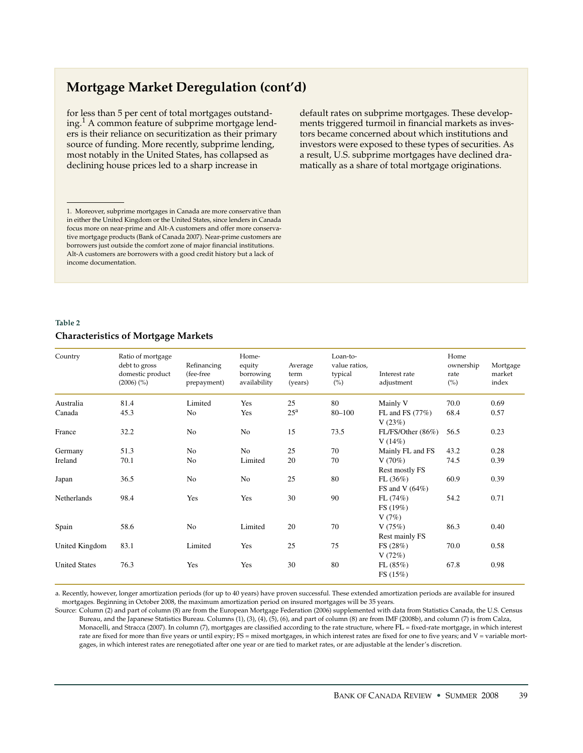## **Mortgage Market Deregulation (cont'd)**

for less than 5 per cent of total mortgages outstanding.1 A common feature of subprime mortgage lenders is their reliance on securitization as their primary source of funding. More recently, subprime lending, most notably in the United States, has collapsed as declining house prices led to a sharp increase in

default rates on subprime mortgages. These developments triggered turmoil in financial markets as investors became concerned about which institutions and investors were exposed to these types of securities. As a result, U.S. subprime mortgages have declined dramatically as a share of total mortgage originations.

#### **Table 2**

## **Characteristics of Mortgage Markets**

| Country              | Ratio of mortgage<br>debt to gross<br>domestic product<br>$(2006)$ $(\%)$ | Refinancing<br>(fee-free)<br>prepayment) | Home-<br>equity<br>borrowing<br>availability | Average<br>term<br>(years) | Loan-to-<br>value ratios,<br>typical<br>$(^{0}/_{0})$ | Interest rate<br>adjustment   | Home<br>ownership<br>rate<br>$(^{0}/_{0})$ | Mortgage<br>market<br>index |
|----------------------|---------------------------------------------------------------------------|------------------------------------------|----------------------------------------------|----------------------------|-------------------------------------------------------|-------------------------------|--------------------------------------------|-----------------------------|
| Australia            | 81.4                                                                      | Limited                                  | Yes                                          | 25                         | 80                                                    | Mainly V                      | 70.0                                       | 0.69                        |
| Canada               | 45.3                                                                      | No                                       | Yes                                          | 25 <sup>a</sup>            | $80 - 100$                                            | FL and FS $(77%)$<br>V(23%)   | 68.4                                       | 0.57                        |
| France               | 32.2                                                                      | No                                       | No                                           | 15                         | 73.5                                                  | FL/FS/Other (86%)<br>V(14%)   | 56.5                                       | 0.23                        |
| Germany              | 51.3                                                                      | No                                       | N <sub>o</sub>                               | 25                         | 70                                                    | Mainly FL and FS              | 43.2                                       | 0.28                        |
| Ireland              | 70.1                                                                      | No                                       | Limited                                      | 20                         | 70                                                    | V(70%)<br>Rest mostly FS      | 74.5                                       | 0.39                        |
| Japan                | 36.5                                                                      | No                                       | No                                           | 25                         | 80                                                    | FL (36%)<br>FS and V $(64%)$  | 60.9                                       | 0.39                        |
| Netherlands          | 98.4                                                                      | Yes                                      | Yes                                          | 30                         | 90                                                    | FL (74%)<br>FS (19%)<br>V(7%) | 54.2                                       | 0.71                        |
| Spain                | 58.6                                                                      | N <sub>o</sub>                           | Limited                                      | 20                         | 70                                                    | V(75%)<br>Rest mainly FS      | 86.3                                       | 0.40                        |
| United Kingdom       | 83.1                                                                      | Limited                                  | Yes                                          | 25                         | 75                                                    | FS (28%)<br>V(72%)            | 70.0                                       | 0.58                        |
| <b>United States</b> | 76.3                                                                      | Yes                                      | Yes                                          | 30                         | 80                                                    | FL (85%)<br>FS (15%)          | 67.8                                       | 0.98                        |

a. Recently, however, longer amortization periods (for up to 40 years) have proven successful. These extended amortization periods are available for insured mortgages. Beginning in October 2008, the maximum amortization period on insured mortgages will be 35 years.

Source: Column (2) and part of column (8) are from the European Mortgage Federation (2006) supplemented with data from Statistics Canada, the U.S. Census Bureau, and the Japanese Statistics Bureau. Columns (1), (3), (4), (5), (6), and part of column (8) are from IMF (2008b), and column (7) is from Calza, Monacelli, and Stracca (2007). In column (7), mortgages are classified according to the rate structure, where FL = fixed-rate mortgage, in which interest rate are fixed for more than five years or until expiry; FS = mixed mortgages, in which interest rates are fixed for one to five years; and V = variable mortgages, in which interest rates are renegotiated after one year or are tied to market rates, or are adjustable at the lender's discretion.

<sup>1.</sup> Moreover, subprime mortgages in Canada are more conservative than in either the United Kingdom or the United States, since lenders in Canada focus more on near-prime and Alt-A customers and offer more conservative mortgage products (Bank of Canada 2007). Near-prime customers are borrowers just outside the comfort zone of major financial institutions. Alt-A customers are borrowers with a good credit history but a lack of income documentation.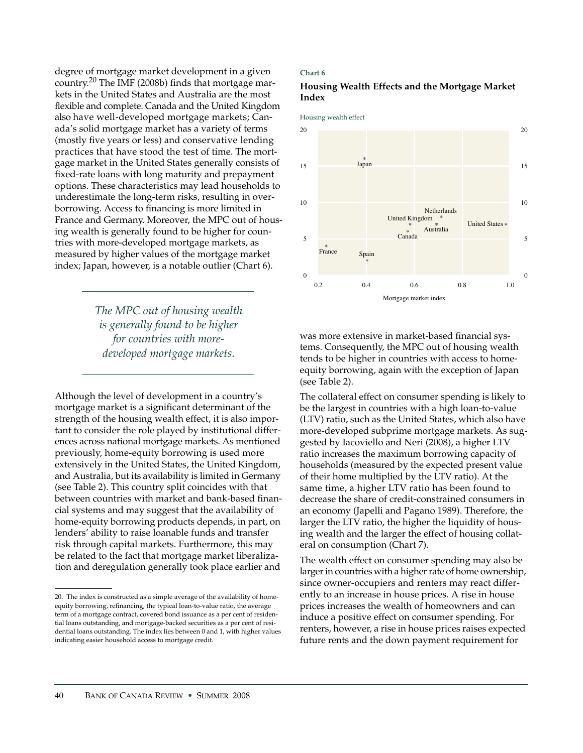degree of mortgage market development in a given country.<sup>20</sup> The IMF (2008b) finds that mortgage markets in the United States and Australia are the most flexible and complete. Canada and the United Kingdom also have well-developed mortgage markets; Canada's solid mortgage market has a variety of terms (mostly five years or less) and conservative lending practices that have stood the test of time. The mortgage market in the United States generally consists of fixed-rate loans with long maturity and prepayment options. These characteristics may lead households to underestimate the long-term risks, resulting in overborrowing. Access to financing is more limited in France and Germany. Moreover, the MPC out of housing wealth is generally found to be higher for countries with more-developed mortgage markets, as measured by higher values of the mortgage market index; Japan, however, is a notable outlier (Chart 6).

> *The MPC out of housing wealth is generally found to be higher for countries with moredeveloped mortgage markets.*

Although the level of development in a country's mortgage market is a significant determinant of the strength of the housing wealth effect, it is also important to consider the role played by institutional differences across national mortgage markets. As mentioned previously, home-equity borrowing is used more extensively in the United States, the United Kingdom, and Australia, but its availability is limited in Germany (see Table 2). This country split coincides with that between countries with market and bank-based financial systems and may suggest that the availability of home-equity borrowing products depends, in part, on lenders' ability to raise loanable funds and transfer risk through capital markets. Furthermore, this may be related to the fact that mortgage market liberalization and deregulation generally took place earlier and

#### **Chart 6**

#### **Housing Wealth Effects and the Mortgage Market Index**



was more extensive in market-based financial systems. Consequently, the MPC out of housing wealth tends to be higher in countries with access to homeequity borrowing, again with the exception of Japan (see Table 2).

The collateral effect on consumer spending is likely to be the largest in countries with a high loan-to-value (LTV) ratio, such as the United States, which also have more-developed subprime mortgage markets. As suggested by Iacoviello and Neri (2008), a higher LTV ratio increases the maximum borrowing capacity of households (measured by the expected present value of their home multiplied by the LTV ratio). At the same time, a higher LTV ratio has been found to decrease the share of credit-constrained consumers in an economy (Japelli and Pagano 1989). Therefore, the larger the LTV ratio, the higher the liquidity of housing wealth and the larger the effect of housing collateral on consumption (Chart 7).

The wealth effect on consumer spending may also be larger in countries with a higher rate of home ownership, since owner-occupiers and renters may react differently to an increase in house prices. A rise in house prices increases the wealth of homeowners and can induce a positive effect on consumer spending. For renters, however, a rise in house prices raises expected future rents and the down payment requirement for

<sup>20.</sup> The index is constructed as a simple average of the availability of homeequity borrowing, refinancing, the typical loan-to-value ratio, the average term of a mortgage contract, covered bond issuance as a per cent of residential loans outstanding, and mortgage-backed securities as a per cent of residential loans outstanding. The index lies between 0 and 1, with higher values indicating easier household access to mortgage credit.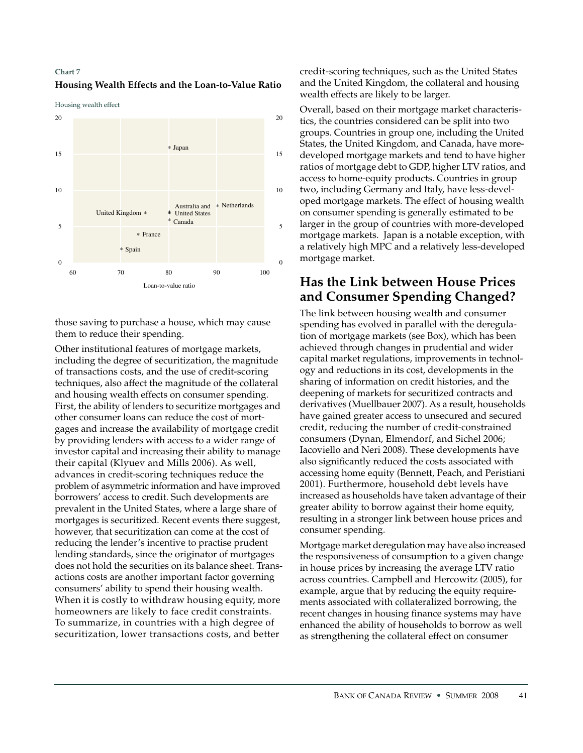#### **Chart 7**



## **Housing Wealth Effects and the Loan-to-Value Ratio**

those saving to purchase a house, which may cause them to reduce their spending.

Other institutional features of mortgage markets, including the degree of securitization, the magnitude of transactions costs, and the use of credit-scoring techniques, also affect the magnitude of the collateral and housing wealth effects on consumer spending. First, the ability of lenders to securitize mortgages and other consumer loans can reduce the cost of mortgages and increase the availability of mortgage credit by providing lenders with access to a wider range of investor capital and increasing their ability to manage their capital (Klyuev and Mills 2006). As well, advances in credit-scoring techniques reduce the problem of asymmetric information and have improved borrowers' access to credit. Such developments are prevalent in the United States, where a large share of mortgages is securitized. Recent events there suggest, however, that securitization can come at the cost of reducing the lender's incentive to practise prudent lending standards, since the originator of mortgages does not hold the securities on its balance sheet. Transactions costs are another important factor governing consumers' ability to spend their housing wealth. When it is costly to withdraw housing equity, more homeowners are likely to face credit constraints. To summarize, in countries with a high degree of securitization, lower transactions costs, and better

credit-scoring techniques, such as the United States and the United Kingdom, the collateral and housing wealth effects are likely to be larger.

Overall, based on their mortgage market characteristics, the countries considered can be split into two groups. Countries in group one, including the United States, the United Kingdom, and Canada, have moredeveloped mortgage markets and tend to have higher ratios of mortgage debt to GDP, higher LTV ratios, and access to home-equity products. Countries in group two, including Germany and Italy, have less-developed mortgage markets. The effect of housing wealth on consumer spending is generally estimated to be larger in the group of countries with more-developed mortgage markets. Japan is a notable exception, with a relatively high MPC and a relatively less-developed mortgage market.

## **Has the Link between House Prices and Consumer Spending Changed?**

The link between housing wealth and consumer spending has evolved in parallel with the deregulation of mortgage markets (see Box), which has been achieved through changes in prudential and wider capital market regulations, improvements in technology and reductions in its cost, developments in the sharing of information on credit histories, and the deepening of markets for securitized contracts and derivatives (Muellbauer 2007). As a result, households have gained greater access to unsecured and secured credit, reducing the number of credit-constrained consumers (Dynan, Elmendorf, and Sichel 2006; Iacoviello and Neri 2008). These developments have also significantly reduced the costs associated with accessing home equity (Bennett, Peach, and Peristiani 2001). Furthermore, household debt levels have increased as households have taken advantage of their greater ability to borrow against their home equity, resulting in a stronger link between house prices and consumer spending.

Mortgage market deregulation may have also increased the responsiveness of consumption to a given change in house prices by increasing the average LTV ratio across countries. Campbell and Hercowitz (2005), for example, argue that by reducing the equity requirements associated with collateralized borrowing, the recent changes in housing finance systems may have enhanced the ability of households to borrow as well as strengthening the collateral effect on consumer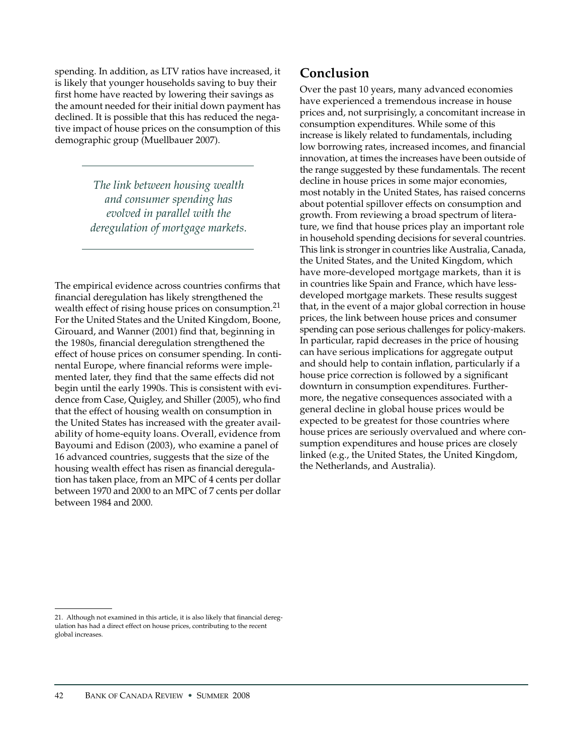spending. In addition, as LTV ratios have increased, it is likely that younger households saving to buy their first home have reacted by lowering their savings as the amount needed for their initial down payment has declined. It is possible that this has reduced the negative impact of house prices on the consumption of this demographic group (Muellbauer 2007).

> *The link between housing wealth and consumer spending has evolved in parallel with the deregulation of mortgage markets.*

The empirical evidence across countries confirms that financial deregulation has likely strengthened the wealth effect of rising house prices on consumption.<sup>21</sup> For the United States and the United Kingdom, Boone, Girouard, and Wanner (2001) find that, beginning in the 1980s, financial deregulation strengthened the effect of house prices on consumer spending. In continental Europe, where financial reforms were implemented later, they find that the same effects did not begin until the early 1990s. This is consistent with evidence from Case, Quigley, and Shiller (2005), who find that the effect of housing wealth on consumption in the United States has increased with the greater availability of home-equity loans. Overall, evidence from Bayoumi and Edison (2003), who examine a panel of 16 advanced countries, suggests that the size of the housing wealth effect has risen as financial deregulation has taken place, from an MPC of 4 cents per dollar between 1970 and 2000 to an MPC of 7 cents per dollar between 1984 and 2000.

## **Conclusion**

Over the past 10 years, many advanced economies have experienced a tremendous increase in house prices and, not surprisingly, a concomitant increase in consumption expenditures. While some of this increase is likely related to fundamentals, including low borrowing rates, increased incomes, and financial innovation, at times the increases have been outside of the range suggested by these fundamentals. The recent decline in house prices in some major economies, most notably in the United States, has raised concerns about potential spillover effects on consumption and growth. From reviewing a broad spectrum of literature, we find that house prices play an important role in household spending decisions for several countries. This link is stronger in countries like Australia, Canada, the United States, and the United Kingdom, which have more-developed mortgage markets, than it is in countries like Spain and France, which have lessdeveloped mortgage markets. These results suggest that, in the event of a major global correction in house prices, the link between house prices and consumer spending can pose serious challenges for policy-makers. In particular, rapid decreases in the price of housing can have serious implications for aggregate output and should help to contain inflation, particularly if a house price correction is followed by a significant downturn in consumption expenditures. Furthermore, the negative consequences associated with a general decline in global house prices would be expected to be greatest for those countries where house prices are seriously overvalued and where consumption expenditures and house prices are closely linked (e.g., the United States, the United Kingdom, the Netherlands, and Australia).

<sup>21.</sup> Although not examined in this article, it is also likely that financial deregulation has had a direct effect on house prices, contributing to the recent global increases.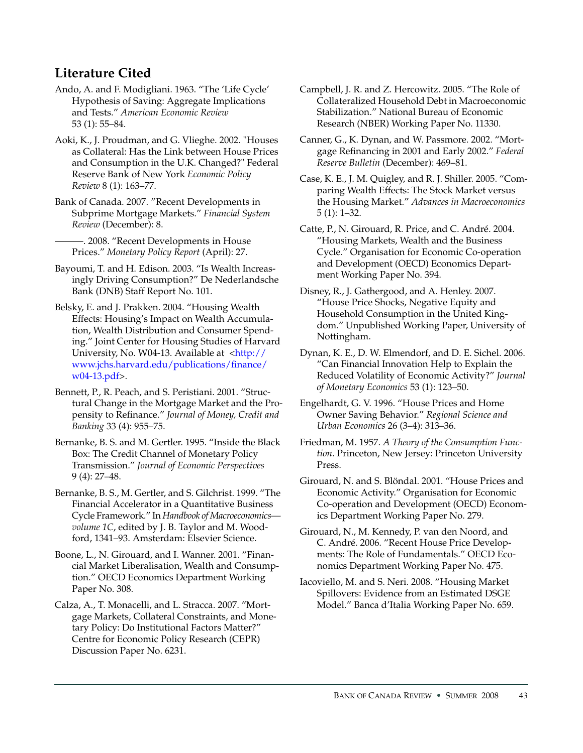## **Literature Cited**

- Ando, A. and F. Modigliani. 1963. "The 'Life Cycle' Hypothesis of Saving: Aggregate Implications and Tests." *American Economic Review* 53 (1): 55–84.
- Aoki, K., J. Proudman, and G. Vlieghe. 2002. "Houses as Collateral: Has the Link between House Prices and Consumption in the U.K. Changed?" Federal Reserve Bank of New York *Economic Policy Review* 8 (1): 163–77.
- Bank of Canada. 2007. "Recent Developments in Subprime Mortgage Markets." *Financial System Review* (December): 8.
- -. 2008. "Recent Developments in House Prices." *Monetary Policy Report* (April): 27.
- Bayoumi, T. and H. Edison. 2003. "Is Wealth Increasingly Driving Consumption?" De Nederlandsche Bank (DNB) Staff Report No. 101.
- Belsky, E. and J. Prakken. 2004. "Housing Wealth Effects: Housing's Impact on Wealth Accumulation, Wealth Distribution and Consumer Spending." Joint Center for Housing Studies of Harvard University, No. W04-13. Available at  $\langle \text{http://} \rangle$  $\langle \text{http://} \rangle$  $\langle \text{http://} \rangle$ [www.jchs.harvard.edu/publications/finance/](http://www.jchs.harvard.edu/publications/finance/w04-13.pdf) [w04-13.pdf>](http://www.jchs.harvard.edu/publications/finance/w04-13.pdf).
- Bennett, P., R. Peach, and S. Peristiani. 2001. "Structural Change in the Mortgage Market and the Propensity to Refinance." *Journal of Money, Credit and Banking* 33 (4): 955–75.
- Bernanke, B. S. and M. Gertler. 1995. "Inside the Black Box: The Credit Channel of Monetary Policy Transmission." *Journal of Economic Perspectives* 9 (4): 27–48.
- Bernanke, B. S., M. Gertler, and S. Gilchrist. 1999. "The Financial Accelerator in a Quantitative Business Cycle Framework." In *Handbook of Macroeconomics volume 1C*, edited by J. B. Taylor and M. Woodford, 1341–93. Amsterdam: Elsevier Science.
- Boone, L., N. Girouard, and I. Wanner. 2001. "Financial Market Liberalisation, Wealth and Consumption." OECD Economics Department Working Paper No. 308.
- Calza, A., T. Monacelli, and L. Stracca. 2007. "Mortgage Markets, Collateral Constraints, and Monetary Policy: Do Institutional Factors Matter?" Centre for Economic Policy Research (CEPR) Discussion Paper No. 6231.
- Campbell, J. R. and Z. Hercowitz. 2005. "The Role of Collateralized Household Debt in Macroeconomic Stabilization." National Bureau of Economic Research (NBER) Working Paper No. 11330.
- Canner, G., K. Dynan, and W. Passmore. 2002. "Mortgage Refinancing in 2001 and Early 2002." *Federal Reserve Bulletin* (December): 469–81.
- Case, K. E., J. M. Quigley, and R. J. Shiller. 2005. "Comparing Wealth Effects: The Stock Market versus the Housing Market." *Advances in Macroeconomics* 5 (1): 1–32.
- Catte, P., N. Girouard, R. Price, and C. André. 2004. "Housing Markets, Wealth and the Business Cycle." Organisation for Economic Co-operation and Development (OECD) Economics Department Working Paper No. 394.
- Disney, R., J. Gathergood, and A. Henley. 2007. "House Price Shocks, Negative Equity and Household Consumption in the United Kingdom." Unpublished Working Paper, University of Nottingham.
- Dynan, K. E., D. W. Elmendorf, and D. E. Sichel. 2006. "Can Financial Innovation Help to Explain the Reduced Volatility of Economic Activity?" *Journal of Monetary Economics* 53 (1): 123–50.
- Engelhardt, G. V. 1996. "House Prices and Home Owner Saving Behavior." *Regional Science and Urban Economics* 26 (3–4): 313–36.
- Friedman, M. 1957. *A Theory of the Consumption Function*. Princeton, New Jersey: Princeton University Press.
- Girouard, N. and S. Blöndal. 2001. "House Prices and Economic Activity." Organisation for Economic Co-operation and Development (OECD) Economics Department Working Paper No. 279.
- Girouard, N., M. Kennedy, P. van den Noord, and C. André. 2006. "Recent House Price Developments: The Role of Fundamentals." OECD Economics Department Working Paper No. 475.
- Iacoviello, M. and S. Neri. 2008. "Housing Market Spillovers: Evidence from an Estimated DSGE Model." Banca d'Italia Working Paper No. 659.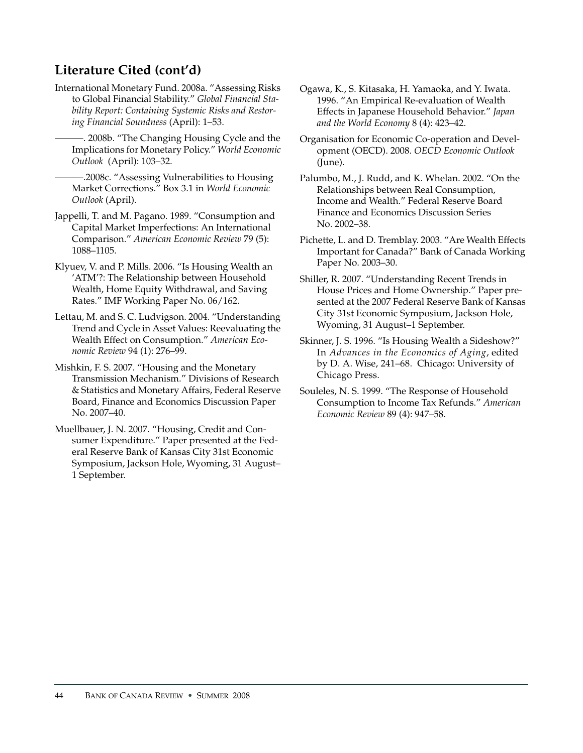## **Literature Cited (cont'd)**

International Monetary Fund. 2008a. "Assessing Risks to Global Financial Stability." *Global Financial Stability Report: Containing Systemic Risks and Restoring Financial Soundness* (April): 1–53.

-. 2008b. "The Changing Housing Cycle and the Implications for Monetary Policy." *World Economic Outlook* (April): 103–32.

———.2008c. "Assessing Vulnerabilities to Housing Market Corrections." Box 3.1 in *World Economic Outlook* (April).

Jappelli, T. and M. Pagano. 1989. "Consumption and Capital Market Imperfections: An International Comparison." *American Economic Review* 79 (5): 1088–1105.

Klyuev, V. and P. Mills. 2006. "Is Housing Wealth an 'ATM'?: The Relationship between Household Wealth, Home Equity Withdrawal, and Saving Rates." IMF Working Paper No. 06/162.

Lettau, M. and S. C. Ludvigson. 2004. "Understanding Trend and Cycle in Asset Values: Reevaluating the Wealth Effect on Consumption." *American Economic Review* 94 (1): 276–99.

Mishkin, F. S. 2007. "Housing and the Monetary Transmission Mechanism." Divisions of Research & Statistics and Monetary Affairs, Federal Reserve Board, Finance and Economics Discussion Paper No. 2007–40.

Muellbauer, J. N. 2007. "Housing, Credit and Consumer Expenditure." Paper presented at the Federal Reserve Bank of Kansas City 31st Economic Symposium, Jackson Hole, Wyoming, 31 August– 1 September.

Ogawa, K., S. Kitasaka, H. Yamaoka, and Y. Iwata. 1996. "An Empirical Re-evaluation of Wealth Effects in Japanese Household Behavior." *Japan and the World Economy* 8 (4): 423–42.

Organisation for Economic Co-operation and Development (OECD). 2008. *OECD Economic Outlook* (June).

Palumbo, M., J. Rudd, and K. Whelan. 2002. "On the Relationships between Real Consumption, Income and Wealth." Federal Reserve Board Finance and Economics Discussion Series No. 2002–38.

Pichette, L. and D. Tremblay. 2003. "Are Wealth Effects Important for Canada?" Bank of Canada Working Paper No. 2003–30.

Shiller, R. 2007. "Understanding Recent Trends in House Prices and Home Ownership." Paper presented at the 2007 Federal Reserve Bank of Kansas City 31st Economic Symposium, Jackson Hole, Wyoming, 31 August–1 September.

Skinner, J. S. 1996. "Is Housing Wealth a Sideshow?" In *Advances in the Economics of Aging*, edited by D. A. Wise, 241–68. Chicago: University of Chicago Press.

Souleles, N. S. 1999. "The Response of Household Consumption to Income Tax Refunds." *American Economic Review* 89 (4): 947–58.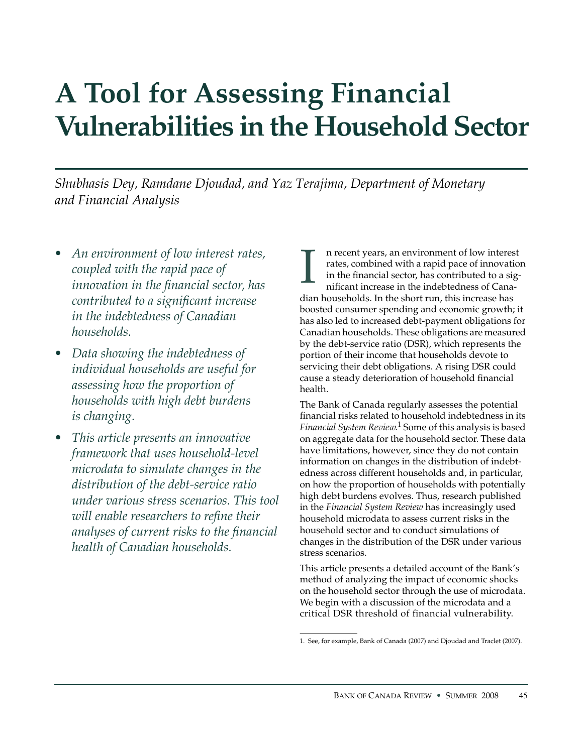## <span id="page-46-0"></span>**A Tool for Assessing Financial Vulnerabilities in the Household Sector**

*Shubhasis Dey, Ramdane Djoudad, and Yaz Terajima, Department of Monetary and Financial Analysis*

- *An environment of low interest rates, coupled with the rapid pace of innovation in the financial sector, has contributed to a significant increase in the indebtedness of Canadian households.*
- *Data showing the indebtedness of individual households are useful for assessing how the proportion of households with high debt burdens is changing.*
- *This article presents an innovative framework that uses household-level microdata to simulate changes in the distribution of the debt-service ratio under various stress scenarios. This tool will enable researchers to refine their analyses of current risks to the financial health of Canadian households.*

n recent years, an environment of low interest rates, combined with a rapid pace of innovation in the financial sector, has contributed to a significant increase in the indebtedness of Canadian households. In the short run, this increase has boosted consumer spending and economic growth; it has also led to increased debt-payment obligations for Canadian households. These obligations are measured by the debt-service ratio (DSR), which represents the portion of their income that households devote to servicing their debt obligations. A rising DSR could cause a steady deterioration of household financial health. I

The Bank of Canada regularly assesses the potential financial risks related to household indebtedness in its *Financial System Review*. <sup>1</sup> Some of this analysis is based on aggregate data for the household sector. These data have limitations, however, since they do not contain information on changes in the distribution of indebtedness across different households and, in particular, on how the proportion of households with potentially high debt burdens evolves. Thus, research published in the *Financial System Review* has increasingly used household microdata to assess current risks in the household sector and to conduct simulations of changes in the distribution of the DSR under various stress scenarios.

This article presents a detailed account of the Bank's method of analyzing the impact of economic shocks on the household sector through the use of microdata. We begin with a discussion of the microdata and a critical DSR threshold of financial vulnerability.

<sup>1.</sup> See, for example, Bank of Canada (2007) and Djoudad and Traclet (2007).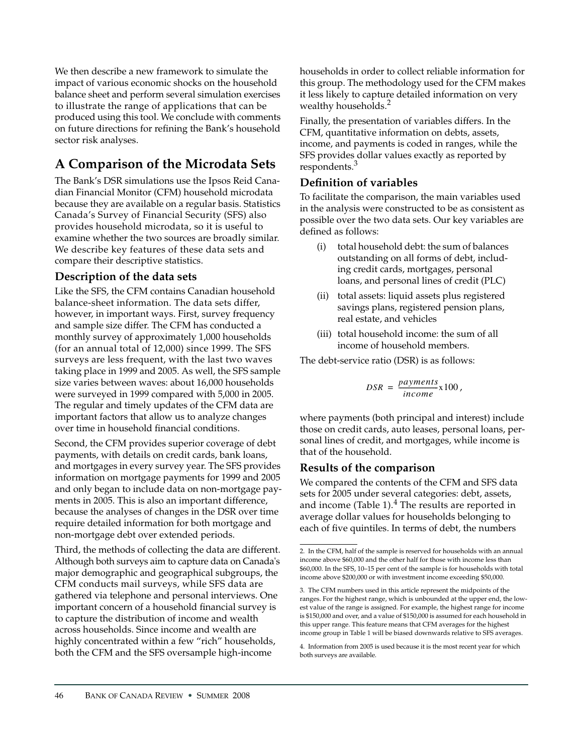We then describe a new framework to simulate the impact of various economic shocks on the household balance sheet and perform several simulation exercises to illustrate the range of applications that can be produced using this tool. We conclude with comments on future directions for refining the Bank's household sector risk analyses.

## **A Comparison of the Microdata Sets**

The Bank's DSR simulations use the Ipsos Reid Canadian Financial Monitor (CFM) household microdata because they are available on a regular basis. Statistics Canada's Survey of Financial Security (SFS) also provides household microdata, so it is useful to examine whether the two sources are broadly similar. We describe key features of these data sets and compare their descriptive statistics.

## **Description of the data sets**

Like the SFS, the CFM contains Canadian household balance-sheet information. The data sets differ, however, in important ways. First, survey frequency and sample size differ. The CFM has conducted a monthly survey of approximately 1,000 households (for an annual total of 12,000) since 1999. The SFS surveys are less frequent, with the last two waves taking place in 1999 and 2005. As well, the SFS sample size varies between waves: about 16,000 households were surveyed in 1999 compared with 5,000 in 2005. The regular and timely updates of the CFM data are important factors that allow us to analyze changes over time in household financial conditions.

Second, the CFM provides superior coverage of debt payments, with details on credit cards, bank loans, and mortgages in every survey year. The SFS provides information on mortgage payments for 1999 and 2005 and only began to include data on non-mortgage payments in 2005. This is also an important difference, because the analyses of changes in the DSR over time require detailed information for both mortgage and non-mortgage debt over extended periods.

Third, the methods of collecting the data are different. Although both surveys aim to capture data on Canada's major demographic and geographical subgroups, the CFM conducts mail surveys, while SFS data are gathered via telephone and personal interviews. One important concern of a household financial survey is to capture the distribution of income and wealth across households. Since income and wealth are highly concentrated within a few "rich" households, both the CFM and the SFS oversample high-income

households in order to collect reliable information for this group. The methodology used for the CFM makes it less likely to capture detailed information on very wealthy households.<sup>2</sup>

Finally, the presentation of variables differs. In the CFM, quantitative information on debts, assets, income, and payments is coded in ranges, while the SFS provides dollar values exactly as reported by respondents.3

## **Definition of variables**

To facilitate the comparison, the main variables used in the analysis were constructed to be as consistent as possible over the two data sets. Our key variables are defined as follows:

- (i) total household debt: the sum of balances outstanding on all forms of debt, including credit cards, mortgages, personal loans, and personal lines of credit (PLC)
- (ii) total assets: liquid assets plus registered savings plans, registered pension plans, real estate, and vehicles
- (iii) total household income: the sum of all income of household members.

The debt-service ratio (DSR) is as follows:

$$
DSR = \frac{payments}{income} \times 100,
$$

where payments (both principal and interest) include those on credit cards, auto leases, personal loans, personal lines of credit, and mortgages, while income is that of the household.

## **Results of the comparison**

We compared the contents of the CFM and SFS data sets for 2005 under several categories: debt, assets, and income (Table 1). $<sup>4</sup>$  The results are reported in</sup> average dollar values for households belonging to each of five quintiles. In terms of debt, the numbers

<sup>2.</sup> In the CFM, half of the sample is reserved for households with an annual income above \$60,000 and the other half for those with income less than \$60,000. In the SFS, 10–15 per cent of the sample is for households with total income above \$200,000 or with investment income exceeding \$50,000.

<sup>3.</sup> The CFM numbers used in this article represent the midpoints of the ranges. For the highest range, which is unbounded at the upper end, the lowest value of the range is assigned. For example, the highest range for income is \$150,000 and over, and a value of \$150,000 is assumed for each household in this upper range. This feature means that CFM averages for the highest income group in Table 1 will be biased downwards relative to SFS averages.

<sup>4.</sup> Information from 2005 is used because it is the most recent year for which both surveys are available.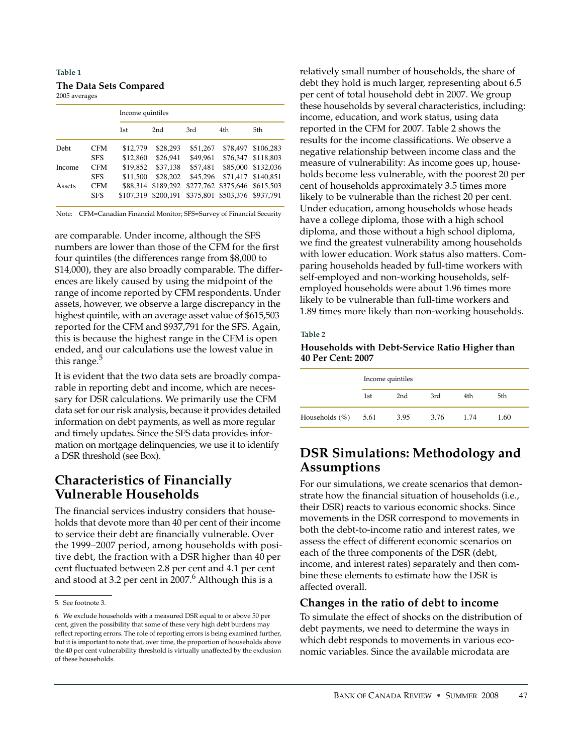#### **Table 1 The Data Sets Compared** 2005 averages

|             |            |           | Income quintiles   |          |                               |                    |  |  |  |
|-------------|------------|-----------|--------------------|----------|-------------------------------|--------------------|--|--|--|
|             |            | 1st       | 2nd                | 3rd      | 4th                           | 5th                |  |  |  |
| <b>Debt</b> | <b>CFM</b> | \$12,779  | \$28,293           | \$51,267 | \$78,497                      | \$106.283          |  |  |  |
|             | <b>SFS</b> | \$12,860  | \$26.941           | \$49.961 |                               | \$76,347 \$118,803 |  |  |  |
| Income      | <b>CFM</b> | \$19,852  | \$37.138           | \$57.481 |                               | \$85,000 \$132,036 |  |  |  |
|             | <b>SFS</b> | \$11,500  | \$28,202           | \$45,296 |                               | \$71.417 \$140.851 |  |  |  |
| Assets      | <b>CFM</b> |           | \$88,314 \$189,292 |          | \$277,762 \$375,646 \$615,503 |                    |  |  |  |
|             | <b>SFS</b> | \$107.319 | \$200,191          |          | \$375,801 \$503,376 \$937,791 |                    |  |  |  |

Note: CFM=Canadian Financial Monitor; SFS=Survey of Financial Security

are comparable. Under income, although the SFS numbers are lower than those of the CFM for the first four quintiles (the differences range from \$8,000 to \$14,000), they are also broadly comparable. The differences are likely caused by using the midpoint of the range of income reported by CFM respondents. Under assets, however, we observe a large discrepancy in the highest quintile, with an average asset value of \$615,503 reported for the CFM and \$937,791 for the SFS. Again, this is because the highest range in the CFM is open ended, and our calculations use the lowest value in this range.<sup>5</sup>

It is evident that the two data sets are broadly comparable in reporting debt and income, which are necessary for DSR calculations. We primarily use the CFM data set for our risk analysis, because it provides detailed information on debt payments, as well as more regular and timely updates. Since the SFS data provides information on mortgage delinquencies, we use it to identify a DSR threshold (see Box).

## **Characteristics of Financially Vulnerable Households**

The financial services industry considers that households that devote more than 40 per cent of their income to service their debt are financially vulnerable. Over the 1999–2007 period, among households with positive debt, the fraction with a DSR higher than 40 per cent fluctuated between 2.8 per cent and 4.1 per cent and stood at 3.2 per cent in  $2007<sup>6</sup>$  Although this is a

relatively small number of households, the share of debt they hold is much larger, representing about 6.5 per cent of total household debt in 2007. We group these households by several characteristics, including: income, education, and work status, using data reported in the CFM for 2007. Table 2 shows the results for the income classifications. We observe a negative relationship between income class and the measure of vulnerability: As income goes up, households become less vulnerable, with the poorest 20 per cent of households approximately 3.5 times more likely to be vulnerable than the richest 20 per cent. Under education, among households whose heads have a college diploma, those with a high school diploma, and those without a high school diploma, we find the greatest vulnerability among households with lower education. Work status also matters. Comparing households headed by full-time workers with self-employed and non-working households, selfemployed households were about 1.96 times more likely to be vulnerable than full-time workers and 1.89 times more likely than non-working households.

#### **Table 2**

## **Households with Debt-Service Ratio Higher than 40 Per Cent: 2007**

|                        |     | Income quintiles |      |      |      |  |  |
|------------------------|-----|------------------|------|------|------|--|--|
|                        | 1st | 2nd              | 3rd  | 4th  | 5th  |  |  |
| Households $(\%)$ 5.61 |     | 3.95             | 3.76 | 1.74 | 1.60 |  |  |

## **DSR Simulations: Methodology and Assumptions**

For our simulations, we create scenarios that demonstrate how the financial situation of households (i.e., their DSR) reacts to various economic shocks. Since movements in the DSR correspond to movements in both the debt-to-income ratio and interest rates, we assess the effect of different economic scenarios on each of the three components of the DSR (debt, income, and interest rates) separately and then combine these elements to estimate how the DSR is affected overall.

## **Changes in the ratio of debt to income**

To simulate the effect of shocks on the distribution of debt payments, we need to determine the ways in which debt responds to movements in various economic variables. Since the available microdata are

<sup>5.</sup> See footnote 3.

<sup>6.</sup> We exclude households with a measured DSR equal to or above 50 per cent, given the possibility that some of these very high debt burdens may reflect reporting errors. The role of reporting errors is being examined further, but it is important to note that, over time, the proportion of households above the 40 per cent vulnerability threshold is virtually unaffected by the exclusion of these households.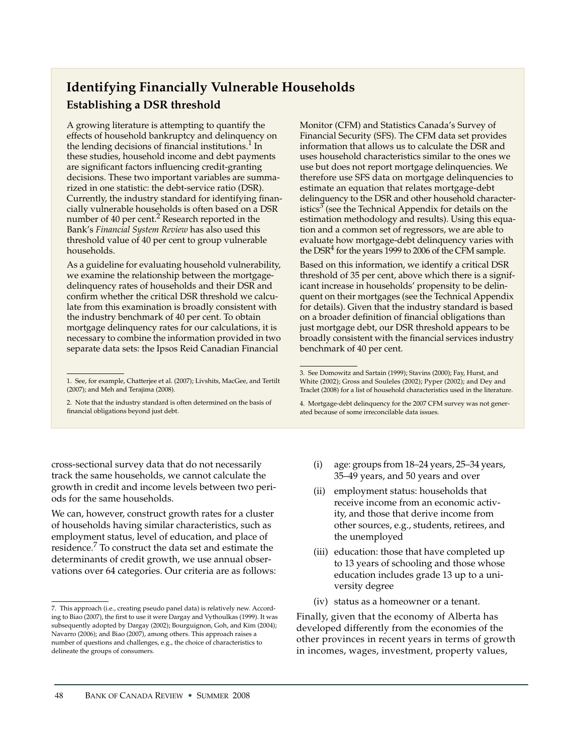## **Identifying Financially Vulnerable Households Establishing a DSR threshold**

A growing literature is attempting to quantify the effects of household bankruptcy and delinquency on the lending decisions of financial institutions.<sup>1</sup> In these studies, household income and debt payments are significant factors influencing credit-granting decisions. These two important variables are summarized in one statistic: the debt-service ratio (DSR). Currently, the industry standard for identifying financially vulnerable households is often based on a DSR number of 40 per cent.<sup>2</sup> Research reported in the Bank's *Financial System Review* has also used this threshold value of 40 per cent to group vulnerable households.

As a guideline for evaluating household vulnerability, we examine the relationship between the mortgagedelinquency rates of households and their DSR and confirm whether the critical DSR threshold we calculate from this examination is broadly consistent with the industry benchmark of 40 per cent. To obtain mortgage delinquency rates for our calculations, it is necessary to combine the information provided in two separate data sets: the Ipsos Reid Canadian Financial

2. Note that the industry standard is often determined on the basis of financial obligations beyond just debt.

Monitor (CFM) and Statistics Canada's Survey of Financial Security (SFS). The CFM data set provides information that allows us to calculate the DSR and uses household characteristics similar to the ones we use but does not report mortgage delinquencies. We therefore use SFS data on mortgage delinquencies to estimate an equation that relates mortgage-debt delinquency to the DSR and other household characteristics $\mathfrak{I}$  (see the Technical Appendix for details on the estimation methodology and results). Using this equation and a common set of regressors, we are able to evaluate how mortgage-debt delinquency varies with the  $DSR<sup>4</sup>$  for the years 1999 to 2006 of the CFM sample.

Based on this information, we identify a critical DSR threshold of 35 per cent, above which there is a significant increase in households' propensity to be delinquent on their mortgages (see the Technical Appendix for details). Given that the industry standard is based on a broader definition of financial obligations than just mortgage debt, our DSR threshold appears to be broadly consistent with the financial services industry benchmark of 40 per cent.

cross-sectional survey data that do not necessarily track the same households, we cannot calculate the growth in credit and income levels between two periods for the same households.

We can, however, construct growth rates for a cluster of households having similar characteristics, such as employment status, level of education, and place of residence.7 To construct the data set and estimate the determinants of credit growth, we use annual observations over 64 categories. Our criteria are as follows:

- (i) age: groups from 18–24 years, 25–34 years, 35–49 years, and 50 years and over
- (ii) employment status: households that receive income from an economic activity, and those that derive income from other sources, e.g., students, retirees, and the unemployed
- (iii) education: those that have completed up to 13 years of schooling and those whose education includes grade 13 up to a university degree
- (iv) status as a homeowner or a tenant.

Finally, given that the economy of Alberta has developed differently from the economies of the other provinces in recent years in terms of growth in incomes, wages, investment, property values,

<sup>1.</sup> See, for example, Chatterjee et al. (2007); Livshits, MacGee, and Tertilt (2007); and Meh and Terajima (2008).

<sup>3.</sup> See Domowitz and Sartain (1999); Stavins (2000); Fay, Hurst, and White (2002); Gross and Souleles (2002); Pyper (2002); and Dey and Traclet (2008) for a list of household characteristics used in the literature.

<sup>4.</sup> Mortgage-debt delinquency for the 2007 CFM survey was not generated because of some irreconcilable data issues.

<sup>7.</sup> This approach (i.e., creating pseudo panel data) is relatively new. According to Biao (2007), the first to use it were Dargay and Vythoulkas (1999). It was subsequently adopted by Dargay (2002); Bourguignon, Goh, and Kim (2004); Navarro (2006); and Biao (2007), among others. This approach raises a number of questions and challenges, e.g., the choice of characteristics to delineate the groups of consumers.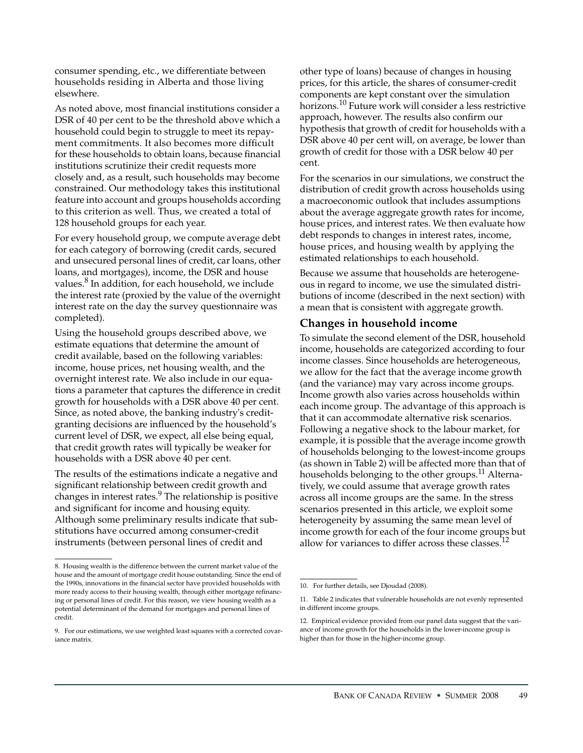consumer spending, etc., we differentiate between households residing in Alberta and those living elsewhere.

As noted above, most financial institutions consider a DSR of 40 per cent to be the threshold above which a household could begin to struggle to meet its repayment commitments. It also becomes more difficult for these households to obtain loans, because financial institutions scrutinize their credit requests more closely and, as a result, such households may become constrained. Our methodology takes this institutional feature into account and groups households according to this criterion as well. Thus, we created a total of 128 household groups for each year.

For every household group, we compute average debt for each category of borrowing (credit cards, secured and unsecured personal lines of credit, car loans, other loans, and mortgages), income, the DSR and house values.<sup>8</sup> In addition, for each household, we include the interest rate (proxied by the value of the overnight interest rate on the day the survey questionnaire was completed).

Using the household groups described above, we estimate equations that determine the amount of credit available, based on the following variables: income, house prices, net housing wealth, and the overnight interest rate. We also include in our equations a parameter that captures the difference in credit growth for households with a DSR above 40 per cent. Since, as noted above, the banking industry's creditgranting decisions are influenced by the household's current level of DSR, we expect, all else being equal, that credit growth rates will typically be weaker for households with a DSR above 40 per cent.

The results of the estimations indicate a negative and significant relationship between credit growth and changes in interest rates.<sup>9</sup> The relationship is positive and significant for income and housing equity. Although some preliminary results indicate that substitutions have occurred among consumer-credit instruments (between personal lines of credit and

other type of loans) because of changes in housing prices, for this article, the shares of consumer-credit components are kept constant over the simulation horizons.<sup>10</sup> Future work will consider a less restrictive approach, however. The results also confirm our hypothesis that growth of credit for households with a DSR above 40 per cent will, on average, be lower than growth of credit for those with a DSR below 40 per cent.

For the scenarios in our simulations, we construct the distribution of credit growth across households using a macroeconomic outlook that includes assumptions about the average aggregate growth rates for income, house prices, and interest rates. We then evaluate how debt responds to changes in interest rates, income, house prices, and housing wealth by applying the estimated relationships to each household.

Because we assume that households are heterogeneous in regard to income, we use the simulated distributions of income (described in the next section) with a mean that is consistent with aggregate growth.

## **Changes in household income**

To simulate the second element of the DSR, household income, households are categorized according to four income classes. Since households are heterogeneous, we allow for the fact that the average income growth (and the variance) may vary across income groups. Income growth also varies across households within each income group. The advantage of this approach is that it can accommodate alternative risk scenarios. Following a negative shock to the labour market, for example, it is possible that the average income growth of households belonging to the lowest-income groups (as shown in Table 2) will be affected more than that of households belonging to the other groups.<sup>11</sup> Alternatively, we could assume that average growth rates across all income groups are the same. In the stress scenarios presented in this article, we exploit some heterogeneity by assuming the same mean level of income growth for each of the four income groups but allow for variances to differ across these classes.<sup>12</sup>

<sup>8.</sup> Housing wealth is the difference between the current market value of the house and the amount of mortgage credit house outstanding. Since the end of the 1990s, innovations in the financial sector have provided households with more ready access to their housing wealth, through either mortgage refinancing or personal lines of credit. For this reason, we view housing wealth as a potential determinant of the demand for mortgages and personal lines of credit.

<sup>9.</sup> For our estimations, we use weighted least squares with a corrected covariance matrix.

<sup>10.</sup> For further details, see Djoudad (2008).

<sup>11.</sup> Table 2 indicates that vulnerable households are not evenly represented in different income groups.

<sup>12.</sup> Empirical evidence provided from our panel data suggest that the variance of income growth for the households in the lower-income group is higher than for those in the higher-income group.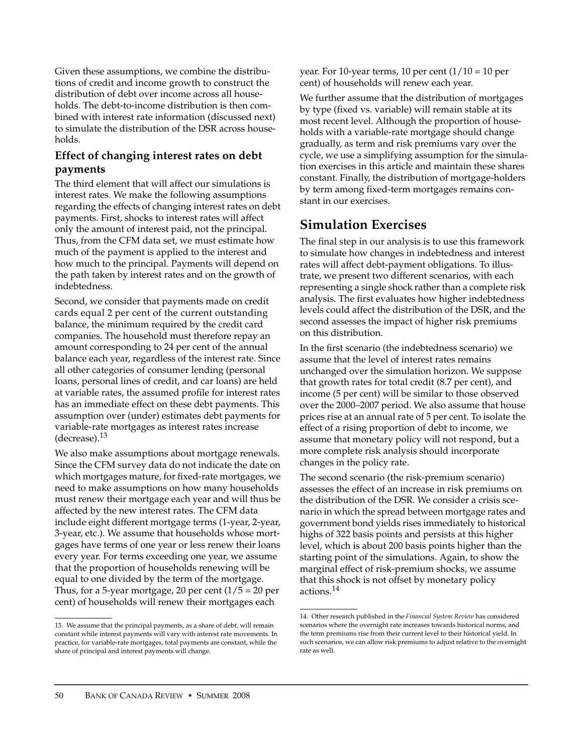Given these assumptions, we combine the distributions of credit and income growth to construct the distribution of debt over income across all households. The debt-to-income distribution is then combined with interest rate information (discussed next) to simulate the distribution of the DSR across households.

## **Effect of changing interest rates on debt payments**

The third element that will affect our simulations is interest rates. We make the following assumptions regarding the effects of changing interest rates on debt payments. First, shocks to interest rates will affect only the amount of interest paid, not the principal. Thus, from the CFM data set, we must estimate how much of the payment is applied to the interest and how much to the principal. Payments will depend on the path taken by interest rates and on the growth of indebtedness.

Second, we consider that payments made on credit cards equal 2 per cent of the current outstanding balance, the minimum required by the credit card companies. The household must therefore repay an amount corresponding to 24 per cent of the annual balance each year, regardless of the interest rate. Since all other categories of consumer lending (personal loans, personal lines of credit, and car loans) are held at variable rates, the assumed profile for interest rates has an immediate effect on these debt payments. This assumption over (under) estimates debt payments for variable-rate mortgages as interest rates increase (decrease).13

We also make assumptions about mortgage renewals. Since the CFM survey data do not indicate the date on which mortgages mature, for fixed-rate mortgages, we need to make assumptions on how many households must renew their mortgage each year and will thus be affected by the new interest rates. The CFM data include eight different mortgage terms (1-year, 2-year, 3-year, etc.). We assume that households whose mortgages have terms of one year or less renew their loans every year. For terms exceeding one year, we assume that the proportion of households renewing will be equal to one divided by the term of the mortgage. Thus, for a 5-year mortgage, 20 per cent  $(1/5 = 20$  per cent) of households will renew their mortgages each

year. For 10-year terms, 10 per cent  $(1/10 = 10$  per cent) of households will renew each year.

We further assume that the distribution of mortgages by type (fixed vs. variable) will remain stable at its most recent level. Although the proportion of households with a variable-rate mortgage should change gradually, as term and risk premiums vary over the cycle, we use a simplifying assumption for the simulation exercises in this article and maintain these shares constant. Finally, the distribution of mortgage-holders by term among fixed-term mortgages remains constant in our exercises.

## **Simulation Exercises**

The final step in our analysis is to use this framework to simulate how changes in indebtedness and interest rates will affect debt-payment obligations. To illustrate, we present two different scenarios, with each representing a single shock rather than a complete risk analysis. The first evaluates how higher indebtedness levels could affect the distribution of the DSR, and the second assesses the impact of higher risk premiums on this distribution.

In the first scenario (the indebtedness scenario) we assume that the level of interest rates remains unchanged over the simulation horizon. We suppose that growth rates for total credit (8.7 per cent), and income (5 per cent) will be similar to those observed over the 2000–2007 period. We also assume that house prices rise at an annual rate of 5 per cent. To isolate the effect of a rising proportion of debt to income, we assume that monetary policy will not respond, but a more complete risk analysis should incorporate changes in the policy rate.

The second scenario (the risk-premium scenario) assesses the effect of an increase in risk premiums on the distribution of the DSR. We consider a crisis scenario in which the spread between mortgage rates and government bond yields rises immediately to historical highs of 322 basis points and persists at this higher level, which is about 200 basis points higher than the starting point of the simulations. Again, to show the marginal effect of risk-premium shocks, we assume that this shock is not offset by monetary policy actions.14

<sup>13.</sup> We assume that the principal payments, as a share of debt, will remain constant while interest payments will vary with interest rate movements. In practice, for variable-rate mortgages, total payments are constant, while the share of principal and interest payments will change.

<sup>14.</sup> Other research published in the *Financial System Review* has considered scenarios where the overnight rate increases towards historical norms, and the term premiums rise from their current level to their historical yield. In such scenarios, we can allow risk premiums to adjust relative to the overnight rate as well.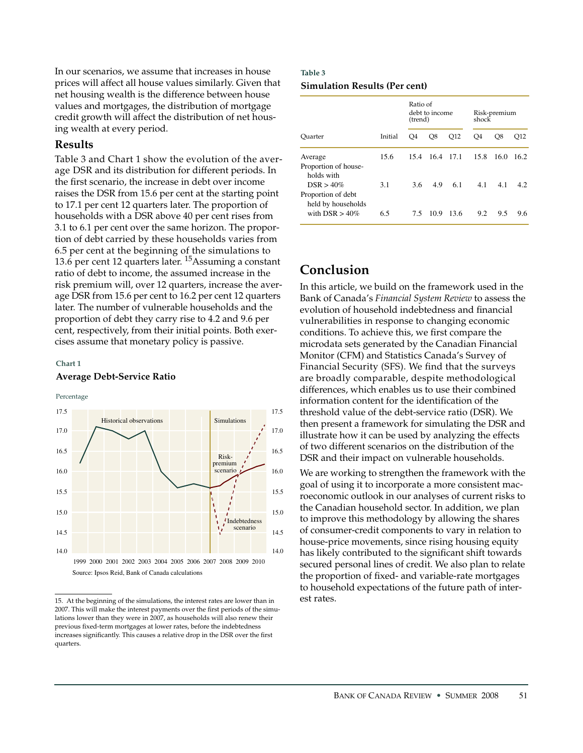In our scenarios, we assume that increases in house prices will affect all house values similarly. Given that net housing wealth is the difference between house values and mortgages, the distribution of mortgage credit growth will affect the distribution of net housing wealth at every period.

## **Results**

Table 3 and Chart 1 show the evolution of the average DSR and its distribution for different periods. In the first scenario, the increase in debt over income raises the DSR from 15.6 per cent at the starting point to 17.1 per cent 12 quarters later. The proportion of households with a DSR above 40 per cent rises from 3.1 to 6.1 per cent over the same horizon. The proportion of debt carried by these households varies from 6.5 per cent at the beginning of the simulations to 13.6 per cent 12 quarters later.  $^{15}$ Assuming a constant ratio of debt to income, the assumed increase in the risk premium will, over 12 quarters, increase the average DSR from 15.6 per cent to 16.2 per cent 12 quarters later. The number of vulnerable households and the proportion of debt they carry rise to 4.2 and 9.6 per cent, respectively, from their initial points. Both exercises assume that monetary policy is passive.

#### **Chart 1**

#### **Average Debt-Service Ratio**

Percentage



<sup>15.</sup> At the beginning of the simulations, the interest rates are lower than in 2007. This will make the interest payments over the first periods of the simulations lower than they were in 2007, as households will also renew their previous fixed-term mortgages at lower rates, before the indebtedness increases significantly. This causes a relative drop in the DSR over the first quarters.

## **Table 3 Simulation Results (Per cent)**

|                                               |         | Ratio of<br>(trend) | debt to income |       | Risk-premium<br>shock |      |      |
|-----------------------------------------------|---------|---------------------|----------------|-------|-----------------------|------|------|
| Ouarter                                       | Initial | O4                  | O8             | O12   | O4                    | O8   | O12  |
| Average<br>Proportion of house-<br>holds with | 15.6    | 15.4                | 16.4           | -17.1 | 15.8                  | 16.0 | 16.2 |
| $DSR > 40\%$<br>Proportion of debt            | 3.1     | 3.6                 | 4.9            | 6.1   | 4.1                   | 4.1  | 4.2  |
| held by households<br>with DSR $> 40\%$       | 6.5     | 7.5                 | 10.9           | 13.6  | 9.2                   | 9.5  | 96   |

## **Conclusion**

In this article, we build on the framework used in the Bank of Canada's *Financial System Review* to assess the evolution of household indebtedness and financial vulnerabilities in response to changing economic conditions. To achieve this, we first compare the microdata sets generated by the Canadian Financial Monitor (CFM) and Statistics Canada's Survey of Financial Security (SFS). We find that the surveys are broadly comparable, despite methodological differences, which enables us to use their combined information content for the identification of the threshold value of the debt-service ratio (DSR). We then present a framework for simulating the DSR and illustrate how it can be used by analyzing the effects of two different scenarios on the distribution of the DSR and their impact on vulnerable households.

We are working to strengthen the framework with the goal of using it to incorporate a more consistent macroeconomic outlook in our analyses of current risks to the Canadian household sector. In addition, we plan to improve this methodology by allowing the shares of consumer-credit components to vary in relation to house-price movements, since rising housing equity has likely contributed to the significant shift towards secured personal lines of credit. We also plan to relate the proportion of fixed- and variable-rate mortgages to household expectations of the future path of interest rates.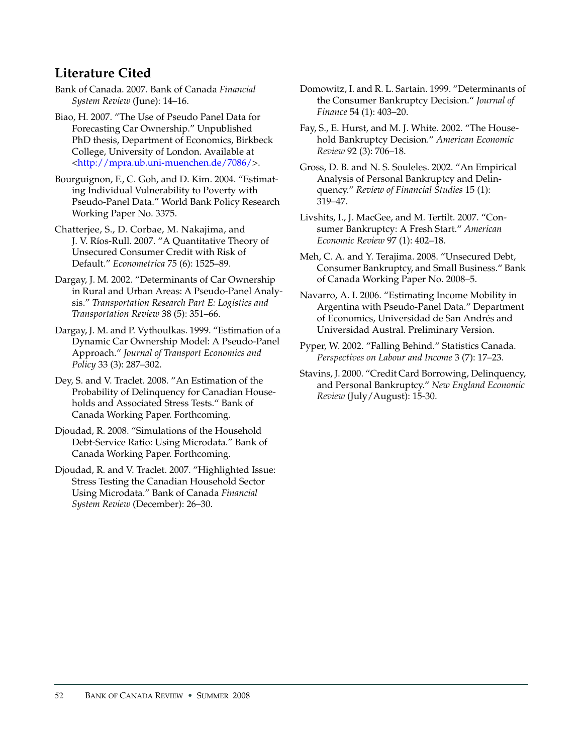## **Literature Cited**

Bank of Canada. 2007. Bank of Canada *Financial System Review* (June): 14–16.

Biao, H. 2007. "The Use of Pseudo Panel Data for Forecasting Car Ownership." Unpublished PhD thesis, Department of Economics, Birkbeck College, University of London. Available at <<http://mpra.ub.uni-muenchen.de/7086/>>.

Bourguignon, F., C. Goh, and D. Kim. 2004. "Estimating Individual Vulnerability to Poverty with Pseudo-Panel Data." World Bank Policy Research Working Paper No. 3375.

Chatterjee, S., D. Corbae, M. Nakajima, and J. V. Ríos-Rull. 2007. "A Quantitative Theory of Unsecured Consumer Credit with Risk of Default." *Econometrica* 75 (6): 1525–89.

Dargay, J. M. 2002. "Determinants of Car Ownership in Rural and Urban Areas: A Pseudo-Panel Analysis." *Transportation Research Part E: Logistics and Transportation Review* 38 (5): 351–66.

Dargay, J. M. and P. Vythoulkas. 1999. "Estimation of a Dynamic Car Ownership Model: A Pseudo-Panel Approach." *Journal of Transport Economics and Policy* 33 (3): 287–302.

Dey, S. and V. Traclet. 2008. "An Estimation of the Probability of Delinquency for Canadian Households and Associated Stress Tests." Bank of Canada Working Paper. Forthcoming.

Djoudad, R. 2008. "Simulations of the Household Debt-Service Ratio: Using Microdata." Bank of Canada Working Paper. Forthcoming.

Djoudad, R. and V. Traclet. 2007. "Highlighted Issue: Stress Testing the Canadian Household Sector Using Microdata." Bank of Canada *Financial System Review* (December): 26–30.

Domowitz, I. and R. L. Sartain. 1999. "Determinants of the Consumer Bankruptcy Decision." *Journal of Finance* 54 (1): 403–20.

Fay, S., E. Hurst, and M. J. White. 2002. "The Household Bankruptcy Decision." *American Economic Review* 92 (3): 706–18.

Gross, D. B. and N. S. Souleles. 2002. "An Empirical Analysis of Personal Bankruptcy and Delinquency." *Review of Financial Studies* 15 (1): 319–47.

Livshits, I., J. MacGee, and M. Tertilt. 2007. "Consumer Bankruptcy: A Fresh Start." *American Economic Review* 97 (1): 402–18.

Meh, C. A. and Y. Terajima. 2008. "Unsecured Debt, Consumer Bankruptcy, and Small Business." Bank of Canada Working Paper No. 2008–5.

Navarro, A. I. 2006. "Estimating Income Mobility in Argentina with Pseudo-Panel Data." Department of Economics, Universidad de San Andrés and Universidad Austral. Preliminary Version.

Pyper, W. 2002. "Falling Behind." Statistics Canada. *Perspectives on Labour and Income* 3 (7): 17–23.

Stavins, J. 2000. "Credit Card Borrowing, Delinquency, and Personal Bankruptcy." *New England Economic Review* (July/August): 15-30.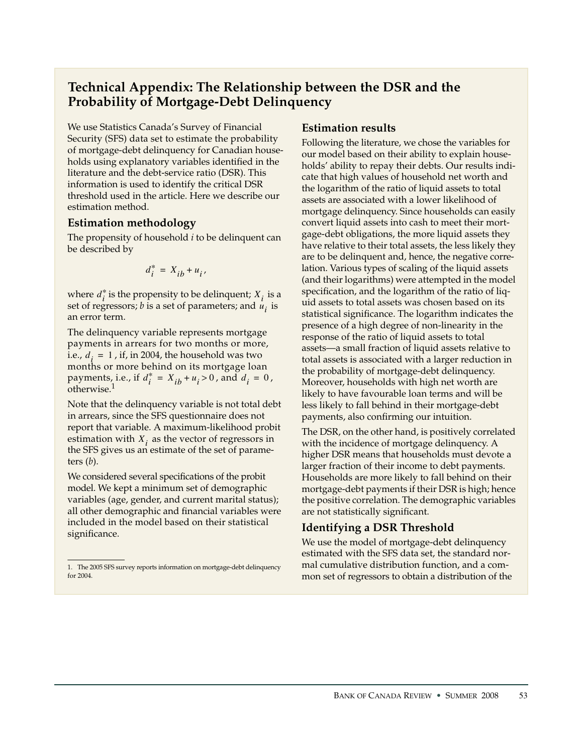## **Technical Appendix: The Relationship between the DSR and the Probability of Mortgage-Debt Delinquency**

We use Statistics Canada's Survey of Financial Security (SFS) data set to estimate the probability of mortgage-debt delinquency for Canadian households using explanatory variables identified in the literature and the debt-service ratio (DSR). This information is used to identify the critical DSR threshold used in the article. Here we describe our estimation method.

## **Estimation methodology**

The propensity of household *i* to be delinquent can be described by

$$
d_i^* = X_{ib} + u_i
$$

,

where  $d_i^*$  is the propensity to be delinquent;  $X_i$  is a set of regressors; *b* is a set of parameters; and  $u_i$  is an error term.

The delinquency variable represents mortgage payments in arrears for two months or more, i.e.,  $d_i = 1$ , if, in 2004, the household was two months or more behind on its mortgage loan payments, i.e., if  $d_i^* = X_{ib} + u_i > 0$ , and  $d_i = 0$ , otherwise.<sup>1</sup>

Note that the delinquency variable is not total debt in arrears, since the SFS questionnaire does not report that variable. A maximum-likelihood probit estimation with  $X_i$  as the vector of regressors in the SFS gives us an estimate of the set of parameters (*b*).

We considered several specifications of the probit model. We kept a minimum set of demographic variables (age, gender, and current marital status); all other demographic and financial variables were included in the model based on their statistical significance.

## **Estimation results**

Following the literature, we chose the variables for our model based on their ability to explain households' ability to repay their debts. Our results indicate that high values of household net worth and the logarithm of the ratio of liquid assets to total assets are associated with a lower likelihood of mortgage delinquency. Since households can easily convert liquid assets into cash to meet their mortgage-debt obligations, the more liquid assets they have relative to their total assets, the less likely they are to be delinquent and, hence, the negative correlation. Various types of scaling of the liquid assets (and their logarithms) were attempted in the model specification, and the logarithm of the ratio of liquid assets to total assets was chosen based on its statistical significance. The logarithm indicates the presence of a high degree of non-linearity in the response of the ratio of liquid assets to total assets—a small fraction of liquid assets relative to total assets is associated with a larger reduction in the probability of mortgage-debt delinquency. Moreover, households with high net worth are likely to have favourable loan terms and will be less likely to fall behind in their mortgage-debt payments, also confirming our intuition.

The DSR, on the other hand, is positively correlated with the incidence of mortgage delinquency. A higher DSR means that households must devote a larger fraction of their income to debt payments. Households are more likely to fall behind on their mortgage-debt payments if their DSR is high; hence the positive correlation. The demographic variables are not statistically significant.

## **Identifying a DSR Threshold**

We use the model of mortgage-debt delinquency estimated with the SFS data set, the standard normal cumulative distribution function, and a common set of regressors to obtain a distribution of the

<sup>1.</sup> The 2005 SFS survey reports information on mortgage-debt delinquency for 2004.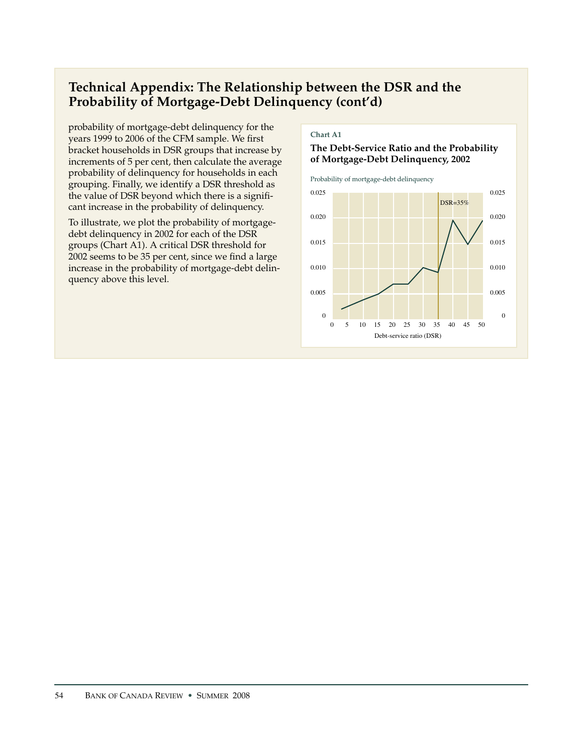## **Technical Appendix: The Relationship between the DSR and the Probability of Mortgage-Debt Delinquency (cont'd)**

probability of mortgage-debt delinquency for the years 1999 to 2006 of the CFM sample. We first bracket households in DSR groups that increase by increments of 5 per cent, then calculate the average probability of delinquency for households in each grouping. Finally, we identify a DSR threshold as the value of DSR beyond which there is a significant increase in the probability of delinquency.

To illustrate, we plot the probability of mortgagedebt delinquency in 2002 for each of the DSR groups (Chart A1). A critical DSR threshold for 2002 seems to be 35 per cent, since we find a large increase in the probability of mortgage-debt delinquency above this level.

#### **Chart A1**

### **The Debt-Service Ratio and the Probability of Mortgage-Debt Delinquency, 2002**

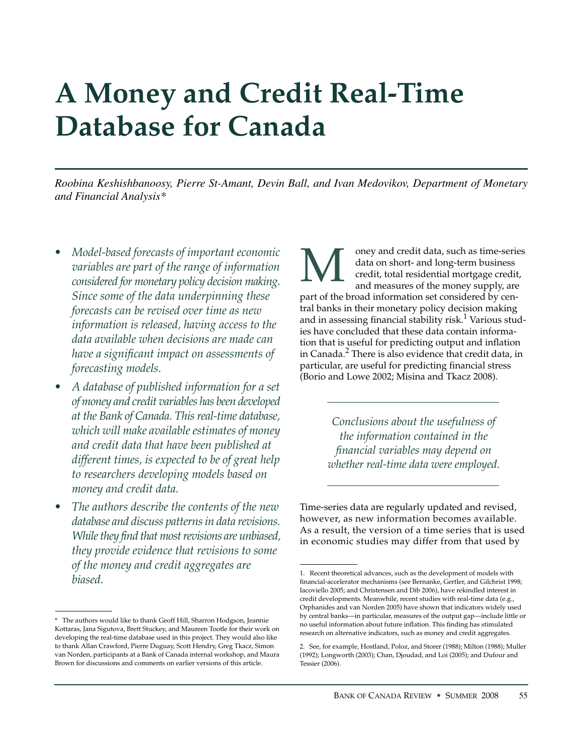## <span id="page-56-0"></span>**A Money and Credit Real-Time Database for Canada**

*Roobina Keshishbanoosy, Pierre St-Amant, Devin Ball, and Ivan Medovikov, Department of Monetary and Financial Analysis\**

- *Model-based forecasts of important economic variables are part of the range of information considered for monetary policy decision making. Since some of the data underpinning these forecasts can be revised over time as new information is released, having access to the data available when decisions are made can have a significant impact on assessments of forecasting models.*
- *A database of published information for a set of money and credit variables has been developed at the Bank of Canada. This real-time database, which will make available estimates of money and credit data that have been published at different times, is expected to be of great help to researchers developing models based on money and credit data.*
- *The authors describe the contents of the new database and discuss patterns in data revisions. While they find that most revisions are unbiased, they provide evidence that revisions to some of the money and credit aggregates are biased.*

oney and credit data, such as time-series data on short- and long-term business credit, total residential mortgage credit, and measures of the money supply, are part of the broad information set considered by central banks in their monetary policy decision making and in assessing financial stability risk.<sup>1</sup> Various studies have concluded that these data contain information that is useful for predicting output and inflation in Canada.<sup>2</sup> There is also evidence that credit data, in particular, are useful for predicting financial stress (Borio and Lowe 2002; Misina and Tkacz 2008). M

> *Conclusions about the usefulness of the information contained in the financial variables may depend on whether real-time data were employed.*

Time-series data are regularly updated and revised, however, as new information becomes available. As a result, the version of a time series that is used in economic studies may differ from that used by

<sup>\*</sup> The authors would like to thank Geoff Hill, Sharron Hodgson, Jeannie Kottaras, Jana Sigutova, Brett Stuckey, and Maureen Tootle for their work on developing the real-time database used in this project. They would also like to thank Allan Crawford, Pierre Duguay, Scott Hendry, Greg Tkacz, Simon van Norden, participants at a Bank of Canada internal workshop, and Maura Brown for discussions and comments on earlier versions of this article.

<sup>1.</sup> Recent theoretical advances, such as the development of models with financial-accelerator mechanisms (see Bernanke, Gertler, and Gilchrist 1998; Iacoviello 2005; and Christensen and Dib 2006), have rekindled interest in credit developments. Meanwhile, recent studies with real-time data (e.g., Orphanides and van Norden 2005) have shown that indicators widely used by central banks—in particular, measures of the output gap—include little or no useful information about future inflation. This finding has stimulated research on alternative indicators, such as money and credit aggregates.

<sup>2.</sup> See, for example, Hostland, Poloz, and Storer (1988); Milton (1988); Muller (1992); Longworth (2003); Chan, Djoudad, and Loi (2005); and Dufour and Tessier (2006).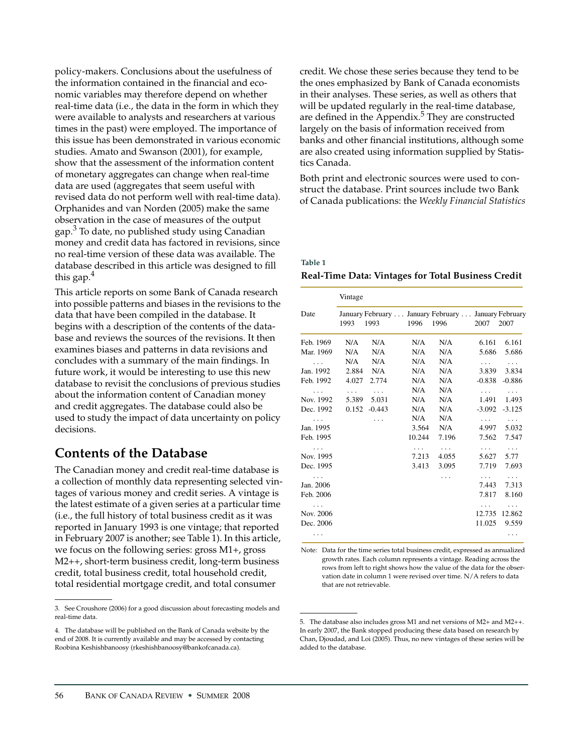policy-makers. Conclusions about the usefulness of the information contained in the financial and economic variables may therefore depend on whether real-time data (i.e., the data in the form in which they were available to analysts and researchers at various times in the past) were employed. The importance of this issue has been demonstrated in various economic studies. Amato and Swanson (2001), for example, show that the assessment of the information content of monetary aggregates can change when real-time data are used (aggregates that seem useful with revised data do not perform well with real-time data). Orphanides and van Norden (2005) make the same observation in the case of measures of the output gap.<sup>3</sup> To date, no published study using Canadian money and credit data has factored in revisions, since no real-time version of these data was available. The database described in this article was designed to fill this gap.<sup>4</sup>

This article reports on some Bank of Canada research into possible patterns and biases in the revisions to the data that have been compiled in the database. It begins with a description of the contents of the database and reviews the sources of the revisions. It then examines biases and patterns in data revisions and concludes with a summary of the main findings. In future work, it would be interesting to use this new database to revisit the conclusions of previous studies about the information content of Canadian money and credit aggregates. The database could also be used to study the impact of data uncertainty on policy decisions.

## **Contents of the Database**

The Canadian money and credit real-time database is a collection of monthly data representing selected vintages of various money and credit series. A vintage is the latest estimate of a given series at a particular time (i.e., the full history of total business credit as it was reported in January 1993 is one vintage; that reported in February 2007 is another; see Table 1). In this article, we focus on the following series: gross M1+, gross M2++, short-term business credit, long-term business credit, total business credit, total household credit, total residential mortgage credit, and total consumer

credit. We chose these series because they tend to be the ones emphasized by Bank of Canada economists in their analyses. These series, as well as others that will be updated regularly in the real-time database, are defined in the Appendix.<sup>5</sup> They are constructed largely on the basis of information received from banks and other financial institutions, although some are also created using information supplied by Statistics Canada.

Both print and electronic sources were used to construct the database. Print sources include two Bank of Canada publications: the *Weekly Financial Statistics*

**Table 1**

**Real-Time Data: Vintages for Total Business Credit**

|                                           | Vintage |                       |                                                                 |                               |                                          |                                   |
|-------------------------------------------|---------|-----------------------|-----------------------------------------------------------------|-------------------------------|------------------------------------------|-----------------------------------|
| Date                                      |         | 1993 1993             | January February January February January February<br>1996 1996 |                               | 2007                                     | 2007                              |
| Feb. 1969                                 | N/A     | N/A                   | N/A                                                             | N/A                           | 6.161                                    | 6.161                             |
| Mar. 1969                                 | N/A     | N/A                   | N/A                                                             | N/A                           | 5.686                                    | 5.686                             |
| $\sim 100$ km s $^{-1}$                   | N/A     | N/A                   | N/A                                                             | N/A                           | 2.2.2.1                                  | $\cdots$                          |
| Jan. 1992                                 |         | 2.884 N/A             | N/A                                                             | N/A                           |                                          | 3.839 3.834                       |
| Feb. 1992                                 | 4.027   | 2.774                 | N/A                                                             | N/A                           | $-0.838$                                 | $-0.886$                          |
| <b>Contractor</b>                         |         | <b>Service States</b> | N/A                                                             | N/A                           |                                          | and a strain and a strain         |
| Nov. 1992                                 |         | 5.389 5.031           | N/A                                                             | N/A                           | 1.491                                    | 1.493                             |
| Dec. 1992                                 | 0.152   | $-0.443$              | N/A                                                             | N/A                           | -3.092                                   | $-3.125$                          |
| $\cdots$                                  |         |                       | N/A                                                             | N/A                           | $\sim$ $\sim$ $\sim$                     | $\sim 100$                        |
| Jan. 1995                                 |         |                       | 3.564                                                           | N/A                           | 4.997                                    | 5.032                             |
| Feb. 1995                                 |         |                       | 10.244                                                          | 7.196                         | 7.562                                    | 7.547                             |
| Nov. 1995                                 |         |                       | .<br>7.213                                                      | $\sim$ $\sim$ $\sim$<br>4.055 | $\mathbf{1}$ , and $\mathbf{1}$<br>5.627 | $\sim$ .<br>5.77                  |
| Dec. 1995                                 |         |                       | 3.413                                                           | 3.095                         | 7.719                                    | 7.693                             |
| $\sim$ 100 $\sim$ 100 $\sim$<br>Jan. 2006 |         |                       |                                                                 | .                             | and a strip<br>7.443                     | $\sim$ $\sim$ $\sim$<br>7.313     |
|                                           |         |                       |                                                                 |                               | 7.817                                    |                                   |
| Feb. 2006                                 |         |                       |                                                                 |                               |                                          | 8.160                             |
| <b>Contractor</b><br>Nov. 2006            |         |                       |                                                                 |                               | $\sim$ $\sim$ $\sim$<br>12.735           | $\sim 100$ km s $^{-1}$<br>12.862 |
|                                           |         |                       |                                                                 |                               |                                          |                                   |
| Dec. 2006                                 |         |                       |                                                                 |                               | 11.025                                   | 9.559                             |
| $\cdots$                                  |         |                       |                                                                 |                               |                                          |                                   |

Note: Data for the time series total business credit, expressed as annualized growth rates. Each column represents a vintage. Reading across the rows from left to right shows how the value of the data for the observation date in column 1 were revised over time. N/A refers to data that are not retrievable.

<sup>3.</sup> See Croushore (2006) for a good discussion about forecasting models and real-time data.

<sup>4.</sup> The database will be published on the Bank of Canada website by the end of 2008. It is currently available and may be accessed by contacting Roobina Keshishbanoosy ([rkeshishbanoosy@bankofcanada.ca\)](mailto:rkeshishbanoosy@bankofcanada.ca).

<sup>5.</sup> The database also includes gross M1 and net versions of M2+ and M2++. In early 2007, the Bank stopped producing these data based on research by Chan, Djoudad, and Loi (2005). Thus, no new vintages of these series will be added to the database.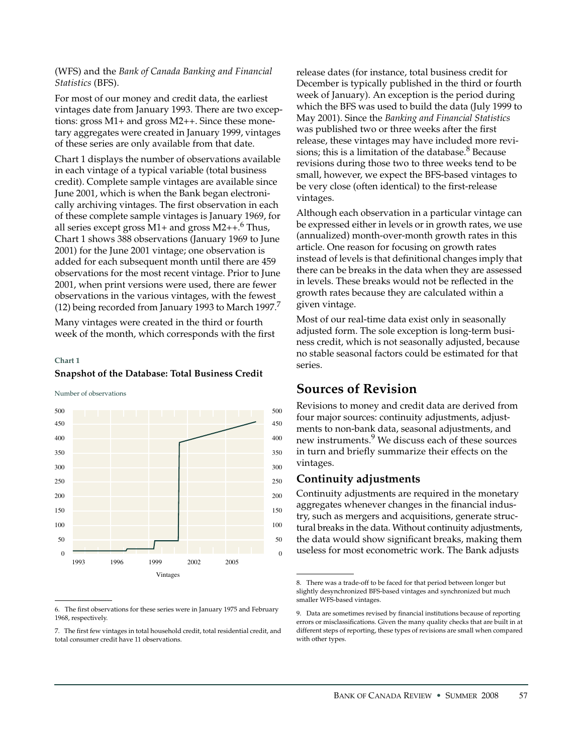### (WFS) and the *Bank of Canada Banking and Financial Statistics* (BFS).

For most of our money and credit data, the earliest vintages date from January 1993. There are two exceptions: gross M1+ and gross M2++. Since these monetary aggregates were created in January 1999, vintages of these series are only available from that date.

Chart 1 displays the number of observations available in each vintage of a typical variable (total business credit). Complete sample vintages are available since June 2001, which is when the Bank began electronically archiving vintages. The first observation in each of these complete sample vintages is January 1969, for all series except gross M1+ and gross M2++.<sup>6</sup> Thus, Chart 1 shows 388 observations (January 1969 to June 2001) for the June 2001 vintage; one observation is added for each subsequent month until there are 459 observations for the most recent vintage. Prior to June 2001, when print versions were used, there are fewer observations in the various vintages, with the fewest (12) being recorded from January 1993 to March 1997. $\prime$ 

Many vintages were created in the third or fourth week of the month, which corresponds with the first

#### **Chart 1**

#### **Snapshot of the Database: Total Business Credit**

Number of observations



<sup>6.</sup> The first observations for these series were in January 1975 and February 1968, respectively.

release dates (for instance, total business credit for December is typically published in the third or fourth week of January). An exception is the period during which the BFS was used to build the data (July 1999 to May 2001). Since the *Banking and Financial Statistics* was published two or three weeks after the first release, these vintages may have included more revisions; this is a limitation of the database. $8$  Because revisions during those two to three weeks tend to be small, however, we expect the BFS-based vintages to be very close (often identical) to the first-release vintages.

Although each observation in a particular vintage can be expressed either in levels or in growth rates, we use (annualized) month-over-month growth rates in this article. One reason for focusing on growth rates instead of levels is that definitional changes imply that there can be breaks in the data when they are assessed in levels. These breaks would not be reflected in the growth rates because they are calculated within a given vintage.

Most of our real-time data exist only in seasonally adjusted form. The sole exception is long-term business credit, which is not seasonally adjusted, because no stable seasonal factors could be estimated for that series.

## **Sources of Revision**

Revisions to money and credit data are derived from four major sources: continuity adjustments, adjustments to non-bank data, seasonal adjustments, and new instruments.<sup>9</sup> We discuss each of these sources in turn and briefly summarize their effects on the vintages.

## **Continuity adjustments**

Continuity adjustments are required in the monetary aggregates whenever changes in the financial industry, such as mergers and acquisitions, generate structural breaks in the data. Without continuity adjustments, the data would show significant breaks, making them useless for most econometric work. The Bank adjusts

<sup>7.</sup> The first few vintages in total household credit, total residential credit, and total consumer credit have 11 observations.

<sup>8.</sup> There was a trade-off to be faced for that period between longer but slightly desynchronized BFS-based vintages and synchronized but much smaller WFS-based vintages.

<sup>9.</sup> Data are sometimes revised by financial institutions because of reporting errors or misclassifications. Given the many quality checks that are built in at different steps of reporting, these types of revisions are small when compared with other types.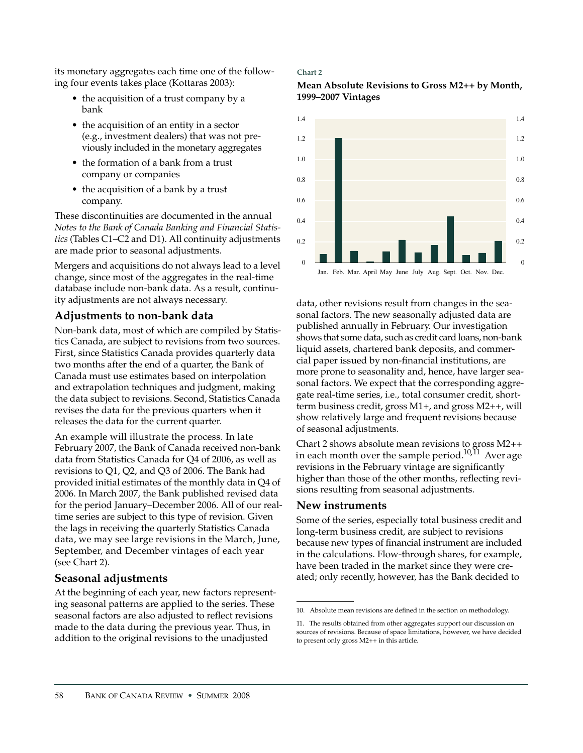its monetary aggregates each time one of the following four events takes place (Kottaras 2003):

- the acquisition of a trust company by a bank
- the acquisition of an entity in a sector (e.g., investment dealers) that was not previously included in the monetary aggregates
- the formation of a bank from a trust company or companies
- the acquisition of a bank by a trust company.

These discontinuities are documented in the annual *Notes to the Bank of Canada Banking and Financial Statistics* (Tables C1–C2 and D1). All continuity adjustments are made prior to seasonal adjustments.

Mergers and acquisitions do not always lead to a level change, since most of the aggregates in the real-time database include non-bank data. As a result, continuity adjustments are not always necessary.

## **Adjustments to non-bank data**

Non-bank data, most of which are compiled by Statistics Canada, are subject to revisions from two sources. First, since Statistics Canada provides quarterly data two months after the end of a quarter, the Bank of Canada must use estimates based on interpolation and extrapolation techniques and judgment, making the data subject to revisions. Second, Statistics Canada revises the data for the previous quarters when it releases the data for the current quarter.

An example will illustrate the process. In late February 2007, the Bank of Canada received non-bank data from Statistics Canada for Q4 of 2006, as well as revisions to Q1, Q2, and Q3 of 2006. The Bank had provided initial estimates of the monthly data in Q4 of 2006. In March 2007, the Bank published revised data for the period January–December 2006. All of our realtime series are subject to this type of revision. Given the lags in receiving the quarterly Statistics Canada data, we may see large revisions in the March, June, September, and December vintages of each year (see Chart 2).

## **Seasonal adjustments**

At the beginning of each year, new factors representing seasonal patterns are applied to the series. These seasonal factors are also adjusted to reflect revisions made to the data during the previous year. Thus, in addition to the original revisions to the unadjusted

### **Chart 2**

## **Mean Absolute Revisions to Gross M2++ by Month, 1999–2007 Vintages**



data, other revisions result from changes in the seasonal factors. The new seasonally adjusted data are published annually in February. Our investigation shows that some data, such as credit card loans, non-bank liquid assets, chartered bank deposits, and commercial paper issued by non-financial institutions, are more prone to seasonality and, hence, have larger seasonal factors. We expect that the corresponding aggregate real-time series, i.e., total consumer credit, shortterm business credit, gross M1+, and gross M2++, will show relatively large and frequent revisions because of seasonal adjustments.

Chart 2 shows absolute mean revisions to gross M2++ in each month over the sample period.<sup>10,11</sup> Aver age revisions in the February vintage are significantly higher than those of the other months, reflecting revisions resulting from seasonal adjustments.

## **New instruments**

Some of the series, especially total business credit and long-term business credit, are subject to revisions because new types of financial instrument are included in the calculations. Flow-through shares, for example, have been traded in the market since they were created; only recently, however, has the Bank decided to

<sup>10.</sup> Absolute mean revisions are defined in the section on methodology.

<sup>11.</sup> The results obtained from other aggregates support our discussion on sources of revisions. Because of space limitations, however, we have decided to present only gross M2++ in this article.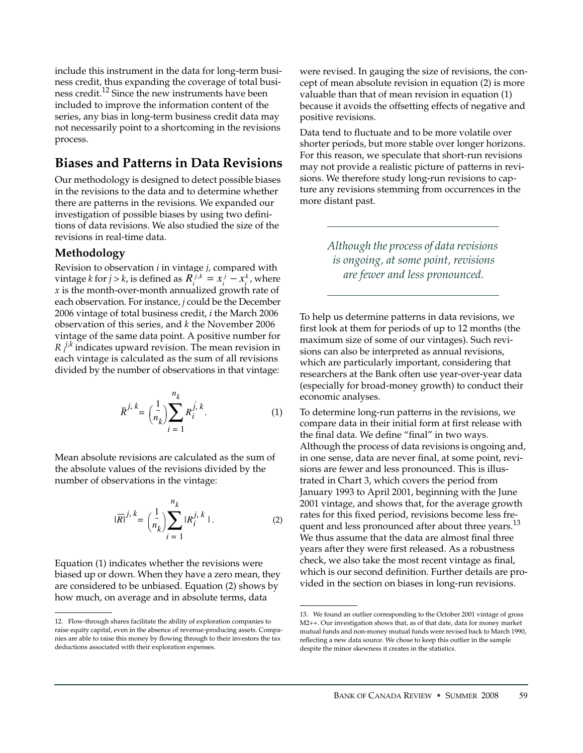include this instrument in the data for long-term business credit, thus expanding the coverage of total business credit.<sup>12</sup> Since the new instruments have been included to improve the information content of the series, any bias in long-term business credit data may not necessarily point to a shortcoming in the revisions process.

## **Biases and Patterns in Data Revisions**

Our methodology is designed to detect possible biases in the revisions to the data and to determine whether there are patterns in the revisions. We expanded our investigation of possible biases by using two definitions of data revisions. We also studied the size of the revisions in real-time data.

## **Methodology**

Revision to observation *i* in vintage *j,* compared with vintage *k* for *j* > *k*, is defined as  $R_i^{j,k} = x_i^j - x_i^k$ , where *x* is the month-over-month annualized growth rate of each observation. For instance, *j* could be the December 2006 vintage of total business credit, *i* the March 2006 observation of this series, and *k* the November 2006 vintage of the same data point. A positive number for *R i j,k* indicates upward revision. The mean revision in each vintage is calculated as the sum of all revisions divided by the number of observations in that vintage: *i j i*  $R_i^{j,k} = x_i^j - x_j^j$ 

$$
\overline{R}^{j,k} = \left(\frac{1}{n_k}\right) \sum_{i=1}^{n_k} R_i^{j,k}.
$$
 (1)

Mean absolute revisions are calculated as the sum of the absolute values of the revisions divided by the number of observations in the vintage:

$$
|\overline{R}|^{j,k} = \left(\frac{1}{n_k}\right) \sum_{i=1}^{n_k} |R_i^{j,k}| \tag{2}
$$

Equation (1) indicates whether the revisions were biased up or down. When they have a zero mean, they are considered to be unbiased. Equation (2) shows by how much, on average and in absolute terms, data

were revised. In gauging the size of revisions, the concept of mean absolute revision in equation (2) is more valuable than that of mean revision in equation (1) because it avoids the offsetting effects of negative and positive revisions.

Data tend to fluctuate and to be more volatile over shorter periods, but more stable over longer horizons. For this reason, we speculate that short-run revisions may not provide a realistic picture of patterns in revisions. We therefore study long-run revisions to capture any revisions stemming from occurrences in the more distant past.

> *Although the process of data revisions is ongoing, at some point, revisions are fewer and less pronounced.*

To help us determine patterns in data revisions, we first look at them for periods of up to 12 months (the maximum size of some of our vintages). Such revisions can also be interpreted as annual revisions, which are particularly important, considering that researchers at the Bank often use year-over-year data (especially for broad-money growth) to conduct their economic analyses.

To determine long-run patterns in the revisions, we compare data in their initial form at first release with the final data. We define "final" in two ways. Although the process of data revisions is ongoing and, in one sense, data are never final, at some point, revisions are fewer and less pronounced. This is illustrated in Chart 3, which covers the period from January 1993 to April 2001, beginning with the June 2001 vintage, and shows that, for the average growth rates for this fixed period, revisions become less frequent and less pronounced after about three years.<sup>13</sup> We thus assume that the data are almost final three years after they were first released. As a robustness check, we also take the most recent vintage as final, which is our second definition. Further details are provided in the section on biases in long-run revisions.

<sup>12.</sup> Flow-through shares facilitate the ability of exploration companies to raise equity capital, even in the absence of revenue-producing assets. Companies are able to raise this money by flowing through to their investors the tax deductions associated with their exploration expenses.

<sup>13.</sup> We found an outlier corresponding to the October 2001 vintage of gross M2++. Our investigation shows that, as of that date, data for money market mutual funds and non-money mutual funds were revised back to March 1990, reflecting a new data source. We chose to keep this outlier in the sample despite the minor skewness it creates in the statistics.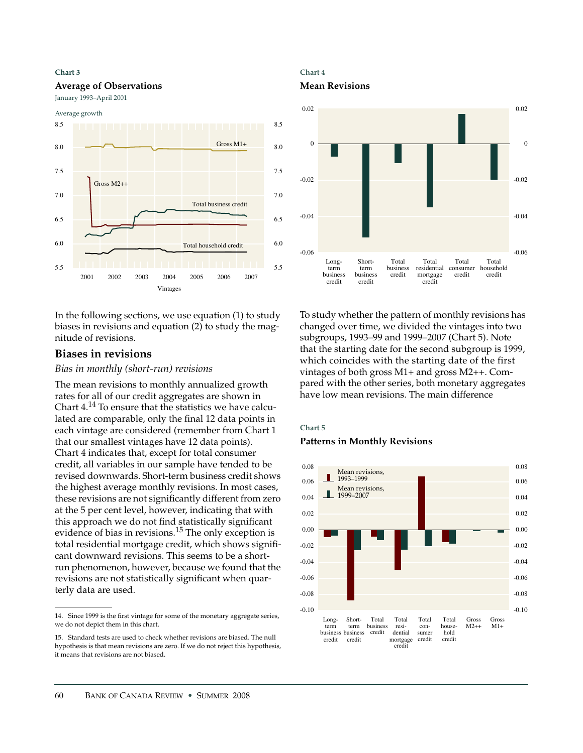#### **Chart 3**

#### **Average of Observations**

January 1993–April 2001

#### Average growth



In the following sections, we use equation (1) to study biases in revisions and equation (2) to study the magnitude of revisions.

#### **Biases in revisions**

#### *Bias in monthly (short-run) revisions*

The mean revisions to monthly annualized growth rates for all of our credit aggregates are shown in Chart  $4^{14}$  To ensure that the statistics we have calculated are comparable, only the final 12 data points in each vintage are considered (remember from Chart 1 that our smallest vintages have 12 data points). Chart 4 indicates that, except for total consumer credit, all variables in our sample have tended to be revised downwards. Short-term business credit shows the highest average monthly revisions. In most cases, these revisions are not significantly different from zero at the 5 per cent level, however, indicating that with this approach we do not find statistically significant evidence of bias in revisions.<sup>15</sup> The only exception is total residential mortgage credit, which shows significant downward revisions. This seems to be a shortrun phenomenon, however, because we found that the revisions are not statistically significant when quarterly data are used.

#### **Chart 4 Mean Revisions**



To study whether the pattern of monthly revisions has changed over time, we divided the vintages into two subgroups, 1993–99 and 1999–2007 (Chart 5). Note that the starting date for the second subgroup is 1999, which coincides with the starting date of the first vintages of both gross M1+ and gross M2++. Compared with the other series, both monetary aggregates have low mean revisions. The main difference

## **Chart 5**

#### **Patterns in Monthly Revisions**



<sup>14.</sup> Since 1999 is the first vintage for some of the monetary aggregate series, we do not depict them in this chart.

<sup>15.</sup> Standard tests are used to check whether revisions are biased. The null hypothesis is that mean revisions are zero. If we do not reject this hypothesis, it means that revisions are not biased.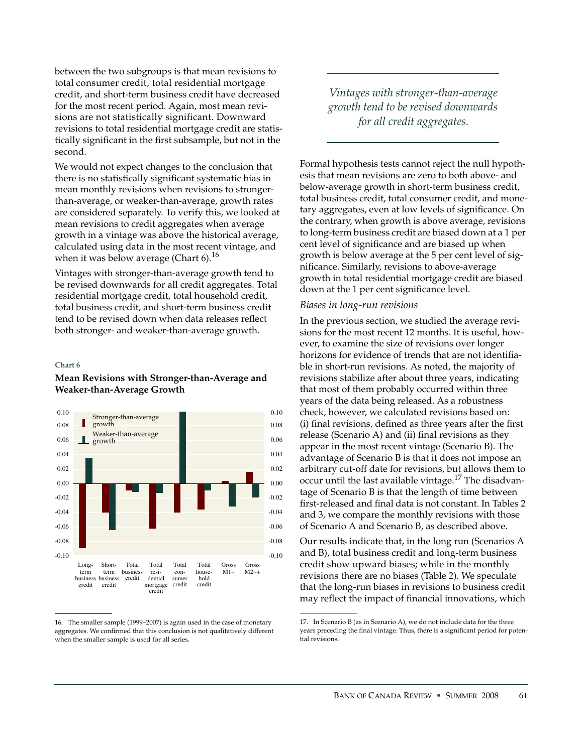between the two subgroups is that mean revisions to total consumer credit, total residential mortgage credit, and short-term business credit have decreased for the most recent period. Again, most mean revisions are not statistically significant. Downward revisions to total residential mortgage credit are statistically significant in the first subsample, but not in the second.

We would not expect changes to the conclusion that there is no statistically significant systematic bias in mean monthly revisions when revisions to strongerthan-average, or weaker-than-average, growth rates are considered separately. To verify this, we looked at mean revisions to credit aggregates when average growth in a vintage was above the historical average, calculated using data in the most recent vintage, and when it was below average (Chart  $6$ ).<sup>16</sup>

Vintages with stronger-than-average growth tend to be revised downwards for all credit aggregates. Total residential mortgage credit, total household credit, total business credit, and short-term business credit tend to be revised down when data releases reflect both stronger- and weaker-than-average growth.

#### **Chart 6**

#### **Mean Revisions with Stronger-than-Average and Weaker-than-Average Growth**



<sup>16.</sup> The smaller sample (1999–2007) is again used in the case of monetary aggregates. We confirmed that this conclusion is not qualitatively different when the smaller sample is used for all series.

*Vintages with stronger-than-average growth tend to be revised downwards for all credit aggregates.*

Formal hypothesis tests cannot reject the null hypothesis that mean revisions are zero to both above- and below-average growth in short-term business credit, total business credit, total consumer credit, and monetary aggregates, even at low levels of significance. On the contrary, when growth is above average, revisions to long-term business credit are biased down at a 1 per cent level of significance and are biased up when growth is below average at the 5 per cent level of significance. Similarly, revisions to above-average growth in total residential mortgage credit are biased down at the 1 per cent significance level.

#### *Biases in long-run revisions*

In the previous section, we studied the average revisions for the most recent 12 months. It is useful, however, to examine the size of revisions over longer horizons for evidence of trends that are not identifiable in short-run revisions. As noted, the majority of revisions stabilize after about three years, indicating that most of them probably occurred within three years of the data being released. As a robustness check, however, we calculated revisions based on: (i) final revisions, defined as three years after the first release (Scenario A) and (ii) final revisions as they appear in the most recent vintage (Scenario B). The advantage of Scenario B is that it does not impose an arbitrary cut-off date for revisions, but allows them to occur until the last available vintage.<sup>17</sup> The disadvantage of Scenario B is that the length of time between first-released and final data is not constant. In Tables 2 and 3, we compare the monthly revisions with those of Scenario A and Scenario B, as described above.

Our results indicate that, in the long run (Scenarios A and B), total business credit and long-term business credit show upward biases; while in the monthly revisions there are no biases (Table 2). We speculate that the long-run biases in revisions to business credit may reflect the impact of financial innovations, which

<sup>17.</sup> In Scenario B (as in Scenario A), we do not include data for the three years preceding the final vintage. Thus, there is a significant period for potential revisions.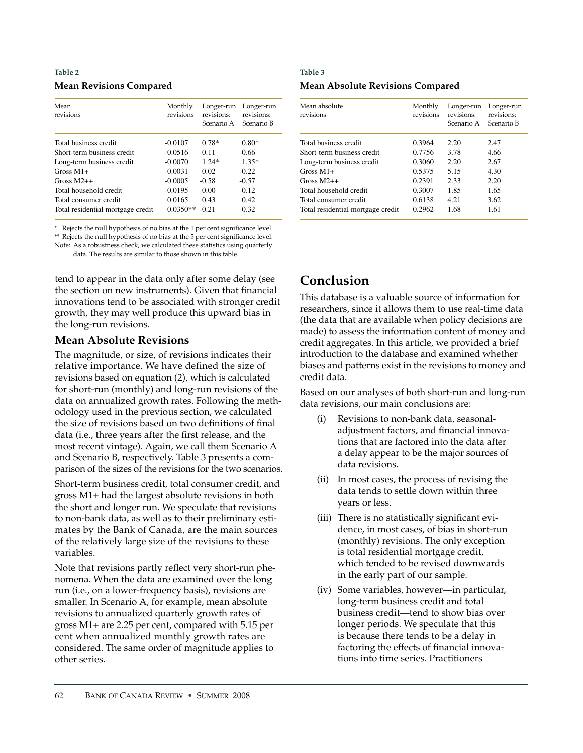## **Table 2 Mean Revisions Compared**

| Mean<br>revisions                 | Monthly<br>revisions | Longer-run<br>revisions:<br>Scenario A | Longer-run<br>revisions:<br>Scenario B |
|-----------------------------------|----------------------|----------------------------------------|----------------------------------------|
| Total business credit             | $-0.0107$            | $0.78*$                                | $0.80*$                                |
| Short-term business credit        | $-0.0516$            | $-0.11$                                | $-0.66$                                |
| Long-term business credit         | $-0.0070$            | $1.24*$                                | $1.35*$                                |
| $Gross M1+$                       | $-0.0031$            | 0.02                                   | $-0.22$                                |
| $Gross M2++$                      | $-0.0005$            | $-0.58$                                | $-0.57$                                |
| Total household credit            | $-0.0195$            | 0.00                                   | $-0.12$                                |
| Total consumer credit             | 0.0165               | 0.43                                   | 0.42                                   |
| Total residential mortgage credit | $-0.0350**$          | $-0.21$                                | $-0.32$                                |

\* Rejects the null hypothesis of no bias at the 1 per cent significance level. \*\* Rejects the null hypothesis of no bias at the 5 per cent significance level. Note: As a robustness check, we calculated these statistics using quarterly data. The results are similar to those shown in this table.

tend to appear in the data only after some delay (see the section on new instruments). Given that financial innovations tend to be associated with stronger credit growth, they may well produce this upward bias in the long-run revisions.

## **Mean Absolute Revisions**

The magnitude, or size, of revisions indicates their relative importance. We have defined the size of revisions based on equation (2), which is calculated for short-run (monthly) and long-run revisions of the data on annualized growth rates. Following the methodology used in the previous section, we calculated the size of revisions based on two definitions of final data (i.e., three years after the first release, and the most recent vintage). Again, we call them Scenario A and Scenario B, respectively. Table 3 presents a comparison of the sizes of the revisions for the two scenarios.

Short-term business credit, total consumer credit, and gross M1+ had the largest absolute revisions in both the short and longer run. We speculate that revisions to non-bank data, as well as to their preliminary estimates by the Bank of Canada, are the main sources of the relatively large size of the revisions to these variables.

Note that revisions partly reflect very short-run phenomena. When the data are examined over the long run (i.e., on a lower-frequency basis), revisions are smaller. In Scenario A, for example, mean absolute revisions to annualized quarterly growth rates of gross M1+ are 2.25 per cent, compared with 5.15 per cent when annualized monthly growth rates are considered. The same order of magnitude applies to other series.

## **Table 3 Mean Absolute Revisions Compared**

| Mean absolute<br>revisions        | Monthly<br>revisions | Longer-run<br>revisions:<br>Scenario A | Longer-run<br>revisions:<br>Scenario B |
|-----------------------------------|----------------------|----------------------------------------|----------------------------------------|
| Total business credit             | 0.3964               | 2.20                                   | 2.47                                   |
| Short-term business credit        | 0.7756               | 3.78                                   | 4.66                                   |
| Long-term business credit         | 0.3060               | 2.20                                   | 2.67                                   |
| $Gross M1+$                       | 0.5375               | 5.15                                   | 4.30                                   |
| $Gross M2++$                      | 0.2391               | 2.33                                   | 2.20                                   |
| Total household credit            | 0.3007               | 1.85                                   | 1.65                                   |
| Total consumer credit             | 0.6138               | 4.21                                   | 3.62                                   |
| Total residential mortgage credit | 0.2962               | 1.68                                   | 1.61                                   |

## **Conclusion**

This database is a valuable source of information for researchers, since it allows them to use real-time data (the data that are available when policy decisions are made) to assess the information content of money and credit aggregates. In this article, we provided a brief introduction to the database and examined whether biases and patterns exist in the revisions to money and credit data.

Based on our analyses of both short-run and long-run data revisions, our main conclusions are:

- Revisions to non-bank data, seasonaladjustment factors, and financial innovations that are factored into the data after a delay appear to be the major sources of data revisions.
- (ii) In most cases, the process of revising the data tends to settle down within three years or less.
- (iii) There is no statistically significant evidence, in most cases, of bias in short-run (monthly) revisions. The only exception is total residential mortgage credit, which tended to be revised downwards in the early part of our sample.
- (iv) Some variables, however—in particular, long-term business credit and total business credit—tend to show bias over longer periods. We speculate that this is because there tends to be a delay in factoring the effects of financial innovations into time series. Practitioners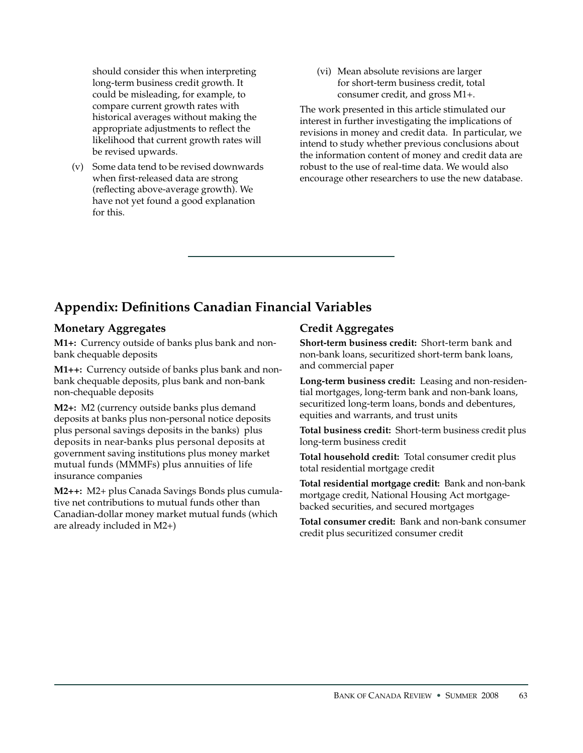should consider this when interpreting long-term business credit growth. It could be misleading, for example, to compare current growth rates with historical averages without making the appropriate adjustments to reflect the likelihood that current growth rates will be revised upwards.

(v) Some data tend to be revised downwards when first-released data are strong (reflecting above-average growth). We have not yet found a good explanation for this.

(vi) Mean absolute revisions are larger for short-term business credit, total consumer credit, and gross M1+.

The work presented in this article stimulated our interest in further investigating the implications of revisions in money and credit data. In particular, we intend to study whether previous conclusions about the information content of money and credit data are robust to the use of real-time data. We would also encourage other researchers to use the new database.

## **Appendix: Definitions Canadian Financial Variables**

## **Monetary Aggregates**

**M1+:** Currency outside of banks plus bank and nonbank chequable deposits

**M1++:** Currency outside of banks plus bank and nonbank chequable deposits, plus bank and non-bank non-chequable deposits

**M2+:** M2 (currency outside banks plus demand deposits at banks plus non-personal notice deposits plus personal savings deposits in the banks) plus deposits in near-banks plus personal deposits at government saving institutions plus money market mutual funds (MMMFs) plus annuities of life insurance companies

**M2++:** M2+ plus Canada Savings Bonds plus cumulative net contributions to mutual funds other than Canadian-dollar money market mutual funds (which are already included in M2+)

## **Credit Aggregates**

**Short-term business credit:** Short-term bank and non-bank loans, securitized short-term bank loans, and commercial paper

**Long-term business credit:** Leasing and non-residential mortgages, long-term bank and non-bank loans, securitized long-term loans, bonds and debentures, equities and warrants, and trust units

**Total business credit:** Short-term business credit plus long-term business credit

**Total household credit:** Total consumer credit plus total residential mortgage credit

**Total residential mortgage credit:** Bank and non-bank mortgage credit, National Housing Act mortgagebacked securities, and secured mortgages

**Total consumer credit:** Bank and non-bank consumer credit plus securitized consumer credit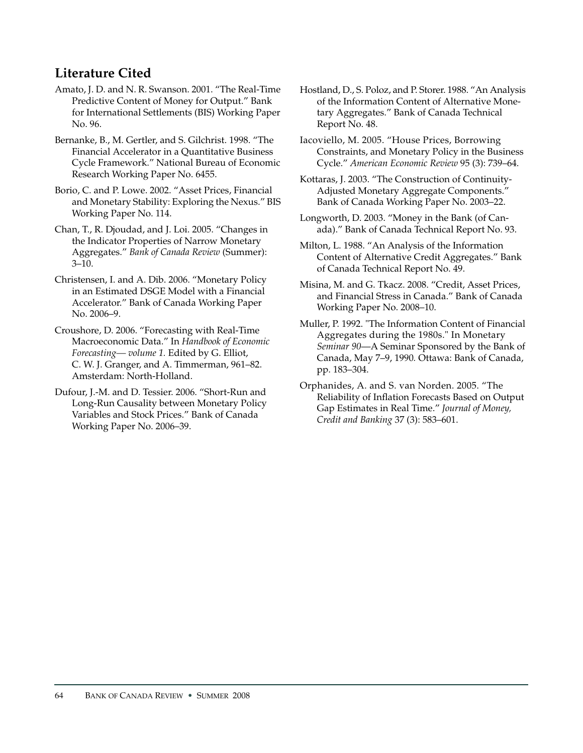## **Literature Cited**

- Amato, J. D. and N. R. Swanson. 2001. "The Real-Time Predictive Content of Money for Output." Bank for International Settlements (BIS) Working Paper No. 96.
- Bernanke, B., M. Gertler, and S. Gilchrist. 1998. "The Financial Accelerator in a Quantitative Business Cycle Framework." National Bureau of Economic Research Working Paper No. 6455.
- Borio, C. and P. Lowe. 2002. "Asset Prices, Financial and Monetary Stability: Exploring the Nexus." BIS Working Paper No. 114.
- Chan, T., R. Djoudad, and J. Loi. 2005. "Changes in the Indicator Properties of Narrow Monetary Aggregates." *Bank of Canada Review* (Summer): 3–10.
- Christensen, I. and A. Dib. 2006. "Monetary Policy in an Estimated DSGE Model with a Financial Accelerator." Bank of Canada Working Paper No. 2006–9.
- Croushore, D. 2006. "Forecasting with Real-Time Macroeconomic Data." In *Handbook of Economic Forecasting— volume 1.* Edited by G. Elliot, C. W. J. Granger, and A. Timmerman, 961–82. Amsterdam: North-Holland.
- Dufour, J.-M. and D. Tessier. 2006. "Short-Run and Long-Run Causality between Monetary Policy Variables and Stock Prices." Bank of Canada Working Paper No. 2006–39.
- Hostland, D., S. Poloz, and P. Storer. 1988. "An Analysis of the Information Content of Alternative Monetary Aggregates." Bank of Canada Technical Report No. 48.
- Iacoviello, M. 2005. "House Prices, Borrowing Constraints, and Monetary Policy in the Business Cycle." *American Economic Review* 95 (3): 739–64.
- Kottaras, J. 2003. "The Construction of Continuity-Adjusted Monetary Aggregate Components." Bank of Canada Working Paper No. 2003–22.
- Longworth, D. 2003. "Money in the Bank (of Canada)." Bank of Canada Technical Report No. 93.
- Milton, L. 1988. "An Analysis of the Information Content of Alternative Credit Aggregates." Bank of Canada Technical Report No. 49.
- Misina, M. and G. Tkacz. 2008. "Credit, Asset Prices, and Financial Stress in Canada." Bank of Canada Working Paper No. 2008–10.
- Muller, P. 1992. "The Information Content of Financial Aggregates during the 1980s." In Monetary *Seminar 90*—A Seminar Sponsored by the Bank of Canada, May 7–9, 1990*.* Ottawa: Bank of Canada, pp. 183–304.
- Orphanides, A. and S. van Norden. 2005. "The Reliability of Inflation Forecasts Based on Output Gap Estimates in Real Time." *Journal of Money, Credit and Banking* 37 (3): 583–601.